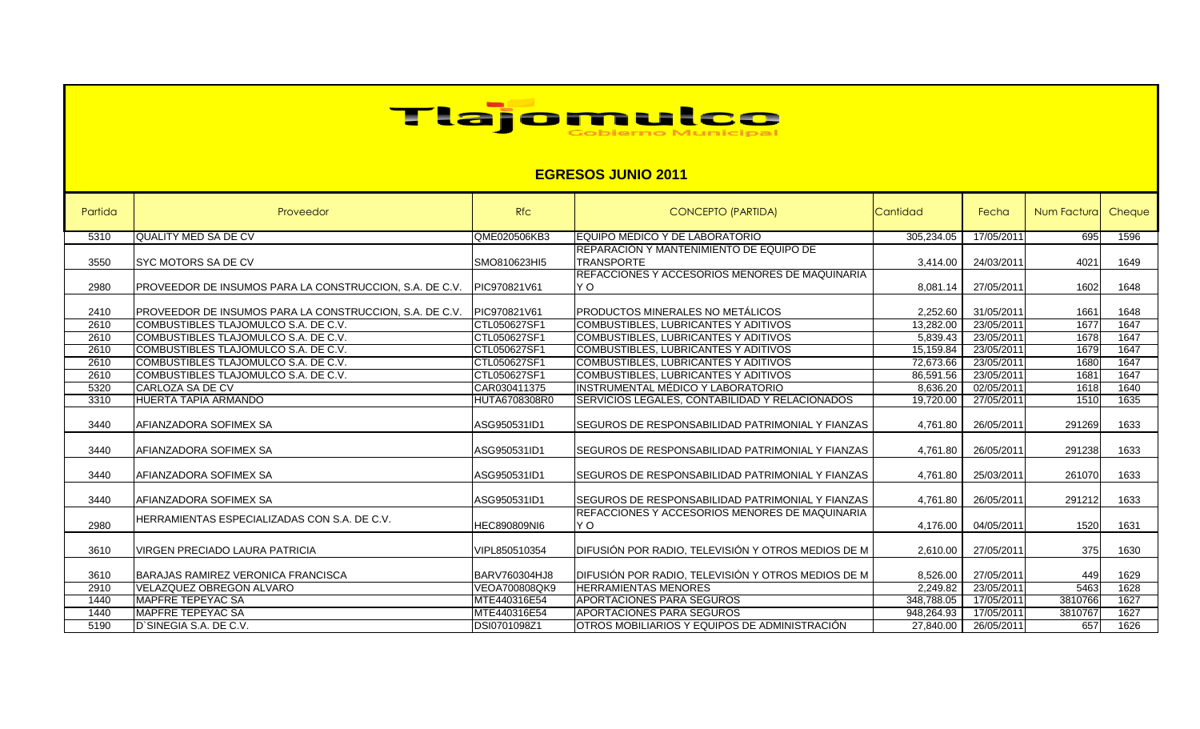

## **EGRESOS JUNIO 2011**

| Partida | Proveedor                                               | <b>Rfc</b>           | <b>CONCEPTO (PARTIDA)</b>                                            | Cantidad   | Fecha      | Num Factura | Cheque |
|---------|---------------------------------------------------------|----------------------|----------------------------------------------------------------------|------------|------------|-------------|--------|
| 5310    | <b>QUALITY MED SA DE CV</b>                             | QME020506KB3         | <b>IEQUIPO MEDICO Y DE LABORATORIO</b>                               | 305,234.05 | 17/05/2011 | 695         | 1596   |
| 3550    | <b>SYC MOTORS SA DE CV</b>                              | SMO810623HI5         | <b>IREPARACIÓN Y MANTENIMIENTO DE EQUIPO DE</b><br><b>TRANSPORTE</b> | 3,414.00   | 24/03/2011 | 4021        | 1649   |
| 2980    | PROVEEDOR DE INSUMOS PARA LA CONSTRUCCION, S.A. DE C.V. | PIC970821V61         | REFACCIONES Y ACCESORIOS MENORES DE MAQUINARIA<br>Y O                | 8,081.14   | 27/05/2011 | 1602        | 1648   |
| 2410    | PROVEEDOR DE INSUMOS PARA LA CONSTRUCCION, S.A. DE C.V. | PIC970821V61         | <b>PRODUCTOS MINERALES NO METALICOS</b>                              | 2,252.60   | 31/05/2011 | 1661        | 1648   |
| 2610    | COMBUSTIBLES TLAJOMULCO S.A. DE C.V.                    | CTL050627SF1         | <b>COMBUSTIBLES, LUBRICANTES Y ADITIVOS</b>                          | 13,282.00  | 23/05/2011 | 1677        | 1647   |
| 2610    | <b>ICOMBUSTIBLES TLAJOMULCO S.A. DE C.V.</b>            | CTL050627SF1         | COMBUSTIBLES, LUBRICANTES Y ADITIVOS                                 | 5,839.43   | 23/05/2011 | 1678        | 1647   |
| 2610    | COMBUSTIBLES TLAJOMULCO S.A. DE C.V.                    | CTL050627SF1         | COMBUSTIBLES, LUBRICANTES Y ADITIVOS                                 | 15,159.84  | 23/05/2011 | 1679        | 1647   |
| 2610    | COMBUSTIBLES TLAJOMULCO S.A. DE C.V.                    | CTL050627SF1         | <b>COMBUSTIBLES, LUBRICANTES Y ADITIVOS</b>                          | 72,673.66  | 23/05/2011 | 1680        | 1647   |
| 2610    | COMBUSTIBLES TLAJOMULCO S.A. DE C.V.                    | CTL050627SF1         | <b>COMBUSTIBLES, LUBRICANTES Y ADITIVOS</b>                          | 86,591.56  | 23/05/2011 | 1681        | 1647   |
| 5320    | CARLOZA SA DE CV                                        | CAR030411375         | IINSTRUMENTAL MÉDICO Y LABORATORIO                                   | 8,636.20   | 02/05/2011 | 1618        | 1640   |
| 3310    | HUERTA TAPIA ARMANDO                                    | <b>HUTA6708308R0</b> | SERVICIOS LEGALES, CONTABILIDAD Y RELACIONADOS                       | 19,720.00  | 27/05/2011 | 1510        | 1635   |
| 3440    | AFIANZADORA SOFIMEX SA                                  | ASG950531ID1         | SEGUROS DE RESPONSABILIDAD PATRIMONIAL Y FIANZAS                     | 4,761.80   | 26/05/2011 | 291269      | 1633   |
| 3440    | AFIANZADORA SOFIMEX SA                                  | ASG950531ID1         | SEGUROS DE RESPONSABILIDAD PATRIMONIAL Y FIANZAS                     | 4,761.80   | 26/05/2011 | 291238      | 1633   |
| 3440    | AFIANZADORA SOFIMEX SA                                  | ASG950531ID1         | SEGUROS DE RESPONSABILIDAD PATRIMONIAL Y FIANZAS                     | 4.761.80   | 25/03/2011 | 261070      | 1633   |
| 3440    | AFIANZADORA SOFIMEX SA                                  | ASG950531ID1         | <b>ISEGUROS DE RESPONSABILIDAD PATRIMONIAL Y FIANZAS</b>             | 4,761.80   | 26/05/2011 | 291212      | 1633   |
| 2980    | HERRAMIENTAS ESPECIALIZADAS CON S.A. DE C.V.            | <b>HEC890809NI6</b>  | IREFACCIONES Y ACCESORIOS MENORES DE MAQUINARIA<br>Y O               | 4,176.00   | 04/05/2011 | 1520        | 1631   |
| 3610    | VIRGEN PRECIADO LAURA PATRICIA                          | VIPL850510354        | DIFUSIÓN POR RADIO, TELEVISIÓN Y OTROS MEDIOS DE M                   | 2,610.00   | 27/05/2011 | 375         | 1630   |
| 3610    | <b>BARAJAS RAMIREZ VERONICA FRANCISCA</b>               | <b>BARV760304HJ8</b> | DIFUSIÓN POR RADIO, TELEVISIÓN Y OTROS MEDIOS DE M                   | 8,526.00   | 27/05/2011 | 449         | 1629   |
| 2910    | VELAZQUEZ OBREGON ALVARO                                | VEOA700808QK9        | <b>HERRAMIENTAS MENORES</b>                                          | 2,249.82   | 23/05/2011 | 5463        | 1628   |
| 1440    | <b>MAPFRE TEPEYAC SA</b>                                | MTE440316E54         | <b>APORTACIONES PARA SEGUROS</b>                                     | 348,788.05 | 17/05/2011 | 3810766     | 1627   |
| 1440    | <b>MAPFRE TEPEYAC SA</b>                                | MTE440316E54         | <b>APORTACIONES PARA SEGUROS</b>                                     | 948.264.93 | 17/05/2011 | 3810767     | 1627   |
| 5190    | D'SINEGIA S.A. DE C.V.                                  | DSI0701098Z1         | OTROS MOBILIARIOS Y EQUIPOS DE ADMINISTRACIÓN                        | 27,840.00  | 26/05/2011 | 657         | 1626   |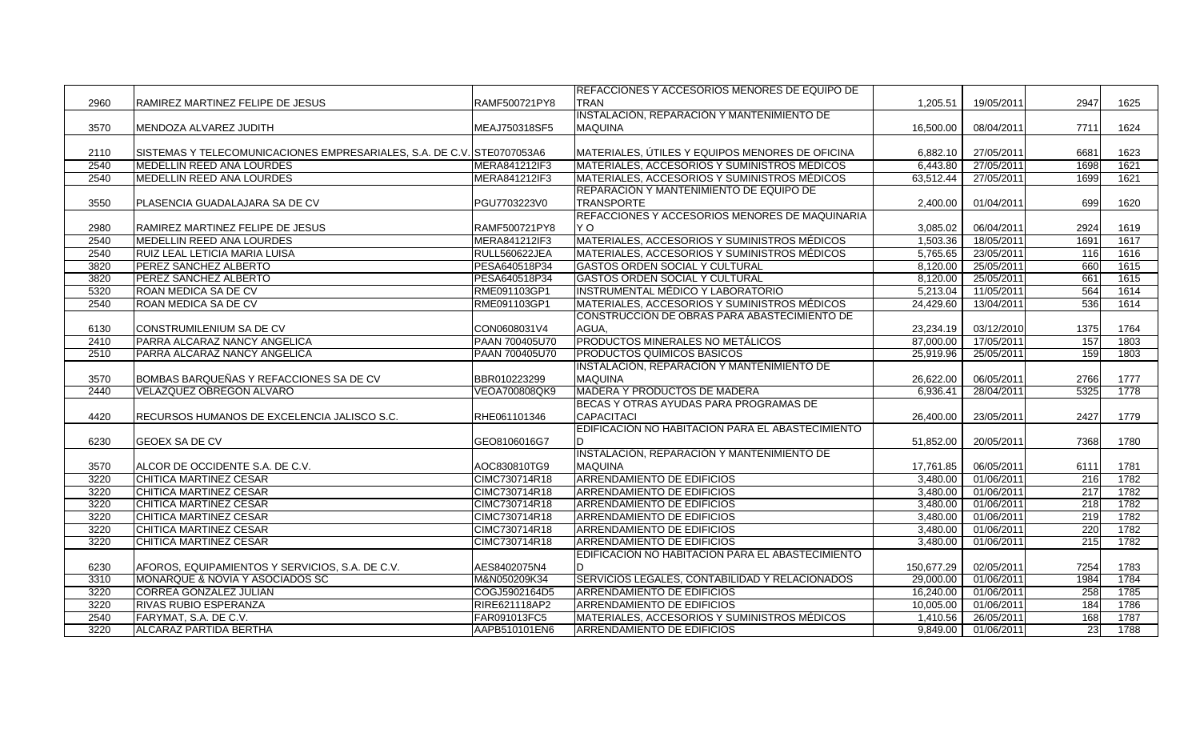|      |                                                                        |                | <b>IREFACCIONES Y ACCESORIOS MENORES DE EQUIPO DE</b> |            |            |      |      |
|------|------------------------------------------------------------------------|----------------|-------------------------------------------------------|------------|------------|------|------|
| 2960 | RAMIREZ MARTINEZ FELIPE DE JESUS                                       | RAMF500721PY8  | <b>TRAN</b>                                           | 1,205.51   | 19/05/2011 | 2947 | 1625 |
|      |                                                                        |                | INSTALACIÓN, REPARACIÓN Y MANTENIMIENTO DE            |            |            |      |      |
| 3570 | MENDOZA ALVAREZ JUDITH                                                 | MEAJ750318SF5  | <b>MAQUINA</b>                                        | 16,500.00  | 08/04/2011 | 7711 | 1624 |
|      |                                                                        |                |                                                       |            |            |      |      |
| 2110 | SISTEMAS Y TELECOMUNICACIONES EMPRESARIALES, S.A. DE C.V. STE0707053A6 |                | MATERIALES, ÚTILES Y EQUIPOS MENORES DE OFICINA       | 6,882.10   | 27/05/2011 | 6681 | 1623 |
| 2540 | <b>MEDELLIN REED ANA LOURDES</b>                                       | MERA841212IF3  | MATERIALES, ACCESORIOS Y SUMINISTROS MÉDICOS          | 6,443.80   | 27/05/2011 | 1698 | 1621 |
| 2540 | <b>MEDELLIN REED ANA LOURDES</b>                                       | MERA841212IF3  | MATERIALES, ACCESORIOS Y SUMINISTROS MÉDICOS          | 63.512.44  | 27/05/2011 | 1699 | 1621 |
|      |                                                                        |                | <b>REPARACIÓN Y MANTENIMIENTO DE EQUIPO DE</b>        |            |            |      |      |
| 3550 | PLASENCIA GUADALAJARA SA DE CV                                         | PGU7703223V0   | <b>TRANSPORTE</b>                                     | 2,400.00   | 01/04/2011 | 699  | 1620 |
|      |                                                                        |                | REFACCIONES Y ACCESORIOS MENORES DE MAQUINARIA        |            |            |      |      |
| 2980 | RAMIREZ MARTINEZ FELIPE DE JESUS                                       | RAMF500721PY8  | Y O                                                   | 3,085.02   | 06/04/2011 | 2924 | 1619 |
| 2540 | MEDELLIN REED ANA LOURDES                                              | MERA841212IF3  | MATERIALES, ACCESORIOS Y SUMINISTROS MÉDICOS          | 1,503.36   | 18/05/2011 | 1691 | 1617 |
| 2540 | RUIZ LEAL LETICIA MARIA LUISA                                          | RULL560622JEA  | MATERIALES, ACCESORIOS Y SUMINISTROS MÉDICOS          | 5,765.65   | 23/05/2011 | 116  | 1616 |
| 3820 | PEREZ SANCHEZ ALBERTO                                                  | PESA640518P34  | <b>GASTOS ORDEN SOCIAL Y CULTURAL</b>                 | 8,120.00   | 25/05/2011 | 660  | 1615 |
| 3820 | PEREZ SANCHEZ ALBERTO                                                  | PESA640518P34  | <b>GASTOS ORDEN SOCIAL Y CULTURAL</b>                 | 8,120.00   | 25/05/2011 | 661  | 1615 |
| 5320 | ROAN MEDICA SA DE CV                                                   | RME091103GP1   | <b>INSTRUMENTAL MÉDICO Y LABORATORIO</b>              | 5,213.04   | 11/05/2011 | 564  | 1614 |
| 2540 | ROAN MEDICA SA DE CV                                                   | RME091103GP1   | MATERIALES, ACCESORIOS Y SUMINISTROS MÉDICOS          | 24,429.60  | 13/04/2011 | 536  | 1614 |
|      |                                                                        |                | CONSTRUCCIÓN DE OBRAS PARA ABASTECIMIENTO DE          |            |            |      |      |
| 6130 | CONSTRUMILENIUM SA DE CV                                               | CON0608031V4   | AGUA,                                                 | 23,234.19  | 03/12/2010 | 1375 | 1764 |
| 2410 | PARRA ALCARAZ NANCY ANGELICA                                           | PAAN 700405U70 | <b>PRODUCTOS MINERALES NO METÁLICOS</b>               | 87,000.00  | 17/05/2011 | 157  | 1803 |
| 2510 | PARRA ALCARAZ NANCY ANGELICA                                           | PAAN 700405U70 | <b>PRODUCTOS QUÍMICOS BÁSICOS</b>                     | 25,919.96  | 25/05/2011 | 159  | 1803 |
|      |                                                                        |                | INSTALACIÓN, REPARACIÓN Y MANTENIMIENTO DE            |            |            |      |      |
| 3570 | BOMBAS BARQUEÑAS Y REFACCIONES SA DE CV                                | BBR010223299   | <b>MAQUINA</b>                                        | 26,622.00  | 06/05/2011 | 2766 | 1777 |
| 2440 | <b>VELAZQUEZ OBREGON ALVARO</b>                                        | VEOA700808QK9  | <b>MADERA Y PRODUCTOS DE MADERA</b>                   | 6,936.41   | 28/04/2011 | 5325 | 1778 |
|      |                                                                        |                | BECAS Y OTRAS AYUDAS PARA PROGRAMAS DE                |            |            |      |      |
| 4420 | RECURSOS HUMANOS DE EXCELENCIA JALISCO S.C.                            | RHE061101346   | <b>CAPACITACI</b>                                     | 26,400.00  | 23/05/2011 | 2427 | 1779 |
|      |                                                                        |                | EDIFICACIÓN NO HABITACION PARA EL ABASTECIMIENTO      |            |            |      |      |
| 6230 | GEOEX SA DE CV                                                         | GEO8106016G7   | ID.                                                   | 51,852.00  | 20/05/2011 | 7368 | 1780 |
|      |                                                                        |                | INSTALACIÓN, REPARACIÓN Y MANTENIMIENTO DE            |            |            |      |      |
| 3570 | ALCOR DE OCCIDENTE S.A. DE C.V.                                        | AOC830810TG9   | <b>MAQUINA</b>                                        | 17,761.85  | 06/05/2011 | 6111 | 1781 |
| 3220 | <b>CHITICA MARTINEZ CESAR</b>                                          | CIMC730714R18  | <b>ARRENDAMIENTO DE EDIFICIOS</b>                     | 3,480.00   | 01/06/2011 | 216  | 1782 |
| 3220 | <b>CHITICA MARTINEZ CESAR</b>                                          | CIMC730714R18  | <b>ARRENDAMIENTO DE EDIFICIOS</b>                     | 3,480.00   | 01/06/2011 | 217  | 1782 |
| 3220 | <b>CHITICA MARTINEZ CESAR</b>                                          | CIMC730714R18  | <b>ARRENDAMIENTO DE EDIFICIOS</b>                     | 3,480.00   | 01/06/2011 | 218  | 1782 |
| 3220 | <b>CHITICA MARTINEZ CESAR</b>                                          | CIMC730714R18  | <b>ARRENDAMIENTO DE EDIFICIOS</b>                     | 3,480.00   | 01/06/2011 | 219  | 1782 |
| 3220 | <b>CHITICA MARTINEZ CESAR</b>                                          | CIMC730714R18  | <b>ARRENDAMIENTO DE EDIFICIOS</b>                     | 3,480.00   | 01/06/2011 | 220  | 1782 |
| 3220 | <b>CHITICA MARTINEZ CESAR</b>                                          | CIMC730714R18  | ARRENDAMIENTO DE EDIFICIOS                            | 3.480.00   | 01/06/2011 | 215  | 1782 |
|      |                                                                        |                | EDIFICACIÓN NO HABITACION PARA EL ABASTECIMIENTO      |            |            |      |      |
| 6230 | AFOROS, EQUIPAMIENTOS Y SERVICIOS, S.A. DE C.V.                        | AES8402075N4   | ID.                                                   | 150,677.29 | 02/05/2011 | 7254 | 1783 |
| 3310 | MONARQUE & NOVIA Y ASOCIADOS SC                                        | M&N050209K34   | SERVICIOS LEGALES, CONTABILIDAD Y RELACIONADOS        | 29,000.00  | 01/06/2011 | 1984 | 1784 |
| 3220 | <b>CORREA GONZALEZ JULIAN</b>                                          | COGJ5902164D5  | <b>ARRENDAMIENTO DE EDIFICIOS</b>                     | 16,240.00  | 01/06/2011 | 258  | 1785 |
| 3220 | RIVAS RUBIO ESPERANZA                                                  | RIRE621118AP2  | ARRENDAMIENTO DE EDIFICIOS                            | 10,005.00  | 01/06/2011 | 184  | 1786 |
| 2540 | FARYMAT, S.A. DE C.V.                                                  | FAR091013FC5   | MATERIALES, ACCESORIOS Y SUMINISTROS MÉDICOS          | 1,410.56   | 26/05/2011 | 168  | 1787 |
| 3220 | <b>ALCARAZ PARTIDA BERTHA</b>                                          | AAPB510101EN6  | ARRENDAMIENTO DE EDIFICIOS                            | 9,849.00   | 01/06/2011 | 23   | 1788 |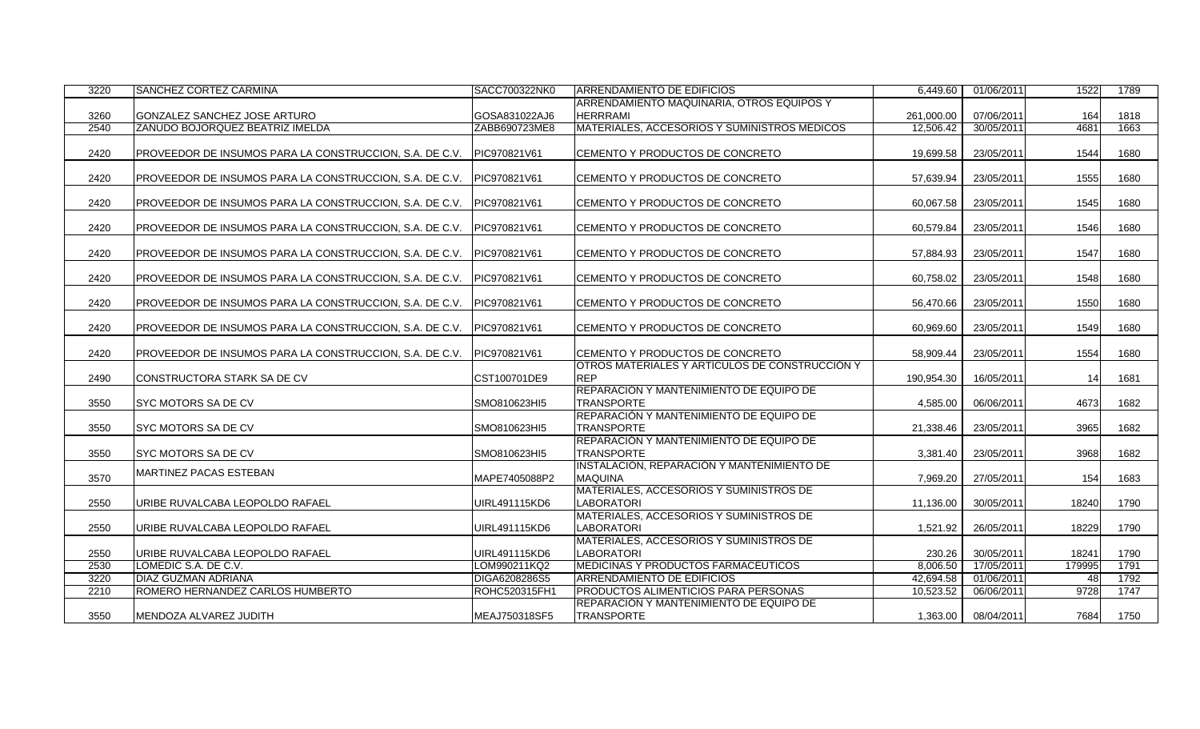| 3220 | SANCHEZ CORTEZ CARMINA                                  | SACC700322NK0 | ARRENDAMIENTO DE EDIFICIOS                     | 6,449.60   | 01/06/2011 | 1522   | 1789 |
|------|---------------------------------------------------------|---------------|------------------------------------------------|------------|------------|--------|------|
|      |                                                         |               | ARRENDAMIENTO MAQUINARIA, OTROS EQUIPOS Y      |            |            |        |      |
| 3260 | GONZALEZ SANCHEZ JOSE ARTURO                            | GOSA831022AJ6 | <b>HERRRAMI</b>                                | 261.000.00 | 07/06/2011 | 164    | 1818 |
| 2540 | ZAÑUDO BOJORQUEZ BEATRIZ IMELDA                         | ZABB690723ME8 | MATERIALES, ACCESORIOS Y SUMINISTROS MÉDICOS   | 12,506.42  | 30/05/2011 | 4681   | 1663 |
|      |                                                         |               |                                                |            |            |        |      |
| 2420 | PROVEEDOR DE INSUMOS PARA LA CONSTRUCCION, S.A. DE C.V. | PIC970821V61  | ICEMENTO Y PRODUCTOS DE CONCRETO               | 19,699.58  | 23/05/2011 | 1544   | 1680 |
|      |                                                         |               |                                                |            |            |        |      |
| 2420 | PROVEEDOR DE INSUMOS PARA LA CONSTRUCCION, S.A. DE C.V. | PIC970821V61  | CEMENTO Y PRODUCTOS DE CONCRETO                | 57,639.94  | 23/05/2011 | 1555   | 1680 |
|      |                                                         |               |                                                |            |            |        |      |
| 2420 | PROVEEDOR DE INSUMOS PARA LA CONSTRUCCION, S.A. DE C.V. | PIC970821V61  | CEMENTO Y PRODUCTOS DE CONCRETO                | 60.067.58  | 23/05/2011 | 1545   | 1680 |
|      |                                                         |               |                                                |            |            |        |      |
| 2420 | PROVEEDOR DE INSUMOS PARA LA CONSTRUCCION, S.A. DE C.V. | PIC970821V61  | CEMENTO Y PRODUCTOS DE CONCRETO                | 60,579.84  | 23/05/2011 | 1546   | 1680 |
|      |                                                         |               |                                                |            |            |        |      |
| 2420 | PROVEEDOR DE INSUMOS PARA LA CONSTRUCCION, S.A. DE C.V. | PIC970821V61  | CEMENTO Y PRODUCTOS DE CONCRETO                | 57,884.93  | 23/05/2011 | 1547   | 1680 |
|      |                                                         |               |                                                |            |            |        |      |
| 2420 | PROVEEDOR DE INSUMOS PARA LA CONSTRUCCION, S.A. DE C.V. | PIC970821V61  | CEMENTO Y PRODUCTOS DE CONCRETO                | 60,758.02  | 23/05/2011 | 1548   | 1680 |
|      |                                                         |               |                                                |            |            |        |      |
| 2420 | PROVEEDOR DE INSUMOS PARA LA CONSTRUCCION, S.A. DE C.V. | PIC970821V61  | CEMENTO Y PRODUCTOS DE CONCRETO                | 56.470.66  | 23/05/2011 | 1550   | 1680 |
|      |                                                         | PIC970821V61  | CEMENTO Y PRODUCTOS DE CONCRETO                |            |            |        |      |
| 2420 | PROVEEDOR DE INSUMOS PARA LA CONSTRUCCION, S.A. DE C.V. |               |                                                | 60,969.60  | 23/05/2011 | 1549   | 1680 |
| 2420 | PROVEEDOR DE INSUMOS PARA LA CONSTRUCCION, S.A. DE C.V. | PIC970821V61  | CEMENTO Y PRODUCTOS DE CONCRETO                | 58,909.44  | 23/05/2011 | 1554   | 1680 |
|      |                                                         |               | OTROS MATERIALES Y ARTÍCULOS DE CONSTRUCCIÓN Y |            |            |        |      |
| 2490 | CONSTRUCTORA STARK SA DE CV                             | CST100701DE9  | <b>REP</b>                                     | 190,954.30 | 16/05/2011 | 14     | 1681 |
|      |                                                         |               | REPARACIÓN Y MANTENIMIENTO DE EQUIPO DE        |            |            |        |      |
| 3550 | <b>SYC MOTORS SA DE CV</b>                              | SMO810623HI5  | <b>TRANSPORTE</b>                              | 4,585.00   | 06/06/2011 | 4673   | 1682 |
|      |                                                         |               | REPARACIÓN Y MANTENIMIENTO DE EQUIPO DE        |            |            |        |      |
| 3550 | SYC MOTORS SA DE CV                                     | SMO810623HI5  | <b>TRANSPORTE</b>                              | 21,338.46  | 23/05/2011 | 3965   | 1682 |
|      |                                                         |               | REPARACIÓN Y MANTENIMIENTO DE EQUIPO DE        |            |            |        |      |
| 3550 | <b>SYC MOTORS SA DE CV</b>                              | SMO810623HI5  | <b>TRANSPORTE</b>                              | 3,381.40   | 23/05/2011 | 3968   | 1682 |
|      |                                                         |               | INSTALACIÓN, REPARACIÓN Y MANTENIMIENTO DE     |            |            |        |      |
| 3570 | MARTINEZ PACAS ESTEBAN                                  | MAPE7405088P2 | <b>MAQUINA</b>                                 | 7.969.20   | 27/05/2011 | 154    | 1683 |
|      |                                                         |               | MATERIALES, ACCESORIOS Y SUMINISTROS DE        |            |            |        |      |
| 2550 | URIBE RUVALCABA LEOPOLDO RAFAEL                         | UIRL491115KD6 | <b>LABORATORI</b>                              | 11,136.00  | 30/05/2011 | 18240  | 1790 |
|      |                                                         |               | MATERIALES, ACCESORIOS Y SUMINISTROS DE        |            |            |        |      |
| 2550 | URIBE RUVALCABA LEOPOLDO RAFAEL                         | UIRL491115KD6 | LABORATORI                                     | 1,521.92   | 26/05/2011 | 18229  | 1790 |
|      |                                                         |               | MATERIALES, ACCESORIOS Y SUMINISTROS DE        |            |            |        |      |
| 2550 | URIBE RUVALCABA LEOPOLDO RAFAEL                         | UIRL491115KD6 | LABORATORI                                     | 230.26     | 30/05/2011 | 18241  | 1790 |
| 2530 | LOMEDIC S.A. DE C.V.                                    | LOM990211KQ2  | <b>MEDICINAS Y PRODUCTOS FARMACÉUTICOS</b>     | 8,006.50   | 17/05/2011 | 179995 | 1791 |
| 3220 | <b>DIAZ GUZMAN ADRIANA</b>                              | DIGA6208286S5 | <b>ARRENDAMIENTO DE EDIFICIOS</b>              | 42,694.58  | 01/06/2011 | 48     | 1792 |
| 2210 | ROMERO HERNANDEZ CARLOS HUMBERTO                        | ROHC520315FH1 | PRODUCTOS ALIMENTICIOS PARA PERSONAS           | 10,523.52  | 06/06/2011 | 9728   | 1747 |
|      |                                                         |               | REPARACIÓN Y MANTENIMIENTO DE EQUIPO DE        |            |            |        |      |
| 3550 | MENDOZA ALVAREZ JUDITH                                  | MEAJ750318SF5 | <b>TRANSPORTE</b>                              | 1,363.00   | 08/04/2011 | 7684   | 1750 |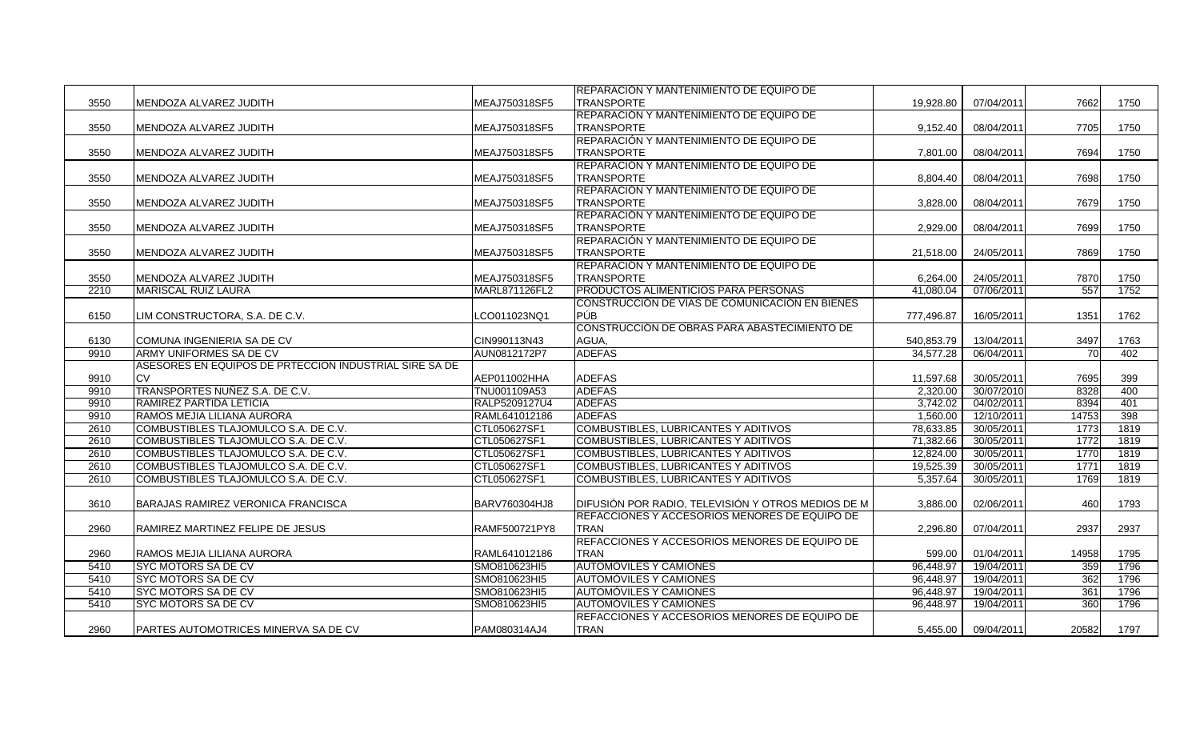| MEAJ750318SF5<br>7662<br>3550<br>MENDOZA ALVAREZ JUDITH<br><b>TRANSPORTE</b><br>19.928.80<br>07/04/2011<br>1750<br>REPARACIÓN Y MANTENIMIENTO DE EQUIPO DE<br>MEAJ750318SF5<br><b>TRANSPORTE</b><br>7705<br>3550<br>MENDOZA ALVAREZ JUDITH<br>9,152.40<br>08/04/2011<br>1750<br>REPARACIÓN Y MANTENIMIENTO DE EQUIPO DE<br>3550<br>MENDOZA ALVAREZ JUDITH<br>MEAJ750318SF5<br><b>TRANSPORTE</b><br>08/04/2011<br>7694<br>1750<br>7,801.00<br>REPARACIÓN Y MANTENIMIENTO DE EQUIPO DE<br>3550<br>MEAJ750318SF5<br>7698<br>1750<br>MENDOZA ALVAREZ JUDITH<br><b>TRANSPORTE</b><br>8,804.40<br>08/04/2011<br>REPARACIÓN Y MANTENIMIENTO DE EQUIPO DE<br>7679<br>3550<br>MEAJ750318SF5<br><b>TRANSPORTE</b><br>3,828.00<br>08/04/2011<br>1750<br>MENDOZA ALVAREZ JUDITH<br>REPARACIÓN Y MANTENIMIENTO DE EQUIPO DE<br>3550<br>MEAJ750318SF5<br><b>TRANSPORTE</b><br>7699<br>1750<br>MENDOZA ALVAREZ JUDITH<br>2,929.00<br>08/04/2011<br>REPARACIÓN Y MANTENIMIENTO DE EQUIPO DE<br>3550<br>MENDOZA ALVAREZ JUDITH<br>MEAJ750318SF5<br><b>TRANSPORTE</b><br>21,518.00<br>24/05/2011<br>7869<br>1750<br><b>REPARACIÓN Y MANTENIMIENTO DE EQUIPO DE</b><br>MEAJ750318SF5<br>7870<br>1750<br>3550<br>MENDOZA ALVAREZ JUDITH<br><b>TRANSPORTE</b><br>6,264.00<br>24/05/2011<br>PRODUCTOS ALIMENTICIOS PARA PERSONAS<br>557<br>1752<br>2210<br><b>MARISCAL RUIZ LAURA</b><br>MARL871126FL2<br>41,080.04<br>07/06/2011<br>CONSTRUCCIÓN DE VÍAS DE COMUNICACIÓN EN BIENES |  | <b>IREPARACIÓN Y MANTENIMIENTO DE EQUIPO DE</b> |  |  |
|---------------------------------------------------------------------------------------------------------------------------------------------------------------------------------------------------------------------------------------------------------------------------------------------------------------------------------------------------------------------------------------------------------------------------------------------------------------------------------------------------------------------------------------------------------------------------------------------------------------------------------------------------------------------------------------------------------------------------------------------------------------------------------------------------------------------------------------------------------------------------------------------------------------------------------------------------------------------------------------------------------------------------------------------------------------------------------------------------------------------------------------------------------------------------------------------------------------------------------------------------------------------------------------------------------------------------------------------------------------------------------------------------------------------------------------------------------------|--|-------------------------------------------------|--|--|
|                                                                                                                                                                                                                                                                                                                                                                                                                                                                                                                                                                                                                                                                                                                                                                                                                                                                                                                                                                                                                                                                                                                                                                                                                                                                                                                                                                                                                                                               |  |                                                 |  |  |
|                                                                                                                                                                                                                                                                                                                                                                                                                                                                                                                                                                                                                                                                                                                                                                                                                                                                                                                                                                                                                                                                                                                                                                                                                                                                                                                                                                                                                                                               |  |                                                 |  |  |
|                                                                                                                                                                                                                                                                                                                                                                                                                                                                                                                                                                                                                                                                                                                                                                                                                                                                                                                                                                                                                                                                                                                                                                                                                                                                                                                                                                                                                                                               |  |                                                 |  |  |
|                                                                                                                                                                                                                                                                                                                                                                                                                                                                                                                                                                                                                                                                                                                                                                                                                                                                                                                                                                                                                                                                                                                                                                                                                                                                                                                                                                                                                                                               |  |                                                 |  |  |
|                                                                                                                                                                                                                                                                                                                                                                                                                                                                                                                                                                                                                                                                                                                                                                                                                                                                                                                                                                                                                                                                                                                                                                                                                                                                                                                                                                                                                                                               |  |                                                 |  |  |
|                                                                                                                                                                                                                                                                                                                                                                                                                                                                                                                                                                                                                                                                                                                                                                                                                                                                                                                                                                                                                                                                                                                                                                                                                                                                                                                                                                                                                                                               |  |                                                 |  |  |
|                                                                                                                                                                                                                                                                                                                                                                                                                                                                                                                                                                                                                                                                                                                                                                                                                                                                                                                                                                                                                                                                                                                                                                                                                                                                                                                                                                                                                                                               |  |                                                 |  |  |
|                                                                                                                                                                                                                                                                                                                                                                                                                                                                                                                                                                                                                                                                                                                                                                                                                                                                                                                                                                                                                                                                                                                                                                                                                                                                                                                                                                                                                                                               |  |                                                 |  |  |
|                                                                                                                                                                                                                                                                                                                                                                                                                                                                                                                                                                                                                                                                                                                                                                                                                                                                                                                                                                                                                                                                                                                                                                                                                                                                                                                                                                                                                                                               |  |                                                 |  |  |
|                                                                                                                                                                                                                                                                                                                                                                                                                                                                                                                                                                                                                                                                                                                                                                                                                                                                                                                                                                                                                                                                                                                                                                                                                                                                                                                                                                                                                                                               |  |                                                 |  |  |
|                                                                                                                                                                                                                                                                                                                                                                                                                                                                                                                                                                                                                                                                                                                                                                                                                                                                                                                                                                                                                                                                                                                                                                                                                                                                                                                                                                                                                                                               |  |                                                 |  |  |
|                                                                                                                                                                                                                                                                                                                                                                                                                                                                                                                                                                                                                                                                                                                                                                                                                                                                                                                                                                                                                                                                                                                                                                                                                                                                                                                                                                                                                                                               |  |                                                 |  |  |
|                                                                                                                                                                                                                                                                                                                                                                                                                                                                                                                                                                                                                                                                                                                                                                                                                                                                                                                                                                                                                                                                                                                                                                                                                                                                                                                                                                                                                                                               |  |                                                 |  |  |
|                                                                                                                                                                                                                                                                                                                                                                                                                                                                                                                                                                                                                                                                                                                                                                                                                                                                                                                                                                                                                                                                                                                                                                                                                                                                                                                                                                                                                                                               |  |                                                 |  |  |
|                                                                                                                                                                                                                                                                                                                                                                                                                                                                                                                                                                                                                                                                                                                                                                                                                                                                                                                                                                                                                                                                                                                                                                                                                                                                                                                                                                                                                                                               |  |                                                 |  |  |
|                                                                                                                                                                                                                                                                                                                                                                                                                                                                                                                                                                                                                                                                                                                                                                                                                                                                                                                                                                                                                                                                                                                                                                                                                                                                                                                                                                                                                                                               |  |                                                 |  |  |
|                                                                                                                                                                                                                                                                                                                                                                                                                                                                                                                                                                                                                                                                                                                                                                                                                                                                                                                                                                                                                                                                                                                                                                                                                                                                                                                                                                                                                                                               |  |                                                 |  |  |
| <b>PÚB</b><br>6150<br>IM CONSTRUCTORA, S.A. DE C.V.<br>LCO011023NQ1<br>16/05/2011<br>1351<br>1762<br>777,496.87                                                                                                                                                                                                                                                                                                                                                                                                                                                                                                                                                                                                                                                                                                                                                                                                                                                                                                                                                                                                                                                                                                                                                                                                                                                                                                                                               |  |                                                 |  |  |
| CONSTRUCCIÓN DE OBRAS PARA ABASTECIMIENTO DE                                                                                                                                                                                                                                                                                                                                                                                                                                                                                                                                                                                                                                                                                                                                                                                                                                                                                                                                                                                                                                                                                                                                                                                                                                                                                                                                                                                                                  |  |                                                 |  |  |
| COMUNA INGENIERIA SA DE CV<br>CIN990113N43<br>AGUA,<br>3497<br>540,853.79<br>13/04/2011<br>1763<br>6130                                                                                                                                                                                                                                                                                                                                                                                                                                                                                                                                                                                                                                                                                                                                                                                                                                                                                                                                                                                                                                                                                                                                                                                                                                                                                                                                                       |  |                                                 |  |  |
| <b>ARMY UNIFORMES SA DE CV</b><br><b>ADEFAS</b><br>402<br>9910<br>AUN0812172P7<br>34,577.28<br>06/04/2011<br>70                                                                                                                                                                                                                                                                                                                                                                                                                                                                                                                                                                                                                                                                                                                                                                                                                                                                                                                                                                                                                                                                                                                                                                                                                                                                                                                                               |  |                                                 |  |  |
| ASESORES EN EQUIPOS DE PRTECCION INDUSTRIAL SIRE SA DE                                                                                                                                                                                                                                                                                                                                                                                                                                                                                                                                                                                                                                                                                                                                                                                                                                                                                                                                                                                                                                                                                                                                                                                                                                                                                                                                                                                                        |  |                                                 |  |  |
| <b>ADEFAS</b><br>AEP011002HHA<br>30/05/2011<br>7695<br>399<br>9910<br>11,597.68                                                                                                                                                                                                                                                                                                                                                                                                                                                                                                                                                                                                                                                                                                                                                                                                                                                                                                                                                                                                                                                                                                                                                                                                                                                                                                                                                                               |  |                                                 |  |  |
| TRANSPORTES NUÑEZ S.A. DE C.V.<br>TNU001109A53<br><b>ADEFAS</b><br>2,320.00<br>30/07/2010<br>8328<br>400<br>9910                                                                                                                                                                                                                                                                                                                                                                                                                                                                                                                                                                                                                                                                                                                                                                                                                                                                                                                                                                                                                                                                                                                                                                                                                                                                                                                                              |  |                                                 |  |  |
| RALP5209127U4<br>RAMIREZ PARTIDA LETICIA<br><b>ADEFAS</b><br>3,742.02<br>04/02/2011<br>8394<br>401<br>9910                                                                                                                                                                                                                                                                                                                                                                                                                                                                                                                                                                                                                                                                                                                                                                                                                                                                                                                                                                                                                                                                                                                                                                                                                                                                                                                                                    |  |                                                 |  |  |
| RAMOS MEJIA LILIANA AURORA<br>RAML641012186<br><b>ADEFAS</b><br>1,560.00<br>12/10/2011<br>14753<br>398<br>9910                                                                                                                                                                                                                                                                                                                                                                                                                                                                                                                                                                                                                                                                                                                                                                                                                                                                                                                                                                                                                                                                                                                                                                                                                                                                                                                                                |  |                                                 |  |  |
| COMBUSTIBLES TLAJOMULCO S.A. DE C.V.<br>CTL050627SF1<br>COMBUSTIBLES, LUBRICANTES Y ADITIVOS<br>30/05/2011<br>1773<br>1819<br>2610<br>78,633.85                                                                                                                                                                                                                                                                                                                                                                                                                                                                                                                                                                                                                                                                                                                                                                                                                                                                                                                                                                                                                                                                                                                                                                                                                                                                                                               |  |                                                 |  |  |
| 2610<br>COMBUSTIBLES TLAJOMULCO S.A. DE C.V.<br>CTL050627SF1<br>COMBUSTIBLES, LUBRICANTES Y ADITIVOS<br>71,382.66<br>30/05/2011<br>1772<br>1819                                                                                                                                                                                                                                                                                                                                                                                                                                                                                                                                                                                                                                                                                                                                                                                                                                                                                                                                                                                                                                                                                                                                                                                                                                                                                                               |  |                                                 |  |  |
| 1770<br>2610<br>COMBUSTIBLES TLAJOMULCO S.A. DE C.V.<br>CTL050627SF1<br>COMBUSTIBLES, LUBRICANTES Y ADITIVOS<br>12,824.00<br>30/05/2011<br>1819                                                                                                                                                                                                                                                                                                                                                                                                                                                                                                                                                                                                                                                                                                                                                                                                                                                                                                                                                                                                                                                                                                                                                                                                                                                                                                               |  |                                                 |  |  |
| COMBUSTIBLES TLAJOMULCO S.A. DE C.V.<br>CTL050627SF1<br>COMBUSTIBLES, LUBRICANTES Y ADITIVOS<br>19,525.39<br>30/05/2011<br>1771<br>1819<br>2610                                                                                                                                                                                                                                                                                                                                                                                                                                                                                                                                                                                                                                                                                                                                                                                                                                                                                                                                                                                                                                                                                                                                                                                                                                                                                                               |  |                                                 |  |  |
| CTL050627SF1<br>2610<br>COMBUSTIBLES TLAJOMULCO S.A. DE C.V.<br>COMBUSTIBLES, LUBRICANTES Y ADITIVOS<br>5,357.64<br>30/05/2011<br>1769<br>1819                                                                                                                                                                                                                                                                                                                                                                                                                                                                                                                                                                                                                                                                                                                                                                                                                                                                                                                                                                                                                                                                                                                                                                                                                                                                                                                |  |                                                 |  |  |
|                                                                                                                                                                                                                                                                                                                                                                                                                                                                                                                                                                                                                                                                                                                                                                                                                                                                                                                                                                                                                                                                                                                                                                                                                                                                                                                                                                                                                                                               |  |                                                 |  |  |
| DIFUSIÓN POR RADIO, TELEVISIÓN Y OTROS MEDIOS DE M<br>3610<br>BARAJAS RAMIREZ VERONICA FRANCISCA<br>BARV760304HJ8<br>3,886.00<br>02/06/2011<br>460<br>1793                                                                                                                                                                                                                                                                                                                                                                                                                                                                                                                                                                                                                                                                                                                                                                                                                                                                                                                                                                                                                                                                                                                                                                                                                                                                                                    |  |                                                 |  |  |
| REFACCIONES Y ACCESORIOS MENORES DE EQUIPO DE                                                                                                                                                                                                                                                                                                                                                                                                                                                                                                                                                                                                                                                                                                                                                                                                                                                                                                                                                                                                                                                                                                                                                                                                                                                                                                                                                                                                                 |  |                                                 |  |  |
| RAMF500721PY8<br>2937<br>2937<br>2960<br>RAMIREZ MARTINEZ FELIPE DE JESUS<br><b>TRAN</b><br>2,296.80<br>07/04/2011                                                                                                                                                                                                                                                                                                                                                                                                                                                                                                                                                                                                                                                                                                                                                                                                                                                                                                                                                                                                                                                                                                                                                                                                                                                                                                                                            |  |                                                 |  |  |
| REFACCIONES Y ACCESORIOS MENORES DE EQUIPO DE                                                                                                                                                                                                                                                                                                                                                                                                                                                                                                                                                                                                                                                                                                                                                                                                                                                                                                                                                                                                                                                                                                                                                                                                                                                                                                                                                                                                                 |  |                                                 |  |  |
| RAML641012186<br><b>TRAN</b><br>599.00<br>01/04/2011<br>14958<br>1795<br>2960<br>RAMOS MEJIA LILIANA AURORA                                                                                                                                                                                                                                                                                                                                                                                                                                                                                                                                                                                                                                                                                                                                                                                                                                                                                                                                                                                                                                                                                                                                                                                                                                                                                                                                                   |  |                                                 |  |  |
| <b>AUTOMOVILES Y CAMIONES</b><br>5410<br><b>SYC MOTORS SA DE CV</b><br>SMO810623HI5<br>96,448.97<br>359<br>1796<br>19/04/2011                                                                                                                                                                                                                                                                                                                                                                                                                                                                                                                                                                                                                                                                                                                                                                                                                                                                                                                                                                                                                                                                                                                                                                                                                                                                                                                                 |  |                                                 |  |  |
| 1796<br>5410<br><b>SYC MOTORS SA DE CV</b><br>SMO810623HI5<br>AUTOMOVILES Y CAMIONES<br>96,448.97<br>19/04/2011<br>362                                                                                                                                                                                                                                                                                                                                                                                                                                                                                                                                                                                                                                                                                                                                                                                                                                                                                                                                                                                                                                                                                                                                                                                                                                                                                                                                        |  |                                                 |  |  |
| <b>SYC MOTORS SA DE CV</b><br>SMO810623HI5<br><b>AUTOMOVILES Y CAMIONES</b><br>96,448.97<br>19/04/2011<br>361<br>1796<br>5410                                                                                                                                                                                                                                                                                                                                                                                                                                                                                                                                                                                                                                                                                                                                                                                                                                                                                                                                                                                                                                                                                                                                                                                                                                                                                                                                 |  |                                                 |  |  |
| 360<br>5410<br><b>SYC MOTORS SA DE CV</b><br>SMO810623HI5<br>AUTOMÓVILES Y CAMIONES<br>96,448.97<br>19/04/2011<br>1796                                                                                                                                                                                                                                                                                                                                                                                                                                                                                                                                                                                                                                                                                                                                                                                                                                                                                                                                                                                                                                                                                                                                                                                                                                                                                                                                        |  |                                                 |  |  |
| <b>IREFACCIONES Y ACCESORIOS MENORES DE EQUIPO DE</b>                                                                                                                                                                                                                                                                                                                                                                                                                                                                                                                                                                                                                                                                                                                                                                                                                                                                                                                                                                                                                                                                                                                                                                                                                                                                                                                                                                                                         |  |                                                 |  |  |
| <b>TRAN</b><br>20582<br>1797<br>2960<br>PARTES AUTOMOTRICES MINERVA SA DE CV<br>PAM080314AJ4<br>5,455.00<br>09/04/2011                                                                                                                                                                                                                                                                                                                                                                                                                                                                                                                                                                                                                                                                                                                                                                                                                                                                                                                                                                                                                                                                                                                                                                                                                                                                                                                                        |  |                                                 |  |  |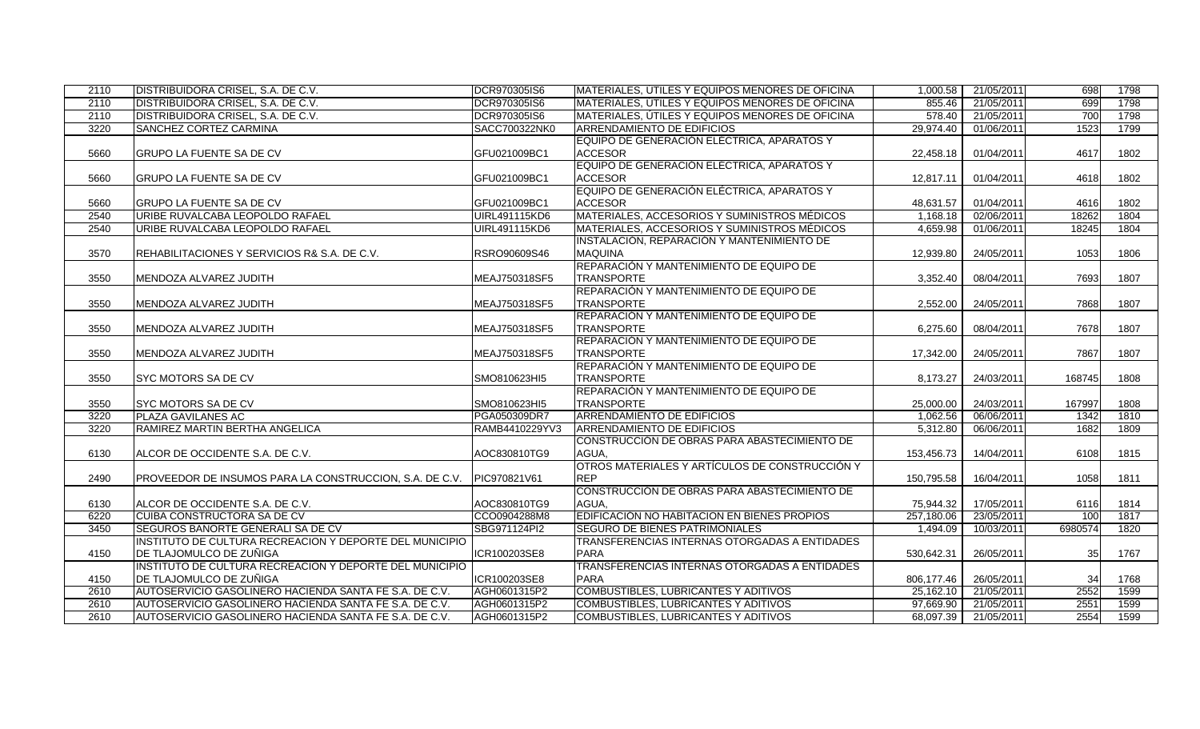| 2110 | DISTRIBUIDORA CRISEL, S.A. DE C.V.                      | DCR970305IS6         | MATERIALES, UTILES Y EQUIPOS MENORES DE OFICINA        | 1,000.58   | 21/05/2011 | 698     | 1798 |
|------|---------------------------------------------------------|----------------------|--------------------------------------------------------|------------|------------|---------|------|
| 2110 | DISTRIBUIDORA CRISEL, S.A. DE C.V.                      | DCR970305IS6         | <b>MATERIALES, UTILES Y EQUIPOS MENORES DE OFICINA</b> | 855.46     | 21/05/2011 | 699     | 1798 |
| 2110 | DISTRIBUIDORA CRISEL, S.A. DE C.V.                      | DCR970305IS6         | MATERIALES, ÚTILES Y EQUIPOS MENORES DE OFICINA        | 578.40     | 21/05/2011 | 700     | 1798 |
| 3220 | SANCHEZ CORTEZ CARMINA                                  | SACC700322NK0        | <b>ARRENDAMIENTO DE EDIFICIOS</b>                      | 29,974.40  | 01/06/2011 | 1523    | 1799 |
|      |                                                         |                      | EQUIPO DE GENERACIÓN ELÉCTRICA, APARATOS Y             |            |            |         |      |
| 5660 | <b>GRUPO LA FUENTE SA DE CV</b>                         | GFU021009BC1         | <b>ACCESOR</b>                                         | 22,458.18  | 01/04/2011 | 4617    | 1802 |
|      |                                                         |                      | EQUIPO DE GENERACIÓN ELÉCTRICA, APARATOS Y             |            |            |         |      |
| 5660 | GRUPO LA FUENTE SA DE CV                                | GFU021009BC1         | <b>ACCESOR</b>                                         | 12,817.11  | 01/04/2011 | 4618    | 1802 |
|      |                                                         |                      | EQUIPO DE GENERACIÓN ELÉCTRICA, APARATOS Y             |            |            |         |      |
| 5660 | <b>GRUPO LA FUENTE SA DE CV</b>                         | GFU021009BC1         | <b>ACCESOR</b>                                         | 48,631.57  | 01/04/2011 | 4616    | 1802 |
| 2540 | URIBE RUVALCABA LEOPOLDO RAFAEL                         | <b>UIRL491115KD6</b> | MATERIALES, ACCESORIOS Y SUMINISTROS MÉDICOS           | 1.168.18   | 02/06/2011 | 18262   | 1804 |
| 2540 | URIBE RUVALCABA LEOPOLDO RAFAEL                         | UIRL491115KD6        | MATERIALES, ACCESORIOS Y SUMINISTROS MÉDICOS           | 4,659.98   | 01/06/2011 | 18245   | 1804 |
|      |                                                         |                      | INSTALACIÓN, REPARACIÓN Y MANTENIMIENTO DE             |            |            |         |      |
| 3570 | REHABILITACIONES Y SERVICIOS R& S.A. DE C.V.            | RSRO90609S46         | <b>MAQUINA</b>                                         | 12.939.80  | 24/05/2011 | 1053    | 1806 |
|      |                                                         |                      | <b>REPARACIÓN Y MANTENIMIENTO DE EQUIPO DE</b>         |            |            |         |      |
| 3550 | MENDOZA ALVAREZ JUDITH                                  | MEAJ750318SF5        | <b>TRANSPORTE</b>                                      | 3,352.40   | 08/04/2011 | 7693    | 1807 |
|      |                                                         |                      | REPARACIÓN Y MANTENIMIENTO DE EQUIPO DE                |            |            |         |      |
| 3550 | MENDOZA ALVAREZ JUDITH                                  | MEAJ750318SF5        | <b>TRANSPORTE</b>                                      | 2,552.00   | 24/05/2011 | 7868    | 1807 |
|      |                                                         |                      | REPARACIÓN Y MANTENIMIENTO DE EQUIPO DE                |            |            |         |      |
| 3550 | MENDOZA ALVAREZ JUDITH                                  | MEAJ750318SF5        | <b>TRANSPORTE</b>                                      | 6,275.60   | 08/04/2011 | 7678    | 1807 |
|      |                                                         |                      | REPARACIÓN Y MANTENIMIENTO DE EQUIPO DE                |            |            |         |      |
| 3550 | MENDOZA ALVAREZ JUDITH                                  | MEAJ750318SF5        | <b>TRANSPORTE</b>                                      | 17,342.00  | 24/05/2011 | 7867    | 1807 |
|      |                                                         |                      | REPARACIÓN Y MANTENIMIENTO DE EQUIPO DE                |            |            |         |      |
| 3550 | SYC MOTORS SA DE CV                                     | SMO810623HI5         | <b>TRANSPORTE</b>                                      | 8,173.27   | 24/03/2011 | 168745  | 1808 |
|      |                                                         |                      | REPARACIÓN Y MANTENIMIENTO DE EQUIPO DE                |            |            |         |      |
| 3550 | <b>SYC MOTORS SA DE CV</b>                              | SMO810623HI5         | <b>TRANSPORTE</b>                                      | 25,000.00  | 24/03/2011 | 167997  | 1808 |
| 3220 | PLAZA GAVILANES AC                                      | PGA050309DR7         | <b>ARRENDAMIENTO DE EDIFICIOS</b>                      | 1,062.56   | 06/06/2011 | 1342    | 1810 |
| 3220 | RAMIREZ MARTIN BERTHA ANGELICA                          | RAMB4410229YV3       | <b>ARRENDAMIENTO DE EDIFICIOS</b>                      | 5,312.80   | 06/06/2011 | 1682    | 1809 |
|      |                                                         |                      | CONSTRUCCIÓN DE OBRAS PARA ABASTECIMIENTO DE           |            |            |         |      |
| 6130 | ALCOR DE OCCIDENTE S.A. DE C.V.                         | AOC830810TG9         | AGUA.                                                  | 153,456.73 | 14/04/2011 | 6108    | 1815 |
|      |                                                         |                      | OTROS MATERIALES Y ARTÍCULOS DE CONSTRUCCIÓN Y         |            |            |         |      |
| 2490 | PROVEEDOR DE INSUMOS PARA LA CONSTRUCCION, S.A. DE C.V. | PIC970821V61         | <b>REP</b>                                             | 150,795.58 | 16/04/2011 | 1058    | 1811 |
|      |                                                         |                      | CONSTRUCCIÓN DE OBRAS PARA ABASTECIMIENTO DE           |            |            |         |      |
| 6130 | ALCOR DE OCCIDENTE S.A. DE C.V.                         | AOC830810TG9         | AGUA,                                                  | 75,944.32  | 17/05/2011 | 6116    | 1814 |
| 6220 | <b>CUIBA CONSTRUCTORA SA DE CV</b>                      | CCO0904288M8         | <b>IEDIFICACIÓN NO HABITACION EN BIENES PROPIOS</b>    | 257,180.06 | 23/05/2011 | 100     | 1817 |
| 3450 | SEGUROS BANORTE GENERALI SA DE CV                       | SBG971124PI2         | <b>SEGURO DE BIENES PATRIMONIALES</b>                  | 1,494.09   | 10/03/2011 | 6980574 | 1820 |
|      | INSTITUTO DE CULTURA RECREACION Y DEPORTE DEL MUNICIPIO |                      | TRANSFERENCIAS INTERNAS OTORGADAS A ENTIDADES          |            |            |         |      |
| 4150 | DE TLAJOMULCO DE ZUÑIGA                                 | ICR100203SE8         | <b>PARA</b>                                            | 530,642.31 | 26/05/2011 | 35      | 1767 |
|      | INSTITUTO DE CULTURA RECREACION Y DEPORTE DEL MUNICIPIO |                      | TRANSFERENCIAS INTERNAS OTORGADAS A ENTIDADES          |            |            |         |      |
| 4150 | DE TLAJOMULCO DE ZUÑIGA                                 | ICR100203SE8         | <b>PARA</b>                                            | 806,177.46 | 26/05/2011 | 34      | 1768 |
| 2610 | AUTOSERVICIO GASOLINERO HACIENDA SANTA FE S.A. DE C.V.  | AGH0601315P2         | COMBUSTIBLES, LUBRICANTES Y ADITIVOS                   | 25,162.10  | 21/05/2011 | 2552    | 1599 |
| 2610 | AUTOSERVICIO GASOLINERO HACIENDA SANTA FE S.A. DE C.V.  | AGH0601315P2         | COMBUSTIBLES, LUBRICANTES Y ADITIVOS                   | 97,669.90  | 21/05/2011 | 2551    | 1599 |
| 2610 | AUTOSERVICIO GASOLINERO HACIENDA SANTA FE S.A. DE C.V.  | AGH0601315P2         | <b>COMBUSTIBLES, LUBRICANTES Y ADITIVOS</b>            | 68,097.39  | 21/05/2011 | 2554    | 1599 |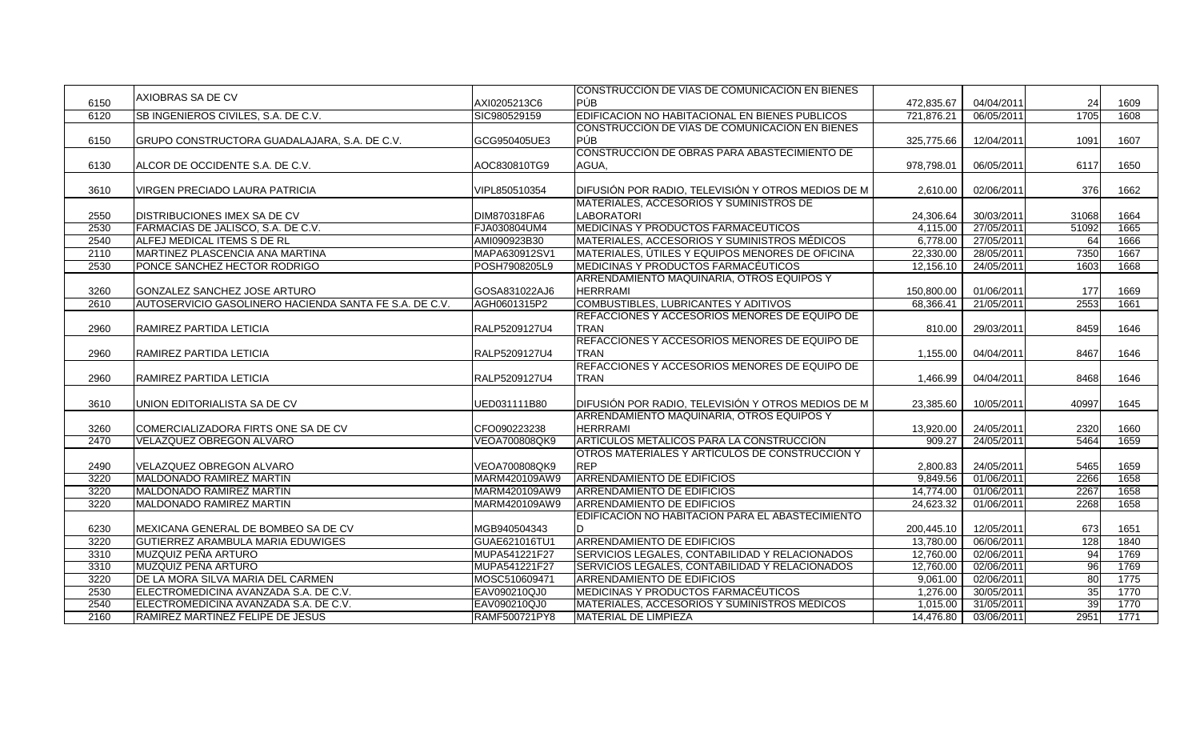|      |                                                        |               | <b>ICONSTRUCCIÓN DE VÍAS DE COMUNICACIÓN EN BIENES</b> |            |            |       |      |
|------|--------------------------------------------------------|---------------|--------------------------------------------------------|------------|------------|-------|------|
| 6150 | AXIOBRAS SA DE CV                                      | AXI0205213C6  | PÚB                                                    | 472,835.67 | 04/04/2011 | 24    | 1609 |
| 6120 | SB INGENIEROS CIVILES, S.A. DE C.V.                    | SIC980529159  | EDIFICACION NO HABITACIONAL EN BIENES PUBLICOS         | 721,876.21 | 06/05/2011 | 1705  | 1608 |
|      |                                                        |               | CONSTRUCCIÓN DE VÍAS DE COMUNICACIÓN EN BIENES         |            |            |       |      |
| 6150 | GRUPO CONSTRUCTORA GUADALAJARA, S.A. DE C.V.           | GCG950405UE3  | <b>PÚB</b>                                             | 325,775.66 | 12/04/2011 | 1091  | 1607 |
|      |                                                        |               | CONSTRUCCIÓN DE OBRAS PARA ABASTECIMIENTO DE           |            |            |       |      |
| 6130 | ALCOR DE OCCIDENTE S.A. DE C.V.                        | AOC830810TG9  | AGUA,                                                  | 978,798.01 | 06/05/2011 | 6117  | 1650 |
|      |                                                        |               |                                                        |            |            |       |      |
| 3610 | VIRGEN PRECIADO LAURA PATRICIA                         | VIPL850510354 | DIFUSIÓN POR RADIO, TELEVISIÓN Y OTROS MEDIOS DE M     | 2,610.00   | 02/06/2011 | 376   | 1662 |
|      |                                                        |               | MATERIALES, ACCESORIOS Y SUMINISTROS DE                |            |            |       |      |
| 2550 | DISTRIBUCIONES IMEX SA DE CV                           | DIM870318FA6  | <b>LABORATORI</b>                                      | 24,306.64  | 30/03/2011 | 31068 | 1664 |
| 2530 | FARMACIAS DE JALISCO, S.A. DE C.V.                     | FJA030804UM4  | MEDICINAS Y PRODUCTOS FARMACEUTICOS                    | 4,115.00   | 27/05/2011 | 51092 | 1665 |
| 2540 | ALFEJ MEDICAL ITEMS S DE RL                            | AMI090923B30  | MATERIALES, ACCESORIOS Y SUMINISTROS MÉDICOS           | 6,778.00   | 27/05/2011 | 64    | 1666 |
| 2110 | MARTINEZ PLASCENCIA ANA MARTINA                        | MAPA630912SV1 | MATERIALES, ÚTILES Y EQUIPOS MENORES DE OFICINA        | 22,330.00  | 28/05/2011 | 7350  | 1667 |
| 2530 | PONCE SANCHEZ HECTOR RODRIGO                           | POSH7908205L9 | <b>MEDICINAS Y PRODUCTOS FARMACEUTICOS</b>             | 12,156.10  | 24/05/2011 | 1603  | 1668 |
|      |                                                        |               | ARRENDAMIENTO MAQUINARIA, OTROS EQUIPOS Y              |            |            |       |      |
| 3260 | GONZALEZ SANCHEZ JOSE ARTURO                           | GOSA831022AJ6 | <b>HERRRAMI</b>                                        | 150,800.00 | 01/06/2011 | 177   | 1669 |
| 2610 | AUTOSERVICIO GASOLINERO HACIENDA SANTA FE S.A. DE C.V. | AGH0601315P2  | COMBUSTIBLES, LUBRICANTES Y ADITIVOS                   | 68,366.41  | 21/05/201  | 2553  | 1661 |
|      |                                                        |               | REFACCIONES Y ACCESORIOS MENORES DE EQUIPO DE          |            |            |       |      |
| 2960 | RAMIREZ PARTIDA LETICIA                                | RALP5209127U4 | <b>TRAN</b>                                            | 810.00     | 29/03/2011 | 8459  | 1646 |
|      |                                                        |               | REFACCIONES Y ACCESORIOS MENORES DE EQUIPO DE          |            |            |       |      |
| 2960 | RAMIREZ PARTIDA LETICIA                                | RALP5209127U4 | <b>TRAN</b>                                            | 1,155.00   | 04/04/2011 | 8467  | 1646 |
|      |                                                        |               | REFACCIONES Y ACCESORIOS MENORES DE EQUIPO DE          |            |            |       |      |
| 2960 | RAMIREZ PARTIDA LETICIA                                | RALP5209127U4 | <b>TRAN</b>                                            | 1,466.99   | 04/04/2011 | 8468  | 1646 |
|      |                                                        |               |                                                        |            |            |       |      |
| 3610 | UNION EDITORIALISTA SA DE CV                           | UED031111B80  | DIFUSIÓN POR RADIO, TELEVISIÓN Y OTROS MEDIOS DE M     | 23,385.60  | 10/05/2011 | 40997 | 1645 |
|      |                                                        |               | ARRENDAMIENTO MAQUINARIA, OTROS EQUIPOS Y              |            |            |       |      |
| 3260 | COMERCIALIZADORA FIRTS ONE SA DE CV                    | CFO090223238  | <b>HERRRAMI</b>                                        | 13,920.00  | 24/05/2011 | 2320  | 1660 |
| 2470 | <b>VELAZQUEZ OBREGON ALVARO</b>                        | VEOA700808QK9 | ARTÍCULOS METÁLICOS PARA LA CONSTRUCCIÓN               | 909.27     | 24/05/2011 | 5464  | 1659 |
|      |                                                        |               | OTROS MATERIALES Y ARTÍCULOS DE CONSTRUCCIÓN Y         |            |            |       |      |
| 2490 | VELAZQUEZ OBREGON ALVARO                               | VEOA700808QK9 | <b>REP</b>                                             | 2,800.83   | 24/05/2011 | 5465  | 1659 |
| 3220 | MALDONADO RAMIREZ MARTIN                               | MARM420109AW9 | <b>ARRENDAMIENTO DE EDIFICIOS</b>                      | 9,849.56   | 01/06/2011 | 2266  | 1658 |
| 3220 | MALDONADO RAMIREZ MARTIN                               | MARM420109AW9 | ARRENDAMIENTO DE EDIFICIOS                             | 14,774.00  | 01/06/2011 | 2267  | 1658 |
| 3220 | <b>MALDONADO RAMIREZ MARTIN</b>                        | MARM420109AW9 | ARRENDAMIENTO DE EDIFICIOS                             | 24,623.32  | 01/06/2011 | 2268  | 1658 |
|      |                                                        |               | EDIFICACIÓN NO HABITACION PARA EL ABASTECIMIENTO       |            |            |       |      |
| 6230 | MEXICANA GENERAL DE BOMBEO SA DE CV                    | MGB940504343  |                                                        | 200,445.10 | 12/05/2011 | 673   | 1651 |
| 3220 | GUTIERREZ ARAMBULA MARIA EDUWIGES                      | GUAE621016TU1 | <b>ARRENDAMIENTO DE EDIFICIOS</b>                      | 13,780.00  | 06/06/2011 | 128   | 1840 |
| 3310 | MUZQUIZ PEÑA ARTURO                                    | MUPA541221F27 | SERVICIOS LEGALES, CONTABILIDAD Y RELACIONADOS         | 12,760.00  | 02/06/2011 | 94    | 1769 |
| 3310 | <b>MUZQUIZ PEÑA ARTURO</b>                             | MUPA541221F27 | SERVICIOS LEGALES, CONTABILIDAD Y RELACIONADOS         | 12,760.00  | 02/06/2011 | 96    | 1769 |
| 3220 | DE LA MORA SILVA MARIA DEL CARMEN                      | MOSC510609471 | <b>ARRENDAMIENTO DE EDIFICIOS</b>                      | 9,061.00   | 02/06/2011 | 80    | 1775 |
| 2530 | ELECTROMEDICINA AVANZADA S.A. DE C.V.                  | EAV090210QJ0  | <b>MEDICINAS Y PRODUCTOS FARMACÉUTICOS</b>             | 1,276.00   | 30/05/201  | 35    | 1770 |
| 2540 | ELECTROMEDICINA AVANZADA S.A. DE C.V.                  | EAV090210QJ0  | MATERIALES, ACCESORIOS Y SUMINISTROS MÉDICOS           | 1,015.00   | 31/05/2011 | 39    | 1770 |
| 2160 | RAMIREZ MARTINEZ FELIPE DE JESUS                       | RAMF500721PY8 | <b>MATERIAL DE LIMPIEZA</b>                            | 14,476.80  | 03/06/2011 | 2951  | 1771 |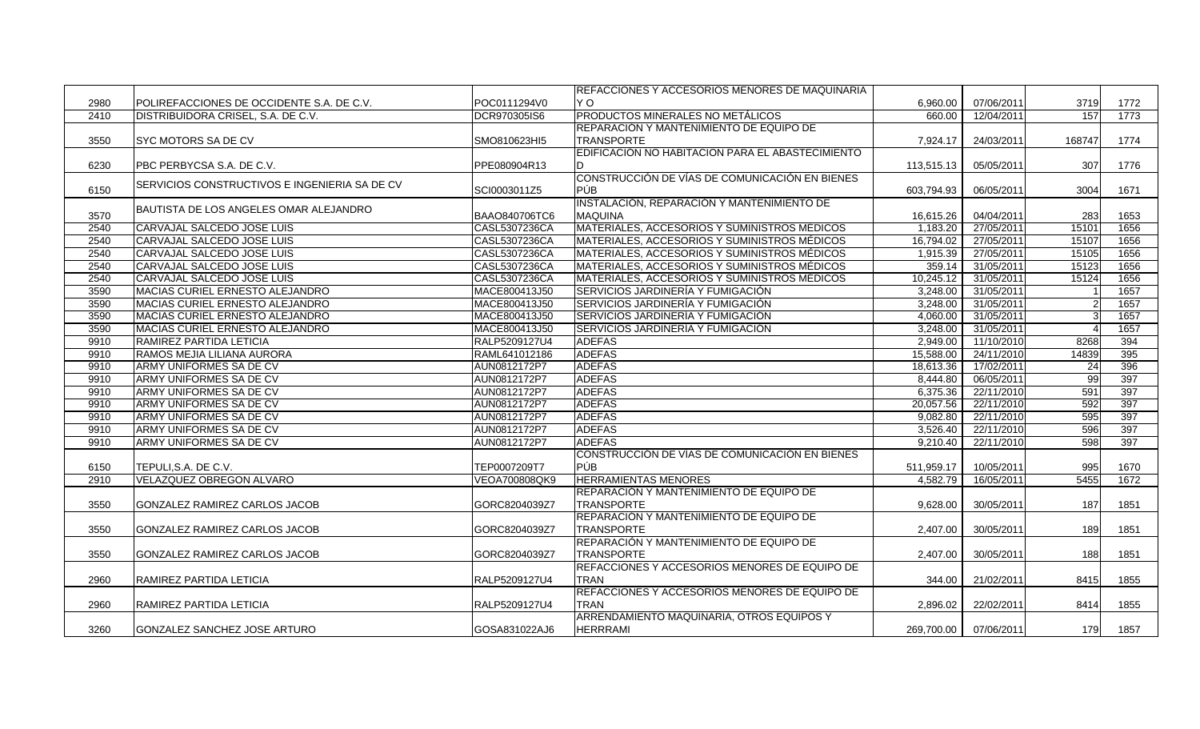|      |                                               |               | <b>REFACCIONES Y ACCESORIOS MENORES DE MAQUINARIA</b> |            |            |        |      |
|------|-----------------------------------------------|---------------|-------------------------------------------------------|------------|------------|--------|------|
| 2980 | POLIREFACCIONES DE OCCIDENTE S.A. DE C.V.     | POC0111294V0  | Y O                                                   | 6,960.00   | 07/06/2011 | 3719   | 1772 |
| 2410 | DISTRIBUIDORA CRISEL, S.A. DE C.V.            | DCR970305IS6  | PRODUCTOS MINERALES NO METÁLICOS                      | 660.00     | 12/04/2011 | 157    | 1773 |
|      |                                               |               | REPARACIÓN Y MANTENIMIENTO DE EQUIPO DE               |            |            |        |      |
| 3550 | SYC MOTORS SA DE CV                           | SMO810623HI5  | <b>TRANSPORTE</b>                                     | 7,924.17   | 24/03/2011 | 168747 | 1774 |
|      |                                               |               | EDIFICACIÓN NO HABITACION PARA EL ABASTECIMIENTO      |            |            |        |      |
| 6230 | PBC PERBYCSA S.A. DE C.V.                     | PPE080904R13  |                                                       | 113,515.13 | 05/05/2011 | 307    | 1776 |
|      | SERVICIOS CONSTRUCTIVOS E INGENIERIA SA DE CV |               | CONSTRUCCIÓN DE VÍAS DE COMUNICACIÓN EN BIENES        |            |            |        |      |
| 6150 |                                               | SCI0003011Z5  | PÚB                                                   | 603.794.93 | 06/05/2011 | 3004   | 1671 |
|      | BAUTISTA DE LOS ANGELES OMAR ALEJANDRO        |               | INSTALACIÓN, REPARACIÓN Y MANTENIMIENTO DE            |            |            |        |      |
| 3570 |                                               | BAAO840706TC6 | <b>MAQUINA</b>                                        | 16,615.26  | 04/04/2011 | 283    | 1653 |
| 2540 | CARVAJAL SALCEDO JOSE LUIS                    | CASL5307236CA | MATERIALES, ACCESORIOS Y SUMINISTROS MÉDICOS          | 1.183.20   | 27/05/2011 | 15101  | 1656 |
| 2540 | CARVAJAL SALCEDO JOSE LUIS                    | CASL5307236CA | IMATERIALES. ACCESORIOS Y SUMINISTROS MÉDICOS         | 16,794.02  | 27/05/2011 | 15107  | 1656 |
| 2540 | CARVAJAL SALCEDO JOSE LUIS                    | CASL5307236CA | MATERIALES, ACCESORIOS Y SUMINISTROS MÉDICOS          | 1,915.39   | 27/05/2011 | 15105  | 1656 |
| 2540 | CARVAJAL SALCEDO JOSE LUIS                    | CASL5307236CA | MATERIALES, ACCESORIOS Y SUMINISTROS MÉDICOS          | 359.14     | 31/05/2011 | 15123  | 1656 |
| 2540 | CARVAJAL SALCEDO JOSE LUIS                    | CASL5307236CA | MATERIALES, ACCESORIOS Y SUMINISTROS MÉDICOS          | 10,245.12  | 31/05/201  | 15124  | 1656 |
| 3590 | MACIAS CURIEL ERNESTO ALEJANDRO               | MACE800413J50 | SERVICIOS JARDINERÍA Y FUMIGACIÓN                     | 3,248.00   | 31/05/2011 |        | 1657 |
| 3590 | MACIAS CURIEL ERNESTO ALEJANDRO               | MACE800413J50 | SERVICIOS JARDINERÍA Y FUMIGACIÓN                     | 3,248.00   | 31/05/2011 |        | 1657 |
| 3590 | MACIAS CURIEL ERNESTO ALEJANDRO               | MACE800413J50 | SERVICIOS JARDINERÍA Y FUMIGACIÓN                     | 4.060.00   | 31/05/2011 |        | 1657 |
| 3590 | MACIAS CURIEL ERNESTO ALEJANDRO               | MACE800413J50 | SERVICIOS JARDINERÍA Y FUMIGACIÓN                     | 3,248.00   | 31/05/2011 |        | 1657 |
| 9910 | RAMIREZ PARTIDA LETICIA                       | RALP5209127U4 | <b>ADEFAS</b>                                         | 2,949.00   | 11/10/2010 | 8268   | 394  |
| 9910 | RAMOS MEJIA LILIANA AURORA                    | RAML641012186 | <b>ADEFAS</b>                                         | 15.588.00  | 24/11/2010 | 14839  | 395  |
| 9910 | ARMY UNIFORMES SA DE CV                       | AUN0812172P7  | <b>ADEFAS</b>                                         | 18,613.36  | 17/02/2011 | 24     | 396  |
| 9910 | ARMY UNIFORMES SA DE CV                       | AUN0812172P7  | <b>ADEFAS</b>                                         | 8,444.80   | 06/05/2011 | 99     | 397  |
| 9910 | ARMY UNIFORMES SA DE CV                       | AUN0812172P7  | <b>ADEFAS</b>                                         | 6,375.36   | 22/11/2010 | 591    | 397  |
| 9910 | ARMY UNIFORMES SA DE CV                       | AUN0812172P7  | <b>ADEFAS</b>                                         | 20,057.56  | 22/11/2010 | 592    | 397  |
| 9910 | ARMY UNIFORMES SA DE CV                       | AUN0812172P7  | <b>ADEFAS</b>                                         | 9,082.80   | 22/11/2010 | 595    | 397  |
| 9910 | ARMY UNIFORMES SA DE CV                       | AUN0812172P7  | <b>ADEFAS</b>                                         | 3,526.40   | 22/11/2010 | 596    | 397  |
| 9910 | ARMY UNIFORMES SA DE CV                       | AUN0812172P7  | <b>ADEFAS</b>                                         | 9,210.40   | 22/11/2010 | 598    | 397  |
|      |                                               |               | CONSTRUCCIÓN DE VÍAS DE COMUNICACIÓN EN BIENES        |            |            |        |      |
| 6150 | TEPULI, S.A. DE C.V.                          | TEP0007209T7  | <b>PÚB</b>                                            | 511,959.17 | 10/05/2011 | 995    | 1670 |
| 2910 | VELAZQUEZ OBREGON ALVARO                      | VEOA700808QK9 | <b>HERRAMIENTAS MENORES</b>                           | 4,582.79   | 16/05/2011 | 5455   | 1672 |
|      |                                               |               | REPARACIÓN Y MANTENIMIENTO DE EQUIPO DE               |            |            |        |      |
| 3550 | GONZALEZ RAMIREZ CARLOS JACOB                 | GORC8204039Z7 | <b>TRANSPORTE</b>                                     | 9,628.00   | 30/05/2011 | 187    | 1851 |
|      |                                               |               | REPARACIÓN Y MANTENIMIENTO DE EQUIPO DE               |            |            |        |      |
| 3550 | GONZALEZ RAMIREZ CARLOS JACOB                 | GORC8204039Z7 | <b>TRANSPORTE</b>                                     | 2.407.00   | 30/05/2011 | 189    | 1851 |
|      |                                               |               | REPARACIÓN Y MANTENIMIENTO DE EQUIPO DE               |            |            |        |      |
| 3550 | GONZALEZ RAMIREZ CARLOS JACOB                 | GORC8204039Z7 | <b>TRANSPORTE</b>                                     | 2,407.00   | 30/05/2011 | 188    | 1851 |
|      |                                               |               | REFACCIONES Y ACCESORIOS MENORES DE EQUIPO DE         |            |            |        |      |
| 2960 | RAMIREZ PARTIDA LETICIA                       | RALP5209127U4 | <b>TRAN</b>                                           | 344.00     | 21/02/2011 | 8415   | 1855 |
|      |                                               |               | REFACCIONES Y ACCESORIOS MENORES DE EQUIPO DE         |            |            |        |      |
| 2960 | RAMIREZ PARTIDA LETICIA                       | RALP5209127U4 | <b>TRAN</b>                                           | 2,896.02   | 22/02/2011 | 8414   | 1855 |
|      |                                               |               | ARRENDAMIENTO MAQUINARIA, OTROS EQUIPOS Y             |            |            |        |      |
| 3260 | GONZALEZ SANCHEZ JOSE ARTURO                  | GOSA831022AJ6 | <b>HERRRAMI</b>                                       | 269,700.00 | 07/06/2011 | 179    | 1857 |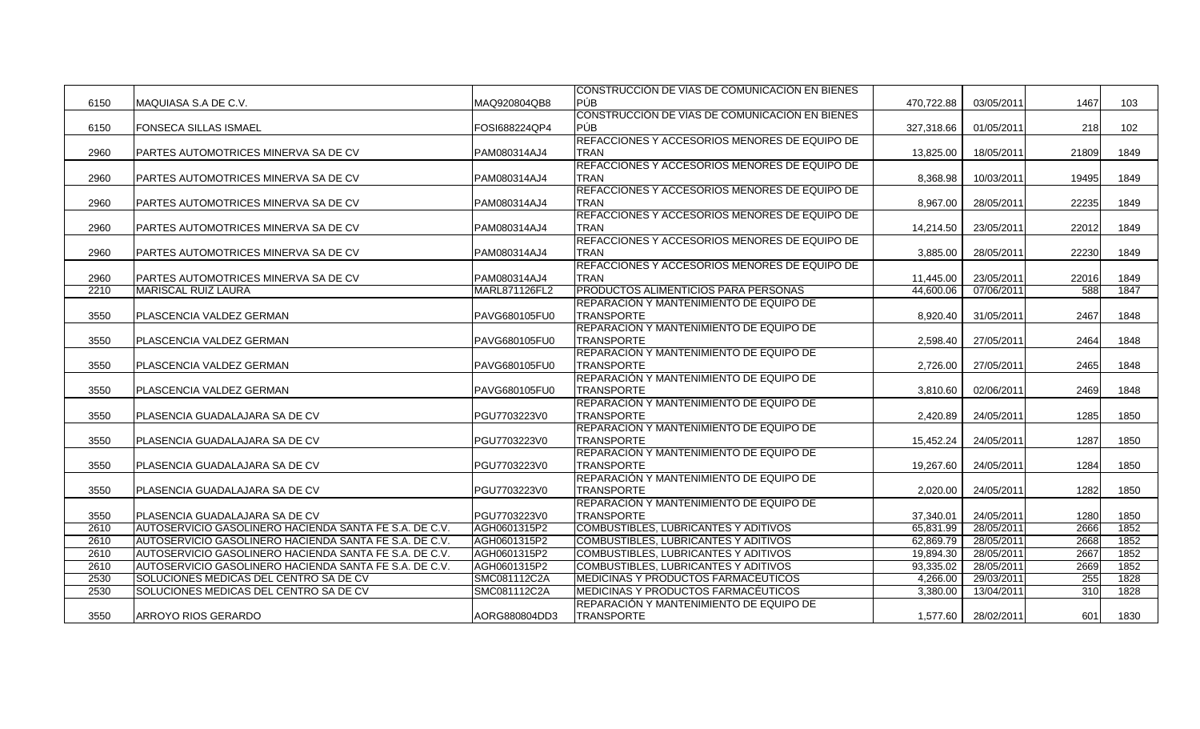|      |                                                         |               | CONSTRUCCION DE VIAS DE COMUNICACION EN BIENES |            |            |       |      |
|------|---------------------------------------------------------|---------------|------------------------------------------------|------------|------------|-------|------|
| 6150 | MAQUIASA S.A DE C.V.                                    | MAQ920804QB8  | PÚB                                            | 470,722.88 | 03/05/2011 | 1467  | 103  |
|      |                                                         |               | CONSTRUCCIÓN DE VÍAS DE COMUNICACIÓN EN BIENES |            |            |       |      |
| 6150 | <b>FONSECA SILLAS ISMAEL</b>                            | FOSI688224QP4 | PÚB.                                           | 327,318.66 | 01/05/2011 | 218   | 102  |
|      |                                                         |               | REFACCIONES Y ACCESORIOS MENORES DE EQUIPO DE  |            |            |       |      |
| 2960 | <b>PARTES AUTOMOTRICES MINERVA SA DE CV</b>             | PAM080314AJ4  | TRAN                                           | 13,825.00  | 18/05/2011 | 21809 | 1849 |
|      |                                                         |               | REFACCIONES Y ACCESORIOS MENORES DE EQUIPO DE  |            |            |       |      |
| 2960 | <b>PARTES AUTOMOTRICES MINERVA SA DE CV</b>             | PAM080314AJ4  | <b>TRAN</b>                                    | 8,368.98   | 10/03/2011 | 19495 | 1849 |
|      |                                                         |               | REFACCIONES Y ACCESORIOS MENORES DE EQUIPO DE  |            |            |       |      |
| 2960 | PARTES AUTOMOTRICES MINERVA SA DE CV                    | PAM080314AJ4  | <b>TRAN</b>                                    | 8,967.00   | 28/05/2011 | 22235 | 1849 |
|      |                                                         |               | REFACCIONES Y ACCESORIOS MENORES DE EQUIPO DE  |            |            |       |      |
| 2960 | <b>PARTES AUTOMOTRICES MINERVA SA DE CV</b>             | PAM080314AJ4  | TRAN                                           | 14.214.50  | 23/05/2011 | 22012 | 1849 |
|      |                                                         |               | REFACCIONES Y ACCESORIOS MENORES DE EQUIPO DE  |            |            |       |      |
| 2960 | PARTES AUTOMOTRICES MINERVA SA DE CV                    | PAM080314AJ4  | TRAN                                           | 3,885.00   | 28/05/2011 | 22230 | 1849 |
|      |                                                         |               | REFACCIONES Y ACCESORIOS MENORES DE EQUIPO DE  |            |            |       |      |
| 2960 | PARTES AUTOMOTRICES MINERVA SA DE CV                    | PAM080314AJ4  | <b>TRAN</b>                                    | 11,445.00  | 23/05/2011 | 22016 | 1849 |
| 2210 | <b>MARISCAL RUIZ LAURA</b>                              | MARL871126FL2 | PRODUCTOS ALIMENTICIOS PARA PERSONAS           | 44,600.06  | 07/06/2011 | 588   | 1847 |
|      |                                                         |               | REPARACIÓN Y MANTENIMIENTO DE EQUIPO DE        |            |            |       |      |
| 3550 | PLASCENCIA VALDEZ GERMAN                                | PAVG680105FU0 | TRANSPORTE                                     | 8,920.40   | 31/05/2011 | 2467  | 1848 |
|      |                                                         |               | REPARACIÓN Y MANTENIMIENTO DE EQUIPO DE        |            |            |       |      |
| 3550 | PLASCENCIA VALDEZ GERMAN                                | PAVG680105FU0 | <b>TRANSPORTE</b>                              | 2,598.40   | 27/05/2011 | 2464  | 1848 |
|      |                                                         |               | REPARACIÓN Y MANTENIMIENTO DE EQUIPO DE        |            |            |       |      |
| 3550 | PLASCENCIA VALDEZ GERMAN                                | PAVG680105FU0 | TRANSPORTE                                     | 2,726.00   | 27/05/2011 | 2465  | 1848 |
|      |                                                         |               | REPARACIÓN Y MANTENIMIENTO DE EQUIPO DE        |            |            |       |      |
| 3550 | PLASCENCIA VALDEZ GERMAN                                | PAVG680105FU0 | <b>TRANSPORTE</b>                              | 3,810.60   | 02/06/2011 | 2469  | 1848 |
|      |                                                         |               | REPARACIÓN Y MANTENIMIENTO DE EQUIPO DE        |            |            |       |      |
| 3550 | PLASENCIA GUADALAJARA SA DE CV                          | PGU7703223V0  | <b>TRANSPORTE</b>                              | 2,420.89   | 24/05/2011 | 1285  | 1850 |
|      |                                                         |               | REPARACIÓN Y MANTENIMIENTO DE EQUIPO DE        |            |            |       |      |
| 3550 | PLASENCIA GUADALAJARA SA DE CV                          | PGU7703223V0  | <b>TRANSPORTE</b>                              | 15,452.24  | 24/05/2011 | 1287  | 1850 |
|      |                                                         |               | REPARACIÓN Y MANTENIMIENTO DE EQUIPO DE        |            |            |       |      |
| 3550 | PLASENCIA GUADALAJARA SA DE CV                          | PGU7703223V0  | <b>TRANSPORTE</b>                              | 19,267.60  | 24/05/2011 | 1284  | 1850 |
|      |                                                         |               | REPARACIÓN Y MANTENIMIENTO DE EQUIPO DE        |            |            |       |      |
| 3550 | PLASENCIA GUADALAJARA SA DE CV                          | PGU7703223V0  | <b>TRANSPORTE</b>                              | 2,020.00   | 24/05/2011 | 1282  | 1850 |
|      |                                                         |               | REPARACIÓN Y MANTENIMIENTO DE EQUIPO DE        |            |            |       |      |
| 3550 | PLASENCIA GUADALAJARA SA DE CV                          | PGU7703223V0  | <b>TRANSPORTE</b>                              | 37,340.01  | 24/05/2011 | 1280  | 1850 |
| 2610 | AUTOSERVICIO GASOLINERO HACIENDA SANTA FE S.A. DE C.V.  | AGH0601315P2  | COMBUSTIBLES, LUBRICANTES Y ADITIVOS           | 65,831.99  | 28/05/2011 | 2666  | 1852 |
| 2610 | IAUTOSERVICIO GASOLINERO HACIENDA SANTA FE S.A. DE C.V. | AGH0601315P2  | COMBUSTIBLES, LUBRICANTES Y ADITIVOS           | 62.869.79  | 28/05/2011 | 2668  | 1852 |
| 2610 | AUTOSERVICIO GASOLINERO HACIENDA SANTA FE S.A. DE C.V.  | AGH0601315P2  | COMBUSTIBLES, LUBRICANTES Y ADITIVOS           | 19,894.30  | 28/05/2011 | 2667  | 1852 |
| 2610 | AUTOSERVICIO GASOLINERO HACIENDA SANTA FE S.A. DE C.V.  | AGH0601315P2  | COMBUSTIBLES, LUBRICANTES Y ADITIVOS           | 93,335.02  | 28/05/2011 | 2669  | 1852 |
| 2530 | SOLUCIONES MEDICAS DEL CENTRO SA DE CV                  | SMC081112C2A  | <b>MEDICINAS Y PRODUCTOS FARMACÉUTICOS</b>     | 4,266.00   | 29/03/2011 | 255   | 1828 |
| 2530 | SOLUCIONES MEDICAS DEL CENTRO SA DE CV                  | SMC081112C2A  | MEDICINAS Y PRODUCTOS FARMACEUTICOS            | 3,380.00   | 13/04/2011 | 310   | 1828 |
|      |                                                         |               | REPARACIÓN Y MANTENIMIENTO DE EQUIPO DE        |            |            |       |      |
| 3550 | <b>ARROYO RIOS GERARDO</b>                              | AORG880804DD3 | <b>TRANSPORTE</b>                              | 1.577.60   | 28/02/2011 | 601   | 1830 |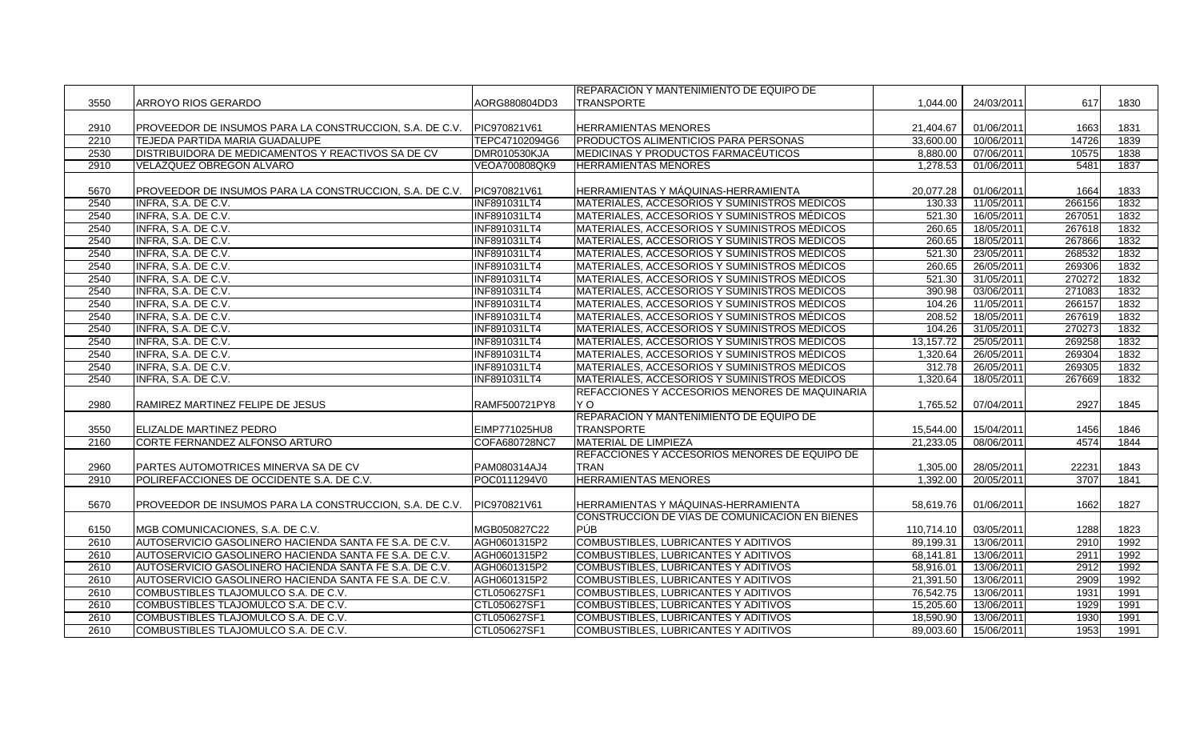|      |                                                         |                     | <b>REPARACIÓN Y MANTENIMIENTO DE EQUIPO DE</b>       |            |            |        |      |
|------|---------------------------------------------------------|---------------------|------------------------------------------------------|------------|------------|--------|------|
| 3550 | ARROYO RIOS GERARDO                                     | AORG880804DD3       | <b>TRANSPORTE</b>                                    | 1.044.00   | 24/03/2011 | 617    | 1830 |
|      |                                                         |                     |                                                      |            |            |        |      |
| 2910 | PROVEEDOR DE INSUMOS PARA LA CONSTRUCCION, S.A. DE C.V. | PIC970821V61        | <b>HERRAMIENTAS MENORES</b>                          | 21,404.67  | 01/06/2011 | 1663   | 1831 |
| 2210 | TEJEDA PARTIDA MARIA GUADALUPE                          | TEPC47102094G6      | <b>PRODUCTOS ALIMENTICIOS PARA PERSONAS</b>          | 33,600.00  | 10/06/2011 | 14726  | 1839 |
| 2530 | DISTRIBUIDORA DE MEDICAMENTOS Y REACTIVOS SA DE CV      | DMR010530KJA        | MEDICINAS Y PRODUCTOS FARMACÉUTICOS                  | 8,880.00   | 07/06/2011 | 10575  | 1838 |
| 2910 | VELAZQUEZ OBREGON ALVARO                                | VEOA700808QK9       | <b>HERRAMIENTAS MENORES</b>                          | 1,278.53   | 01/06/2011 | 5481   | 1837 |
|      |                                                         |                     |                                                      |            |            |        |      |
| 5670 | PROVEEDOR DE INSUMOS PARA LA CONSTRUCCION, S.A. DE C.V. | PIC970821V61        | HERRAMIENTAS Y MÁQUINAS-HERRAMIENTA                  | 20,077.28  | 01/06/2011 | 1664   | 1833 |
| 2540 | INFRA, S.A. DE C.V.                                     | <b>INF891031LT4</b> | MATERIALES, ACCESORIOS Y SUMINISTROS MÉDICOS         | 130.33     | 11/05/2011 | 266156 | 1832 |
| 2540 | INFRA, S.A. DE C.V.                                     | <b>INF891031LT4</b> | MATERIALES, ACCESORIOS Y SUMINISTROS MÉDICOS         | 521.30     | 16/05/2011 | 267051 | 1832 |
| 2540 | INFRA, S.A. DE C.V.                                     | <b>INF891031LT4</b> | MATERIALES, ACCESORIOS Y SUMINISTROS MÉDICOS         | 260.65     | 18/05/2011 | 267618 | 1832 |
| 2540 | INFRA, S.A. DE C.V.                                     | <b>INF891031LT4</b> | <b>MATERIALES, ACCESORIOS Y SUMINISTROS MÉDICOS</b>  | 260.65     | 18/05/2011 | 267866 | 1832 |
| 2540 | INFRA, S.A. DE C.V.                                     | <b>INF891031LT4</b> | MATERIALES, ACCESORIOS Y SUMINISTROS MÉDICOS         | 521.30     | 23/05/2011 | 268532 | 1832 |
| 2540 | INFRA, S.A. DE C.V.                                     | INF891031LT4        | MATERIALES, ACCESORIOS Y SUMINISTROS MÉDICOS         | 260.65     | 26/05/2011 | 269306 | 1832 |
| 2540 | INFRA, S.A. DE C.V.                                     | INF891031LT4        | MATERIALES, ACCESORIOS Y SUMINISTROS MÉDICOS         | 521.30     | 31/05/2011 | 270272 | 1832 |
| 2540 | INFRA, S.A. DE C.V.                                     | <b>INF891031LT4</b> | MATERIALES, ACCESORIOS Y SUMINISTROS MÉDICOS         | 390.98     | 03/06/2011 | 271083 | 1832 |
| 2540 | INFRA, S.A. DE C.V.                                     | INF891031LT4        | <b>MATERIALES, ACCESORIOS Y SUMINISTROS MÉDICOS</b>  | 104.26     | 11/05/2011 | 266157 | 1832 |
| 2540 | INFRA, S.A. DE C.V.                                     | <b>INF891031LT4</b> | MATERIALES, ACCESORIOS Y SUMINISTROS MÉDICOS         | 208.52     | 18/05/2011 | 267619 | 1832 |
| 2540 | INFRA, S.A. DE C.V.                                     | <b>INF891031LT4</b> | MATERIALES, ACCESORIOS Y SUMINISTROS MÉDICOS         | 104.26     | 31/05/2011 | 270273 | 1832 |
| 2540 | INFRA, S.A. DE C.V.                                     | <b>INF891031LT4</b> | MATERIALES, ACCESORIOS Y SUMINISTROS MÉDICOS         | 13,157.72  | 25/05/2011 | 269258 | 1832 |
| 2540 | INFRA, S.A. DE C.V.                                     | INF891031LT4        | MATERIALES, ACCESORIOS Y SUMINISTROS MÉDICOS         | 1,320.64   | 26/05/2011 | 269304 | 1832 |
| 2540 | INFRA, S.A. DE C.V.                                     | <b>INF891031LT4</b> | MATERIALES, ACCESORIOS Y SUMINISTROS MÉDICOS         | 312.78     | 26/05/2011 | 269305 | 1832 |
| 2540 | INFRA, S.A. DE C.V.                                     | INF891031LT4        | MATERIALES, ACCESORIOS Y SUMINISTROS MÉDICOS         | 1,320.64   | 18/05/2011 | 267669 | 1832 |
|      |                                                         |                     | REFACCIONES Y ACCESORIOS MENORES DE MAQUINARIA       |            |            |        |      |
| 2980 | RAMIREZ MARTINEZ FELIPE DE JESUS                        | RAMF500721PY8       | Y O                                                  | 1,765.52   | 07/04/2011 | 2927   | 1845 |
|      |                                                         |                     | REPARACIÓN Y MANTENIMIENTO DE EQUIPO DE              |            |            |        |      |
| 3550 | ELIZALDE MARTINEZ PEDRO                                 | EIMP771025HU8       | <b>TRANSPORTE</b>                                    | 15,544.00  | 15/04/2011 | 1456   | 1846 |
| 2160 | CORTE FERNANDEZ ALFONSO ARTURO                          | COFA680728NC7       | <b>MATERIAL DE LIMPIEZA</b>                          | 21,233.05  | 08/06/2011 | 4574   | 1844 |
|      |                                                         |                     | <b>REFACCIONES Y ACCESORIOS MENORES DE EQUIPO DE</b> |            |            |        |      |
| 2960 | PARTES AUTOMOTRICES MINERVA SA DE CV                    | PAM080314AJ4        | <b>TRAN</b>                                          | 1,305.00   | 28/05/2011 | 22231  | 1843 |
| 2910 | POLIREFACCIONES DE OCCIDENTE S.A. DE C.V.               | POC0111294V0        | <b>HERRAMIENTAS MENORES</b>                          | 1,392.00   | 20/05/2011 | 3707   | 1841 |
|      |                                                         |                     |                                                      |            |            |        |      |
| 5670 | PROVEEDOR DE INSUMOS PARA LA CONSTRUCCION, S.A. DE C.V. | PIC970821V61        | HERRAMIENTAS Y MÁQUINAS-HERRAMIENTA                  | 58,619.76  | 01/06/2011 | 1662   | 1827 |
|      |                                                         |                     | CONSTRUCCIÓN DE VÍAS DE COMUNICACIÓN EN BIENES       |            |            |        |      |
| 6150 | MGB COMUNICACIONES, S.A. DE C.V.                        | MGB050827C22        | PÚB                                                  | 110,714.10 | 03/05/2011 | 1288   | 1823 |
| 2610 | AUTOSERVICIO GASOLINERO HACIENDA SANTA FE S.A. DE C.V.  | AGH0601315P2        | COMBUSTIBLES, LUBRICANTES Y ADITIVOS                 | 89,199.31  | 13/06/2011 | 2910   | 1992 |
| 2610 | AUTOSERVICIO GASOLINERO HACIENDA SANTA FE S.A. DE C.V.  | AGH0601315P2        | COMBUSTIBLES, LUBRICANTES Y ADITIVOS                 | 68,141.81  | 13/06/2011 | 2911   | 1992 |
| 2610 | AUTOSERVICIO GASOLINERO HACIENDA SANTA FE S.A. DE C.V.  | AGH0601315P2        | COMBUSTIBLES, LUBRICANTES Y ADITIVOS                 | 58,916.01  | 13/06/2011 | 2912   | 1992 |
| 2610 | AUTOSERVICIO GASOLINERO HACIENDA SANTA FE S.A. DE C.V.  | AGH0601315P2        | <b>COMBUSTIBLES, LUBRICANTES Y ADITIVOS</b>          | 21,391.50  | 13/06/2011 | 2909   | 1992 |
| 2610 | COMBUSTIBLES TLAJOMULCO S.A. DE C.V.                    | CTL050627SF1        | COMBUSTIBLES, LUBRICANTES Y ADITIVOS                 | 76,542.75  | 13/06/2011 | 1931   | 1991 |
| 2610 | COMBUSTIBLES TLAJOMULCO S.A. DE C.V.                    | CTL050627SF1        | COMBUSTIBLES, LUBRICANTES Y ADITIVOS                 | 15,205.60  | 13/06/2011 | 1929   | 1991 |
| 2610 | COMBUSTIBLES TLAJOMULCO S.A. DE C.V.                    | CTL050627SF1        | COMBUSTIBLES, LUBRICANTES Y ADITIVOS                 | 18,590.90  | 13/06/2011 | 1930   | 1991 |
| 2610 |                                                         |                     |                                                      |            |            |        |      |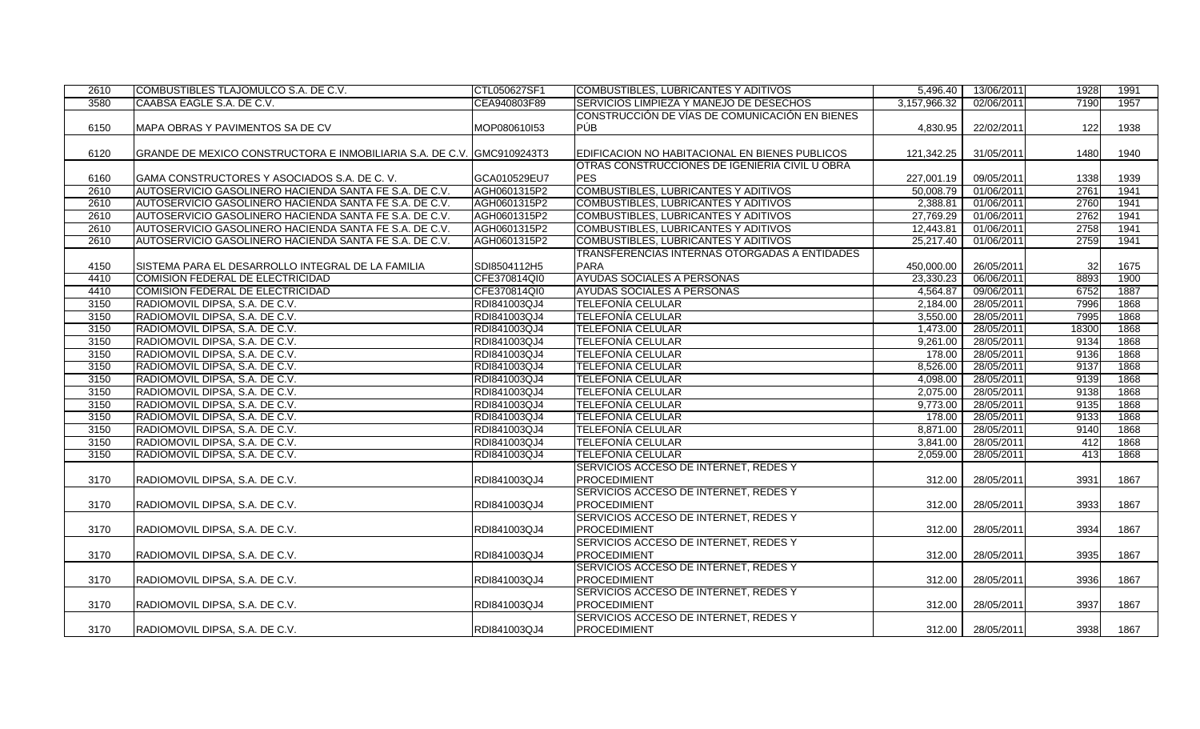| 2610 | COMBUSTIBLES TLAJOMULCO S.A. DE C.V.                                   | CTL050627SF1 | COMBUSTIBLES, LUBRICANTES Y ADITIVOS           | 5,496.40     | 13/06/2011        | 1928  | 1991 |
|------|------------------------------------------------------------------------|--------------|------------------------------------------------|--------------|-------------------|-------|------|
| 3580 | CAABSA EAGLE S.A. DE C.V.                                              | CEA940803F89 | <b>SERVICIOS LIMPIEZA Y MANEJO DE DESECHOS</b> | 3.157.966.32 | 02/06/2011        | 7190  | 1957 |
|      |                                                                        |              | CONSTRUCCIÓN DE VÍAS DE COMUNICACIÓN EN BIENES |              |                   |       |      |
| 6150 | MAPA OBRAS Y PAVIMENTOS SA DE CV                                       | MOP080610I53 | <b>PÚB</b>                                     | 4,830.95     | 22/02/2011        | 122   | 1938 |
|      |                                                                        |              |                                                |              |                   |       |      |
| 6120 | GRANDE DE MEXICO CONSTRUCTORA E INMOBILIARIA S.A. DE C.V. GMC9109243T3 |              | EDIFICACION NO HABITACIONAL EN BIENES PUBLICOS | 121,342.25   | 31/05/2011        | 1480  | 1940 |
|      |                                                                        |              | OTRAS CONSTRUCCIONES DE IGENIERIA CIVIL U OBRA |              |                   |       |      |
| 6160 | GAMA CONSTRUCTORES Y ASOCIADOS S.A. DE C.V.                            | GCA010529EU7 | <b>PES</b>                                     | 227.001.19   | 09/05/2011        | 1338  | 1939 |
| 2610 | AUTOSERVICIO GASOLINERO HACIENDA SANTA FE S.A. DE C.V.                 | AGH0601315P2 | COMBUSTIBLES, LUBRICANTES Y ADITIVOS           | 50.008.79    | 01/06/2011        | 2761  | 1941 |
| 2610 | AUTOSERVICIO GASOLINERO HACIENDA SANTA FE S.A. DE C.V.                 | AGH0601315P2 | COMBUSTIBLES, LUBRICANTES Y ADITIVOS           | 2,388.81     | 01/06/2011        | 2760  | 1941 |
| 2610 | AUTOSERVICIO GASOLINERO HACIENDA SANTA FE S.A. DE C.V.                 | AGH0601315P2 | COMBUSTIBLES, LUBRICANTES Y ADITIVOS           | 27,769.29    | 01/06/2011        | 2762  | 1941 |
| 2610 | AUTOSERVICIO GASOLINERO HACIENDA SANTA FE S.A. DE C.V.                 | AGH0601315P2 | COMBUSTIBLES, LUBRICANTES Y ADITIVOS           | 12,443.81    | 01/06/2011        | 2758  | 1941 |
| 2610 | AUTOSERVICIO GASOLINERO HACIENDA SANTA FE S.A. DE C.V.                 | AGH0601315P2 | COMBUSTIBLES, LUBRICANTES Y ADITIVOS           | 25,217.40    | 01/06/2011        | 2759  | 1941 |
|      |                                                                        |              | TRANSFERENCIAS INTERNAS OTORGADAS A ENTIDADES  |              |                   |       |      |
| 4150 | SISTEMA PARA EL DESARROLLO INTEGRAL DE LA FAMILIA                      | SDI8504112H5 | <b>PARA</b>                                    | 450,000.00   | 26/05/2011        | 32    | 1675 |
| 4410 | COMISION FEDERAL DE ELECTRICIDAD                                       | CFE370814QI0 | AYUDAS SOCIALES A PERSONAS                     | 23,330.23    | 06/06/2011        | 8893  | 1900 |
| 4410 | COMISION FEDERAL DE ELECTRICIDAD                                       | CFE370814QI0 | AYUDAS SOCIALES A PERSONAS                     | 4,564.87     | 09/06/2011        | 6752  | 1887 |
| 3150 | RADIOMOVIL DIPSA, S.A. DE C.V.                                         | RDI841003QJ4 | <b>TELEFONÍA CELULAR</b>                       | 2,184.00     | 28/05/2011        | 7996  | 1868 |
| 3150 | RADIOMOVIL DIPSA, S.A. DE C.V.                                         | RDI841003QJ4 | <b>TELEFONÍA CELULAR</b>                       | 3,550.00     | 28/05/2011        | 7995  | 1868 |
| 3150 | RADIOMOVIL DIPSA, S.A. DE C.V.                                         | RDI841003QJ4 | <b>TELEFONÍA CELULAR</b>                       | 1,473.00     | 28/05/2011        | 18300 | 1868 |
| 3150 | RADIOMOVIL DIPSA, S.A. DE C.V.                                         | RDI841003QJ4 | <b>TELEFONÍA CELULAR</b>                       | 9,261.00     | 28/05/2011        | 9134  | 1868 |
| 3150 | RADIOMOVIL DIPSA, S.A. DE C.V.                                         | RDI841003QJ4 | <b>TELEFONÍA CELULAR</b>                       | 178.00       | 28/05/2011        | 9136  | 1868 |
| 3150 | RADIOMOVIL DIPSA, S.A. DE C.V.                                         | RDI841003QJ4 | TELEFONÍA CELULAR                              | 8,526.00     | 28/05/2011        | 9137  | 1868 |
| 3150 | RADIOMOVIL DIPSA, S.A. DE C.V.                                         | RDI841003QJ4 | <b>TELEFONÍA CELULAR</b>                       | 4,098.00     | 28/05/2011        | 9139  | 1868 |
| 3150 | RADIOMOVIL DIPSA, S.A. DE C.V.                                         | RDI841003QJ4 | <b>TELEFONÍA CELULAR</b>                       | 2,075.00     | 28/05/2011        | 9138  | 1868 |
| 3150 | RADIOMOVIL DIPSA, S.A. DE C.V.                                         | RDI841003QJ4 | <b>TELEFONIA CELULAR</b>                       | 9,773.00     | 28/05/2011        | 9135  | 1868 |
| 3150 | RADIOMOVIL DIPSA, S.A. DE C.V.                                         | RDI841003QJ4 | <b>TELEFONIA CELULAR</b>                       | 178.00       | 28/05/2011        | 9133  | 1868 |
| 3150 | RADIOMOVIL DIPSA, S.A. DE C.V.                                         | RDI841003QJ4 | <b>TELEFONIA CELULAR</b>                       | 8,871.00     | 28/05/2011        | 9140  | 1868 |
| 3150 | RADIOMOVIL DIPSA, S.A. DE C.V.                                         | RDI841003QJ4 | <b>TELEFONÍA CELULAR</b>                       | 3,841.00     | 28/05/2011        | 412   | 1868 |
| 3150 | RADIOMOVIL DIPSA, S.A. DE C.V.                                         | RDI841003QJ4 | <b>TELEFONÍA CELULAR</b>                       | 2,059.00     | 28/05/2011        | 413   | 1868 |
|      |                                                                        |              | SERVICIOS ACCESO DE INTERNET, REDES Y          |              |                   |       |      |
| 3170 | RADIOMOVIL DIPSA, S.A. DE C.V.                                         | RDI841003QJ4 | <b>PROCEDIMIENT</b>                            | 312.00       | 28/05/2011        | 3931  | 1867 |
|      |                                                                        |              | SERVICIOS ACCESO DE INTERNET, REDES Y          |              |                   |       |      |
| 3170 | RADIOMOVIL DIPSA, S.A. DE C.V.                                         | RDI841003QJ4 | <b>PROCEDIMIENT</b>                            | 312.00       | 28/05/2011        | 3933  | 1867 |
|      |                                                                        |              | SERVICIOS ACCESO DE INTERNET, REDES Y          |              |                   |       |      |
| 3170 | RADIOMOVIL DIPSA, S.A. DE C.V.                                         | RDI841003QJ4 | <b>PROCEDIMIENT</b>                            | 312.00       | 28/05/2011        | 3934  | 1867 |
|      |                                                                        |              | SERVICIOS ACCESO DE INTERNET, REDES Y          |              |                   |       |      |
| 3170 | RADIOMOVIL DIPSA, S.A. DE C.V.                                         | RDI841003QJ4 | <b>PROCEDIMIENT</b>                            | 312.00       | 28/05/2011        | 3935  | 1867 |
|      |                                                                        |              | SERVICIOS ACCESO DE INTERNET, REDES Y          |              |                   |       |      |
| 3170 | RADIOMOVIL DIPSA, S.A. DE C.V.                                         | RDI841003QJ4 | <b>PROCEDIMIENT</b>                            | 312.00       | 28/05/2011        | 3936  | 1867 |
|      |                                                                        |              | SERVICIOS ACCESO DE INTERNET, REDES Y          |              |                   |       |      |
| 3170 | RADIOMOVIL DIPSA, S.A. DE C.V.                                         | RDI841003QJ4 | <b>PROCEDIMIENT</b>                            | 312.00       | 28/05/2011        | 3937  | 1867 |
|      |                                                                        |              | SERVICIOS ACCESO DE INTERNET, REDES Y          |              |                   |       |      |
| 3170 | RADIOMOVIL DIPSA, S.A. DE C.V.                                         | RDI841003QJ4 | <b>PROCEDIMIENT</b>                            |              | 312.00 28/05/2011 | 3938  | 1867 |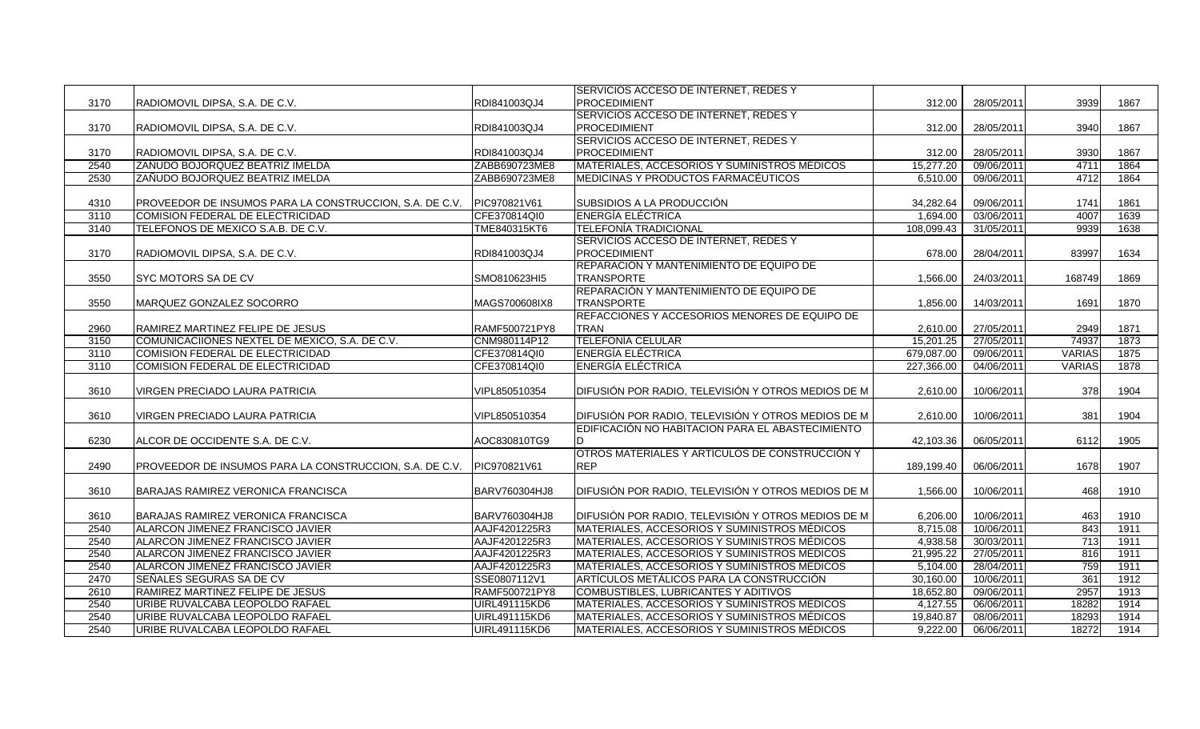|      |                                                         |               | SERVICIOS ACCESO DE INTERNET, REDES Y              |            |            |               |      |
|------|---------------------------------------------------------|---------------|----------------------------------------------------|------------|------------|---------------|------|
| 3170 | RADIOMOVIL DIPSA, S.A. DE C.V.                          | RDI841003QJ4  | <b>PROCEDIMIENT</b>                                | 312.00     | 28/05/2011 | 3939          | 1867 |
|      |                                                         |               | SERVICIOS ACCESO DE INTERNET, REDES Y              |            |            |               |      |
| 3170 | RADIOMOVIL DIPSA, S.A. DE C.V.                          | RDI841003QJ4  | <b>PROCEDIMIENT</b>                                | 312.00     | 28/05/2011 | 3940          | 1867 |
|      |                                                         |               | SERVICIOS ACCESO DE INTERNET, REDES Y              |            |            |               |      |
| 3170 | RADIOMOVIL DIPSA, S.A. DE C.V.                          | RDI841003QJ4  | PROCEDIMIENT                                       | 312.00     | 28/05/2011 | 3930          | 1867 |
| 2540 | ZAÑUDO BOJORQUEZ BEATRIZ IMELDA                         | ZABB690723ME8 | MATERIALES, ACCESORIOS Y SUMINISTROS MÉDICOS       | 15,277.20  | 09/06/2011 | 4711          | 1864 |
| 2530 | ZAÑUDO BOJORQUEZ BEATRIZ IMELDA                         | ZABB690723ME8 | MEDICINAS Y PRODUCTOS FARMACEUTICOS                | 6,510.00   | 09/06/2011 | 4712          | 1864 |
|      |                                                         |               |                                                    |            |            |               |      |
| 4310 | PROVEEDOR DE INSUMOS PARA LA CONSTRUCCION, S.A. DE C.V. | PIC970821V61  | SUBSIDIOS A LA PRODUCCIÓN                          | 34,282.64  | 09/06/2011 | 1741          | 1861 |
| 3110 | COMISION FEDERAL DE ELECTRICIDAD                        | CFE370814QI0  | <b>ENERGÍA ELÉCTRICA</b>                           | 1,694.00   | 03/06/2011 | 4007          | 1639 |
| 3140 | TELEFONOS DE MEXICO S.A.B. DE C.V.                      | TME840315KT6  | <b>TELEFONÍA TRADICIONAL</b>                       | 108,099.43 | 31/05/2011 | 9939          | 1638 |
|      |                                                         |               | SERVICIOS ACCESO DE INTERNET, REDES Y              |            |            |               |      |
| 3170 | RADIOMOVIL DIPSA, S.A. DE C.V.                          | RDI841003QJ4  | <b>PROCEDIMIENT</b>                                | 678.00     | 28/04/2011 | 83997         | 1634 |
|      |                                                         |               | REPARACIÓN Y MANTENIMIENTO DE EQUIPO DE            |            |            |               |      |
| 3550 | SYC MOTORS SA DE CV                                     | SMO810623HI5  | <b>TRANSPORTE</b>                                  | 1,566.00   | 24/03/2011 | 168749        | 1869 |
|      |                                                         |               | REPARACIÓN Y MANTENIMIENTO DE EQUIPO DE            |            |            |               |      |
| 3550 | MARQUEZ GONZALEZ SOCORRO                                | MAGS700608IX8 | <b>TRANSPORTE</b>                                  | 1,856.00   | 14/03/2011 | 1691          | 1870 |
|      |                                                         |               | REFACCIONES Y ACCESORIOS MENORES DE EQUIPO DE      |            |            |               |      |
| 2960 | RAMIREZ MARTINEZ FELIPE DE JESUS                        | RAMF500721PY8 | <b>TRAN</b>                                        | 2,610.00   | 27/05/2011 | 2949          | 1871 |
| 3150 | COMUNICACIIONES NEXTEL DE MEXICO, S.A. DE C.V.          | CNM980114P12  | <b>TELEFONÍA CELULAR</b>                           | 15.201.25  | 27/05/2011 | 74937         | 1873 |
| 3110 | COMISION FEDERAL DE ELECTRICIDAD                        | CFE370814QI0  | <b>ENERGIA ELECTRICA</b>                           | 679,087.00 | 09/06/2011 | <b>VARIAS</b> | 1875 |
| 3110 | COMISION FEDERAL DE ELECTRICIDAD                        | CFE370814QI0  | <b>ENERGÍA ELÉCTRICA</b>                           | 227,366.00 | 04/06/2011 | <b>VARIAS</b> | 1878 |
|      |                                                         |               |                                                    |            |            |               |      |
| 3610 | VIRGEN PRECIADO LAURA PATRICIA                          | VIPL850510354 | DIFUSIÓN POR RADIO, TELEVISIÓN Y OTROS MEDIOS DE M | 2,610.00   | 10/06/2011 | 378           | 1904 |
|      |                                                         |               |                                                    |            |            |               |      |
| 3610 | VIRGEN PRECIADO LAURA PATRICIA                          | VIPL850510354 | DIFUSIÓN POR RADIO, TELEVISIÓN Y OTROS MEDIOS DE M | 2,610.00   | 10/06/2011 | 381           | 1904 |
|      |                                                         |               | EDIFICACIÓN NO HABITACION PARA EL ABASTECIMIENTO   |            |            |               |      |
| 6230 | ALCOR DE OCCIDENTE S.A. DE C.V.                         | AOC830810TG9  | D                                                  | 42,103.36  | 06/05/2011 | 6112          | 1905 |
|      |                                                         |               | OTROS MATERIALES Y ARTÍCULOS DE CONSTRUCCIÓN Y     |            |            |               |      |
| 2490 | PROVEEDOR DE INSUMOS PARA LA CONSTRUCCION, S.A. DE C.V. | PIC970821V61  | <b>REP</b>                                         | 189,199.40 | 06/06/2011 | 1678          | 1907 |
|      |                                                         |               |                                                    |            |            |               |      |
| 3610 | BARAJAS RAMIREZ VERONICA FRANCISCA                      | BARV760304HJ8 | DIFUSIÓN POR RADIO, TELEVISIÓN Y OTROS MEDIOS DE M | 1,566.00   | 10/06/2011 | 468           | 1910 |
|      |                                                         |               |                                                    |            |            |               |      |
| 3610 | BARAJAS RAMIREZ VERONICA FRANCISCA                      | BARV760304HJ8 | DIFUSIÓN POR RADIO, TELEVISIÓN Y OTROS MEDIOS DE M | 6,206.00   | 10/06/2011 | 463           | 1910 |
| 2540 | ALARCON JIMENEZ FRANCISCO JAVIER                        | AAJF4201225R3 | MATERIALES, ACCESORIOS Y SUMINISTROS MÉDICOS       | 8,715.08   | 10/06/2011 | 843           | 1911 |
| 2540 | ALARCON JIMENEZ FRANCISCO JAVIER                        | AAJF4201225R3 | MATERIALES, ACCESORIOS Y SUMINISTROS MÉDICOS       | 4,938.58   | 30/03/2011 | 713           | 1911 |
| 2540 | ALARCON JIMENEZ FRANCISCO JAVIER                        | AAJF4201225R3 | MATERIALES, ACCESORIOS Y SUMINISTROS MÉDICOS       | 21,995.22  | 27/05/2011 | 816           | 1911 |
| 2540 | ALARCON JIMENEZ FRANCISCO JAVIER                        | AAJF4201225R3 | MATERIALES, ACCESORIOS Y SUMINISTROS MÉDICOS       | 5,104.00   | 28/04/2011 | 759           | 1911 |
| 2470 | SEÑALES SEGURAS SA DE CV                                | SSE0807112V1  | ARTÍCULOS METÁLICOS PARA LA CONSTRUCCIÓN           | 30,160.00  | 10/06/2011 | 361           | 1912 |
| 2610 | RAMIREZ MARTINEZ FELIPE DE JESUS                        | RAMF500721PY8 | <b>COMBUSTIBLES, LUBRICANTES Y ADITIVOS</b>        | 18,652.80  | 09/06/2011 | 2957          | 1913 |
| 2540 | URIBE RUVALCABA LEOPOLDO RAFAEL                         | UIRL491115KD6 | MATERIALES, ACCESORIOS Y SUMINISTROS MÉDICOS       | 4,127.55   | 06/06/2011 | 18282         | 1914 |
| 2540 | URIBE RUVALCABA LEOPOLDO RAFAEL                         | UIRL491115KD6 | MATERIALES, ACCESORIOS Y SUMINISTROS MÉDICOS       | 19,840.87  | 08/06/2011 | 18293         | 1914 |
| 2540 | URIBE RUVALCABA LEOPOLDO RAFAEL                         | UIRL491115KD6 | MATERIALES, ACCESORIOS Y SUMINISTROS MÉDICOS       | 9,222.00   | 06/06/2011 | 18272         | 1914 |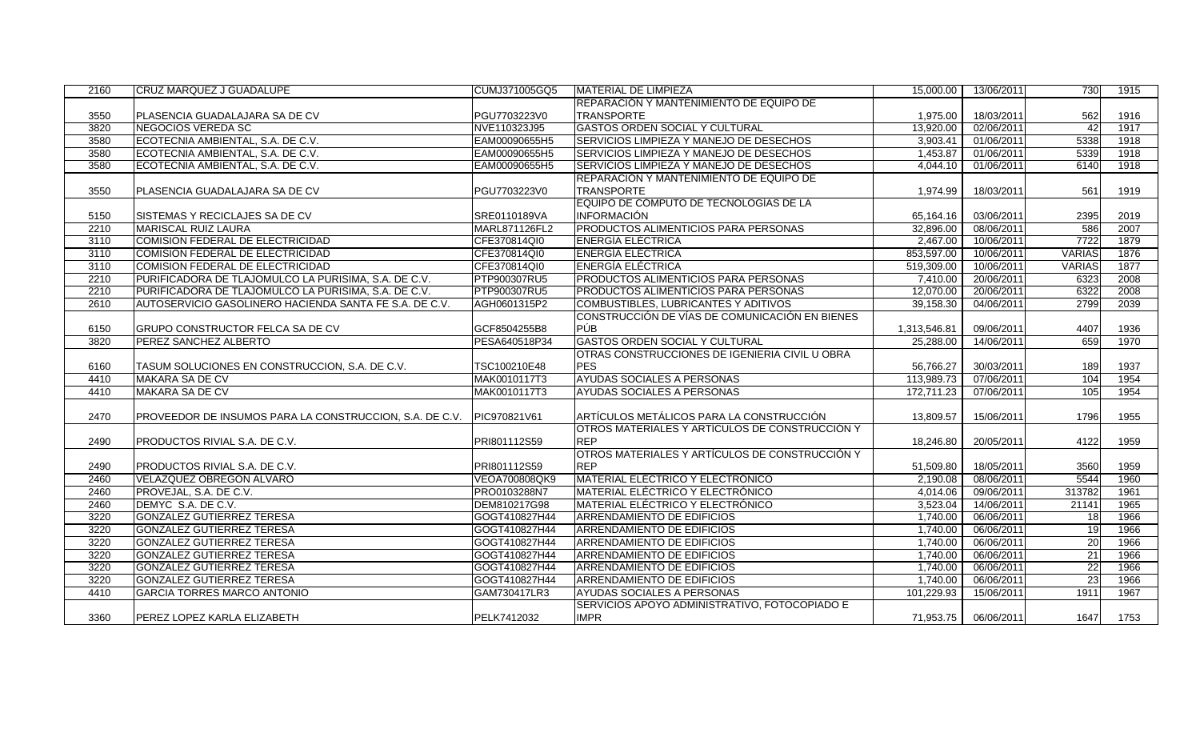| 2160 | CRUZ MARQUEZ J GUADALUPE                                | CUMJ371005GQ5 | <b>MATERIAL DE LIMPIEZA</b>                    | 15,000.00    | 13/06/2011 | 730           | 1915 |
|------|---------------------------------------------------------|---------------|------------------------------------------------|--------------|------------|---------------|------|
|      |                                                         |               | <b>REPARACIÓN Y MANTENIMIENTO DE EQUIPO DE</b> |              |            |               |      |
| 3550 | PLASENCIA GUADALAJARA SA DE CV                          | PGU7703223V0  | <b>TRANSPORTE</b>                              | 1,975.00     | 18/03/2011 | 562           | 1916 |
| 3820 | <b>NEGOCIOS VEREDA SC</b>                               | NVE110323J95  | <b>GASTOS ORDEN SOCIAL Y CULTURAL</b>          | 13,920.00    | 02/06/2011 | 42            | 1917 |
| 3580 | ECOTECNIA AMBIENTAL, S.A. DE C.V.                       | EAM00090655H5 | SERVICIOS LIMPIEZA Y MANEJO DE DESECHOS        | 3.903.41     | 01/06/2011 | 5338          | 1918 |
| 3580 | ECOTECNIA AMBIENTAL, S.A. DE C.V.                       | EAM00090655H5 | SERVICIOS LIMPIEZA Y MANEJO DE DESECHOS        | 1,453.87     | 01/06/2011 | 5339          | 1918 |
| 3580 | ECOTECNIA AMBIENTAL, S.A. DE C.V.                       | EAM00090655H5 | SERVICIOS LIMPIEZA Y MANEJO DE DESECHOS        | 4.044.10     | 01/06/2011 | 6140          | 1918 |
|      |                                                         |               | REPARACIÓN Y MANTENIMIENTO DE EQUIPO DE        |              |            |               |      |
| 3550 | PLASENCIA GUADALAJARA SA DE CV                          | PGU7703223V0  | <b>TRANSPORTE</b>                              | 1,974.99     | 18/03/2011 | 561           | 1919 |
|      |                                                         |               | EQUIPO DE CÓMPUTO DE TECNOLOGÍAS DE LA         |              |            |               |      |
| 5150 | SISTEMAS Y RECICLAJES SA DE CV                          | SRE0110189VA  | <b>INFORMACIÓN</b>                             | 65,164.16    | 03/06/2011 | 2395          | 2019 |
| 2210 | <b>MARISCAL RUIZ LAURA</b>                              | MARL871126FL2 | <b>PRODUCTOS ALIMENTICIOS PARA PERSONAS</b>    | 32,896.00    | 08/06/2011 | 586           | 2007 |
| 3110 | COMISION FEDERAL DE ELECTRICIDAD                        | CFE370814QI0  | <b>ENERGIA ELÉCTRICA</b>                       | 2,467.00     | 10/06/2011 | 7722          | 1879 |
| 3110 | COMISION FEDERAL DE ELECTRICIDAD                        | CFE370814QI0  | <b>ENERGIA ELECTRICA</b>                       | 853,597.00   | 10/06/2011 | <b>VARIAS</b> | 1876 |
| 3110 | COMISION FEDERAL DE ELECTRICIDAD                        | CFE370814QI0  | <b>ENERGÍA ELÉCTRICA</b>                       | 519,309.00   | 10/06/2011 | <b>VARIAS</b> | 1877 |
| 2210 | PURIFICADORA DE TLAJOMULCO LA PURISIMA, S.A. DE C.V.    | PTP900307RU5  | <b>PRODUCTOS ALIMENTICIOS PARA PERSONAS</b>    | 7,410.00     | 20/06/2011 | 6323          | 2008 |
| 2210 | PURIFICADORA DE TLAJOMULCO LA PURISIMA, S.A. DE C.V.    | PTP900307RU5  | <b>PRODUCTOS ALIMENTICIOS PARA PERSONAS</b>    | 12,070.00    | 20/06/2011 | 6322          | 2008 |
| 2610 | AUTOSERVICIO GASOLINERO HACIENDA SANTA FE S.A. DE C.V.  | AGH0601315P2  | COMBUSTIBLES, LUBRICANTES Y ADITIVOS           | 39,158.30    | 04/06/2011 | 2799          | 2039 |
|      |                                                         |               | CONSTRUCCIÓN DE VÍAS DE COMUNICACIÓN EN BIENES |              |            |               |      |
| 6150 | <b>GRUPO CONSTRUCTOR FELCA SA DE CV</b>                 | GCF8504255B8  | PÚB                                            | 1,313,546.81 | 09/06/2011 | 4407          | 1936 |
| 3820 | PEREZ SANCHEZ ALBERTO                                   | PESA640518P34 | <b>GASTOS ORDEN SOCIAL Y CULTURAL</b>          | 25,288.00    | 14/06/2011 | 659           | 1970 |
|      |                                                         |               | OTRAS CONSTRUCCIONES DE IGENIERIA CIVIL U OBRA |              |            |               |      |
| 6160 | TASUM SOLUCIONES EN CONSTRUCCION, S.A. DE C.V.          | TSC100210E48  | PES                                            | 56,766.27    | 30/03/2011 | 189           | 1937 |
| 4410 | <b>MAKARA SA DE CV</b>                                  | MAK0010117T3  | <b>AYUDAS SOCIALES A PERSONAS</b>              | 113,989.73   | 07/06/2011 | 104           | 1954 |
| 4410 | MAKARA SA DE CV                                         | MAK0010117T3  | <b>AYUDAS SOCIALES A PERSONAS</b>              | 172,711.23   | 07/06/2011 | 105           | 1954 |
|      |                                                         |               |                                                |              |            |               |      |
| 2470 | PROVEEDOR DE INSUMOS PARA LA CONSTRUCCION, S.A. DE C.V. | PIC970821V61  | ARTÍCULOS METÁLICOS PARA LA CONSTRUCCIÓN       | 13,809.57    | 15/06/2011 | 1796          | 1955 |
|      |                                                         |               | OTROS MATERIALES Y ARTÍCULOS DE CONSTRUCCIÓN Y |              |            |               |      |
| 2490 | PRODUCTOS RIVIAL S.A. DE C.V.                           | PRI801112S59  | <b>REP</b>                                     | 18,246.80    | 20/05/2011 | 4122          | 1959 |
|      |                                                         |               | OTROS MATERIALES Y ARTÍCULOS DE CONSTRUCCIÓN Y |              |            |               |      |
| 2490 | PRODUCTOS RIVIAL S.A. DE C.V.                           | PRI801112S59  | <b>REP</b>                                     | 51,509.80    | 18/05/2011 | 3560          | 1959 |
| 2460 | VELAZQUEZ OBREGON ALVARO                                | VEOA700808QK9 | MATERIAL ELÉCTRICO Y ELECTRÓNICO               | 2,190.08     | 08/06/2011 | 5544          | 1960 |
| 2460 | PROVEJAL, S.A. DE C.V.                                  | PRO0103288N7  | MATERIAL ELÉCTRICO Y ELECTRÓNICO               | 4,014.06     | 09/06/2011 | 313782        | 1961 |
| 2460 | DEMYC S.A. DE C.V.                                      | DEM810217G98  | MATERIAL ELÉCTRICO Y ELECTRÓNICO               | 3,523.04     | 14/06/2011 | 21141         | 1965 |
| 3220 | <b>GONZALEZ GUTIERREZ TERESA</b>                        | GOGT410827H44 | <b>ARRENDAMIENTO DE EDIFICIOS</b>              | 1,740.00     | 06/06/2011 | 18            | 1966 |
| 3220 | <b>GONZALEZ GUTIERREZ TERESA</b>                        | GOGT410827H44 | ARRENDAMIENTO DE EDIFICIOS                     | 1,740.00     | 06/06/2011 | 19            | 1966 |
| 3220 | <b>GONZALEZ GUTIERREZ TERESA</b>                        | GOGT410827H44 | <b>ARRENDAMIENTO DE EDIFICIOS</b>              | 1,740.00     | 06/06/2011 | 20            | 1966 |
| 3220 | <b>GONZALEZ GUTIERREZ TERESA</b>                        | GOGT410827H44 | ARRENDAMIENTO DE EDIFICIOS                     | 1,740.00     | 06/06/2011 | 21            | 1966 |
| 3220 | <b>GONZALEZ GUTIERREZ TERESA</b>                        | GOGT410827H44 | <b>ARRENDAMIENTO DE EDIFICIOS</b>              | 1,740.00     | 06/06/2011 | 22            | 1966 |
| 3220 | <b>GONZALEZ GUTIERREZ TERESA</b>                        | GOGT410827H44 | <b>ARRENDAMIENTO DE EDIFICIOS</b>              | 1.740.00     | 06/06/2011 | 23            | 1966 |
| 4410 | <b>GARCIA TORRES MARCO ANTONIO</b>                      | GAM730417LR3  | AYUDAS SOCIALES A PERSONAS                     | 101,229.93   | 15/06/2011 | 1911          | 1967 |
|      |                                                         |               | SERVICIOS APOYO ADMINISTRATIVO, FOTOCOPIADO E  |              |            |               |      |
| 3360 | PEREZ LOPEZ KARLA ELIZABETH                             | PELK7412032   | <b>IMPR</b>                                    | 71,953.75    | 06/06/2011 | 1647          | 1753 |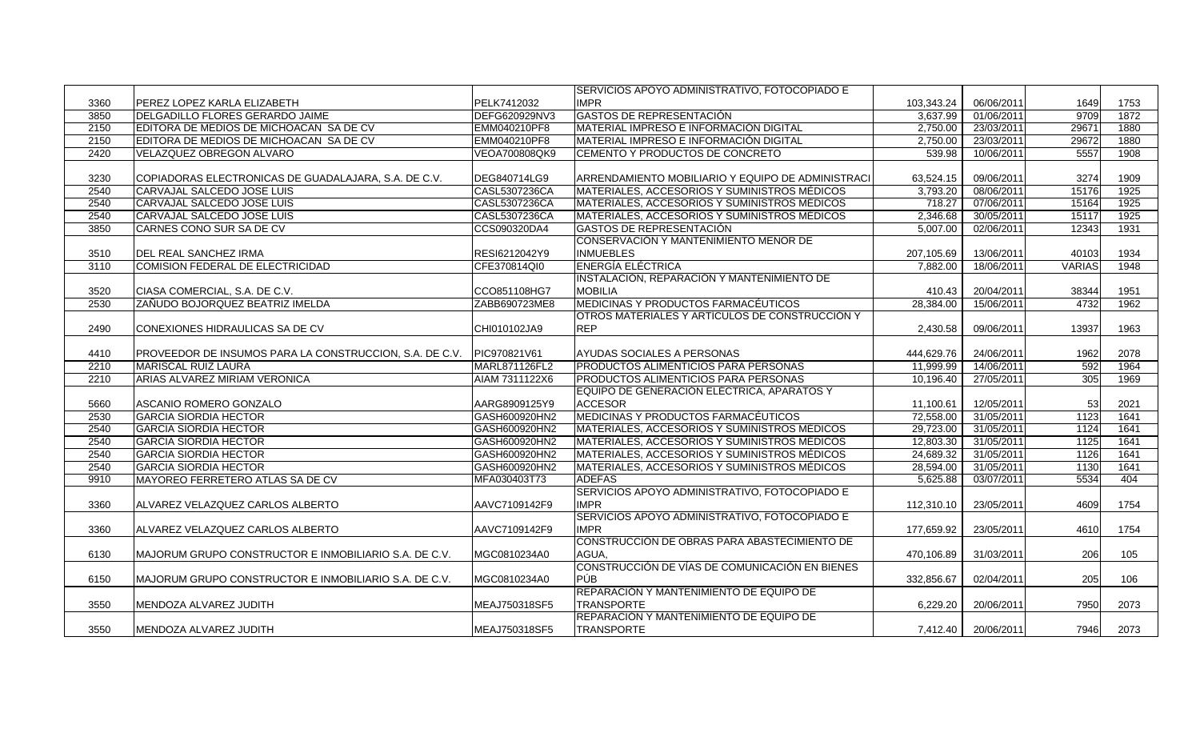|      |                                                         |                | <b>ISERVICIOS APOYO ADMINISTRATIVO, FOTOCOPIADO E</b> |            |            |               |      |
|------|---------------------------------------------------------|----------------|-------------------------------------------------------|------------|------------|---------------|------|
| 3360 | PEREZ LOPEZ KARLA ELIZABETH                             | PELK7412032    | <b>IMPR</b>                                           | 103.343.24 | 06/06/2011 | 1649          | 1753 |
| 3850 | DELGADILLO FLORES GERARDO JAIME                         | DEFG620929NV3  | <b>GASTOS DE REPRESENTACIÓN</b>                       | 3.637.99   | 01/06/2011 | 9709          | 1872 |
| 2150 | EDITORA DE MEDIOS DE MICHOACAN SA DE CV                 | EMM040210PF8   | MATERIAL IMPRESO E INFORMACIÓN DIGITAL                | 2,750.00   | 23/03/2011 | 29671         | 1880 |
| 2150 | EDITORA DE MEDIOS DE MICHOACAN SA DE CV                 | EMM040210PF8   | MATERIAL IMPRESO E INFORMACIÓN DIGITAL                | 2,750.00   | 23/03/2011 | 29672         | 1880 |
| 2420 | VELAZQUEZ OBREGON ALVARO                                | VEOA700808QK9  | CEMENTO Y PRODUCTOS DE CONCRETO                       | 539.98     | 10/06/2011 | 5557          | 1908 |
|      |                                                         |                |                                                       |            |            |               |      |
| 3230 | COPIADORAS ELECTRONICAS DE GUADALAJARA, S.A. DE C.V.    | DEG840714LG9   | ARRENDAMIENTO MOBILIARIO Y EQUIPO DE ADMINISTRACI     | 63,524.15  | 09/06/2011 | 3274          | 1909 |
| 2540 | CARVAJAL SALCEDO JOSE LUIS                              | CASL5307236CA  | MATERIALES, ACCESORIOS Y SUMINISTROS MÉDICOS          | 3,793.20   | 08/06/2011 | 15176         | 1925 |
| 2540 | CARVAJAL SALCEDO JOSE LUIS                              | CASL5307236CA  | <b>MATERIALES, ACCESORIOS Y SUMINISTROS MÉDICOS</b>   | 718.27     | 07/06/2011 | 15164         | 1925 |
| 2540 | CARVAJAL SALCEDO JOSE LUIS                              | CASL5307236CA  | MATERIALES, ACCESORIOS Y SUMINISTROS MÉDICOS          | 2,346.68   | 30/05/2011 | 15117         | 1925 |
| 3850 | CARNES CONO SUR SA DE CV                                | CCS090320DA4   | <b>GASTOS DE REPRESENTACIÓN</b>                       | 5,007.00   | 02/06/2011 | 12343         | 1931 |
|      |                                                         |                | CONSERVACIÓN Y MANTENIMIENTO MENOR DE                 |            |            |               |      |
| 3510 | DEL REAL SANCHEZ IRMA                                   | RESI6212042Y9  | <b>INMUEBLES</b>                                      | 207,105.69 | 13/06/2011 | 40103         | 1934 |
| 3110 | <b>COMISION FEDERAL DE ELECTRICIDAD</b>                 | CFE370814QI0   | <b>ENERGÍA ELÉCTRICA</b>                              | 7,882.00   | 18/06/2011 | <b>VARIAS</b> | 1948 |
|      |                                                         |                | <b>INSTALACIÓN, REPARACIÓN Y MANTENIMIENTO DE</b>     |            |            |               |      |
| 3520 | CIASA COMERCIAL, S.A. DE C.V.                           | CCO851108HG7   | <b>MOBILIA</b>                                        | 410.43     | 20/04/2011 | 38344         | 1951 |
| 2530 | ZAÑUDO BOJORQUEZ BEATRIZ IMELDA                         | ZABB690723ME8  | MEDICINAS Y PRODUCTOS FARMACÉUTICOS                   | 28,384.00  | 15/06/2011 | 4732          | 1962 |
|      |                                                         |                | OTROS MATERIALES Y ARTÍCULOS DE CONSTRUCCIÓN Y        |            |            |               |      |
| 2490 | CONEXIONES HIDRAULICAS SA DE CV                         | CHI010102JA9   | <b>REP</b>                                            | 2,430.58   | 09/06/2011 | 13937         | 1963 |
|      |                                                         |                |                                                       |            |            |               |      |
| 4410 | PROVEEDOR DE INSUMOS PARA LA CONSTRUCCION, S.A. DE C.V. | PIC970821V61   | AYUDAS SOCIALES A PERSONAS                            | 444,629.76 | 24/06/2011 | 1962          | 2078 |
| 2210 | <b>MARISCAL RUIZ LAURA</b>                              | MARL871126FL2  | <b>PRODUCTOS ALIMENTICIOS PARA PERSONAS</b>           | 11,999.99  | 14/06/2011 | 592           | 1964 |
| 2210 | ARIAS ALVAREZ MIRIAM VERONICA                           | AIAM 7311122X6 | PRODUCTOS ALIMENTICIOS PARA PERSONAS                  | 10,196.40  | 27/05/2011 | 305           | 1969 |
|      |                                                         |                | EQUIPO DE GENERACIÓN ELÉCTRICA, APARATOS Y            |            |            |               |      |
| 5660 | ASCANIO ROMERO GONZALO                                  | AARG8909125Y9  | <b>ACCESOR</b>                                        | 11,100.61  | 12/05/2011 | 53            | 2021 |
| 2530 | <b>GARCIA SIORDIA HECTOR</b>                            | GASH600920HN2  | <b>MEDICINAS Y PRODUCTOS FARMACÉUTICOS</b>            | 72,558.00  | 31/05/2011 | 1123          | 1641 |
| 2540 | <b>GARCIA SIORDIA HECTOR</b>                            | GASH600920HN2  | MATERIALES, ACCESORIOS Y SUMINISTROS MÉDICOS          | 29,723.00  | 31/05/2011 | 1124          | 1641 |
| 2540 | <b>GARCIA SIORDIA HECTOR</b>                            | GASH600920HN2  | MATERIALES, ACCESORIOS Y SUMINISTROS MÉDICOS          | 12,803.30  | 31/05/2011 | 1125          | 1641 |
| 2540 | <b>GARCIA SIORDIA HECTOR</b>                            | GASH600920HN2  | MATERIALES, ACCESORIOS Y SUMINISTROS MÉDICOS          | 24,689.32  | 31/05/2011 | 1126          | 1641 |
| 2540 | <b>GARCIA SIORDIA HECTOR</b>                            | GASH600920HN2  | MATERIALES, ACCESORIOS Y SUMINISTROS MÉDICOS          | 28,594.00  | 31/05/2011 | 1130          | 1641 |
| 9910 | MAYOREO FERRETERO ATLAS SA DE CV                        | MFA030403T73   | <b>ADEFAS</b>                                         | 5,625.88   | 03/07/2011 | 5534          | 404  |
|      |                                                         |                | SERVICIOS APOYO ADMINISTRATIVO, FOTOCOPIADO E         |            |            |               |      |
| 3360 | ALVAREZ VELAZQUEZ CARLOS ALBERTO                        | AAVC7109142F9  | <b>IMPR</b>                                           | 112,310.10 | 23/05/2011 | 4609          | 1754 |
|      |                                                         |                | SERVICIOS APOYO ADMINISTRATIVO, FOTOCOPIADO E         |            |            |               |      |
| 3360 | ALVAREZ VELAZQUEZ CARLOS ALBERTO                        | AAVC7109142F9  | <b>IMPR</b>                                           | 177.659.92 | 23/05/2011 | 4610          | 1754 |
|      |                                                         |                | CONSTRUCCIÓN DE OBRAS PARA ABASTECIMIENTO DE          |            |            |               |      |
| 6130 | MAJORUM GRUPO CONSTRUCTOR E INMOBILIARIO S.A. DE C.V.   | MGC0810234A0   | AGUA.                                                 | 470,106.89 | 31/03/2011 | 206           | 105  |
|      |                                                         |                | CONSTRUCCIÓN DE VÍAS DE COMUNICACIÓN EN BIENES        |            |            |               |      |
| 6150 | MAJORUM GRUPO CONSTRUCTOR E INMOBILIARIO S.A. DE C.V.   | MGC0810234A0   | PÚB                                                   | 332,856.67 | 02/04/2011 | 205           | 106  |
|      |                                                         |                | <b>REPARACIÓN Y MANTENIMIENTO DE EQUIPO DE</b>        |            |            |               |      |
| 3550 | MENDOZA ALVAREZ JUDITH                                  | MEAJ750318SF5  | <b>TRANSPORTE</b>                                     | 6,229.20   | 20/06/2011 | 7950          | 2073 |
|      |                                                         |                | REPARACIÓN Y MANTENIMIENTO DE EQUIPO DE               |            |            |               |      |
| 3550 | MENDOZA ALVAREZ JUDITH                                  | MEAJ750318SF5  | <b>TRANSPORTE</b>                                     | 7,412.40   | 20/06/2011 | 7946          | 2073 |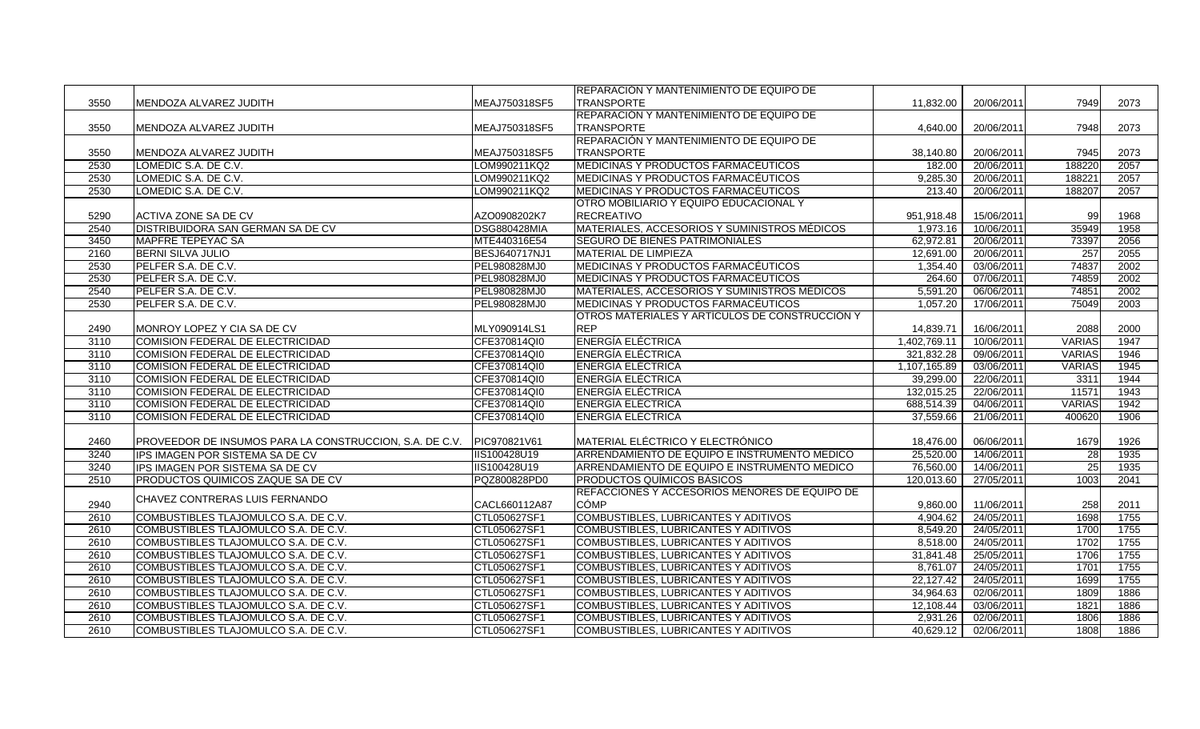|      |                                                         |                      | <b>IREPARACIÓN Y MANTENIMIENTO DE EQUIPO DE</b> |              |            |               |      |
|------|---------------------------------------------------------|----------------------|-------------------------------------------------|--------------|------------|---------------|------|
| 3550 | MENDOZA ALVAREZ JUDITH                                  | MEAJ750318SF5        | <b>TRANSPORTE</b>                               | 11,832.00    | 20/06/2011 | 7949          | 2073 |
|      |                                                         |                      | REPARACIÓN Y MANTENIMIENTO DE EQUIPO DE         |              |            |               |      |
| 3550 | MENDOZA ALVAREZ JUDITH                                  | MEAJ750318SF5        | TRANSPORTE                                      | 4.640.00     | 20/06/2011 | 7948          | 2073 |
|      |                                                         |                      | REPARACIÓN Y MANTENIMIENTO DE EQUIPO DE         |              |            |               |      |
| 3550 | MENDOZA ALVAREZ JUDITH                                  | MEAJ750318SF5        | <b>TRANSPORTE</b>                               | 38,140.80    | 20/06/2011 | 7945          | 2073 |
| 2530 | LOMEDIC S.A. DE C.V.                                    | LOM990211KQ2         | MEDICINAS Y PRODUCTOS FARMACÉUTICOS             | 182.00       | 20/06/2011 | 188220        | 2057 |
| 2530 | LOMEDIC S.A. DE C.V.                                    | LOM990211KQ2         | MEDICINAS Y PRODUCTOS FARMACÉUTICOS             | 9,285.30     | 20/06/2011 | 188221        | 2057 |
| 2530 | LOMEDIC S.A. DE C.V.                                    | LOM990211KQ2         | MEDICINAS Y PRODUCTOS FARMACÉUTICOS             | 213.40       | 20/06/2011 | 188207        | 2057 |
|      |                                                         |                      | OTRO MOBILIARIO Y EQUIPO EDUCACIONAL Y          |              |            |               |      |
| 5290 | ACTIVA ZONE SA DE CV                                    | AZO0908202K7         | <b>RECREATIVO</b>                               | 951,918.48   | 15/06/2011 | 99            | 1968 |
| 2540 | <b>DISTRIBUIDORA SAN GERMAN SA DE CV</b>                | <b>DSG880428MIA</b>  | MATERIALES, ACCESORIOS Y SUMINISTROS MÉDICOS    | 1,973.16     | 10/06/2011 | 35949         | 1958 |
| 3450 | MAPFRE TEPEYAC SA                                       | MTE440316E54         | <b>SEGURO DE BIENES PATRIMONIALES</b>           | 62,972.81    | 20/06/2011 | 73397         | 2056 |
| 2160 | <b>BERNI SILVA JULIO</b>                                | <b>BESJ640717NJ1</b> | <b>MATERIAL DE LIMPIEZA</b>                     | 12,691.00    | 20/06/2011 | 257           | 2055 |
| 2530 | PELFER S.A. DE C.V.                                     | PEL980828MJ0         | MEDICINAS Y PRODUCTOS FARMACEUTICOS             | 1,354.40     | 03/06/2011 | 74837         | 2002 |
| 2530 | PELFER S.A. DE C.V.                                     | PEL980828MJ0         | MEDICINAS Y PRODUCTOS FARMACEUTICOS             | 264.60       | 07/06/2011 | 74859         | 2002 |
| 2540 | PELFER S.A. DE C.V.                                     | PEL980828MJ0         | MATERIALES, ACCESORIOS Y SUMINISTROS MÉDICOS    | 5,591.20     | 06/06/2011 | 74851         | 2002 |
| 2530 | PELFER S.A. DE C.V.                                     | PEL980828MJ0         | MEDICINAS Y PRODUCTOS FARMACÉUTICOS             | 1.057.20     | 17/06/2011 | 75049         | 2003 |
|      |                                                         |                      | OTROS MATERIALES Y ARTÍCULOS DE CONSTRUCCIÓN Y  |              |            |               |      |
| 2490 | MONROY LOPEZ Y CIA SA DE CV                             | MLY090914LS1         | <b>REP</b>                                      | 14,839.71    | 16/06/2011 | 2088          | 2000 |
| 3110 | COMISION FEDERAL DE ELECTRICIDAD                        | CFE370814QI0         | <b>ENERGÍA ELÉCTRICA</b>                        | 1,402,769.11 | 10/06/2011 | <b>VARIAS</b> | 1947 |
| 3110 | COMISION FEDERAL DE ELECTRICIDAD                        | CFE370814QI0         | <b>ENERGÍA ELÉCTRICA</b>                        | 321,832.28   | 09/06/2011 | <b>VARIAS</b> | 1946 |
| 3110 | <b>COMISION FEDERAL DE ELECTRICIDAD</b>                 | CFE370814QI0         | <b>ENERGÍA ELÉCTRICA</b>                        | 1,107,165.89 | 03/06/2011 | <b>VARIAS</b> | 1945 |
| 3110 | COMISION FEDERAL DE ELECTRICIDAD                        | CFE370814QI0         | <b>ENERGÍA ELÉCTRICA</b>                        | 39,299.00    | 22/06/2011 | 3311          | 1944 |
| 3110 | COMISION FEDERAL DE ELECTRICIDAD                        | CFE370814QI0         | <b>ENERGÍA ELÉCTRICA</b>                        | 132,015.25   | 22/06/2011 | 11571         | 1943 |
| 3110 | COMISION FEDERAL DE ELECTRICIDAD                        | CFE370814QI0         | <b>ENERGÍA ELÉCTRICA</b>                        | 688,514.39   | 04/06/2011 | <b>VARIAS</b> | 1942 |
| 3110 | COMISION FEDERAL DE ELECTRICIDAD                        | CFE370814QI0         | <b>ENERGÍA ELÉCTRICA</b>                        | 37,559.66    | 21/06/2011 | 400620        | 1906 |
|      |                                                         |                      |                                                 |              |            |               |      |
| 2460 | PROVEEDOR DE INSUMOS PARA LA CONSTRUCCION, S.A. DE C.V. | PIC970821V61         | MATERIAL ELÉCTRICO Y ELECTRÓNICO                | 18,476.00    | 06/06/2011 | 1679          | 1926 |
| 3240 | IPS IMAGEN POR SISTEMA SA DE CV                         | IIS100428U19         | ARRENDAMIENTO DE EQUIPO E INSTRUMENTO MEDICO    | 25,520.00    | 14/06/2011 | 28            | 1935 |
| 3240 | IPS IMAGEN POR SISTEMA SA DE CV                         | IIS100428U19         | ARRENDAMIENTO DE EQUIPO E INSTRUMENTO MEDICO    | 76,560.00    | 14/06/2011 | 25            | 1935 |
| 2510 | PRODUCTOS QUIMICOS ZAQUE SA DE CV                       | PQZ800828PD0         | <b>PRODUCTOS QUIMICOS BÁSICOS</b>               | 120,013.60   | 27/05/2011 | 1003          | 2041 |
|      |                                                         |                      | REFACCIONES Y ACCESORIOS MENORES DE EQUIPO DE   |              |            |               |      |
| 2940 | CHAVEZ CONTRERAS LUIS FERNANDO                          | CACL660112A87        | <b>CÓMP</b>                                     | 9,860.00     | 11/06/2011 | 258           | 2011 |
| 2610 | COMBUSTIBLES TLAJOMULCO S.A. DE C.V.                    | CTL050627SF1         | COMBUSTIBLES, LUBRICANTES Y ADITIVOS            | 4,904.62     | 24/05/2011 | 1698          | 1755 |
| 2610 | COMBUSTIBLES TLAJOMULCO S.A. DE C.V.                    | CTL050627SF1         | COMBUSTIBLES, LUBRICANTES Y ADITIVOS            | 8.549.20     | 24/05/2011 | 1700          | 1755 |
| 2610 | COMBUSTIBLES TLAJOMULCO S.A. DE C.V.                    | CTL050627SF1         | COMBUSTIBLES, LUBRICANTES Y ADITIVOS            | 8,518.00     | 24/05/2011 | 1702          | 1755 |
| 2610 | COMBUSTIBLES TLAJOMULCO S.A. DE C.V.                    | CTL050627SF1         | <b>COMBUSTIBLES, LUBRICANTES Y ADITIVOS</b>     | 31,841.48    | 25/05/2011 | 1706          | 1755 |
| 2610 | COMBUSTIBLES TLAJOMULCO S.A. DE C.V.                    | CTL050627SF1         | <b>COMBUSTIBLES, LUBRICANTES Y ADITIVOS</b>     | 8,761.07     | 24/05/2011 | 1701          | 1755 |
| 2610 | COMBUSTIBLES TLAJOMULCO S.A. DE C.V.                    | CTL050627SF1         | COMBUSTIBLES, LUBRICANTES Y ADITIVOS            | 22,127.42    | 24/05/2011 | 1699          | 1755 |
| 2610 | <b>ICOMBUSTIBLES TLAJOMULCO S.A. DE C.V.</b>            | CTL050627SF1         | COMBUSTIBLES, LUBRICANTES Y ADITIVOS            | 34,964.63    | 02/06/2011 | 1809          | 1886 |
| 2610 | COMBUSTIBLES TLAJOMULCO S.A. DE C.V.                    | CTL050627SF1         | COMBUSTIBLES, LUBRICANTES Y ADITIVOS            | 12,108.44    | 03/06/2011 | 1821          | 1886 |
| 2610 | COMBUSTIBLES TLAJOMULCO S.A. DE C.V.                    | CTL050627SF1         | COMBUSTIBLES, LUBRICANTES Y ADITIVOS            | 2,931.26     | 02/06/2011 | 1806          | 1886 |
| 2610 | COMBUSTIBLES TLAJOMULCO S.A. DE C.V.                    | CTL050627SF1         | <b>COMBUSTIBLES, LUBRICANTES Y ADITIVOS</b>     | 40,629.12    | 02/06/2011 | 1808          | 1886 |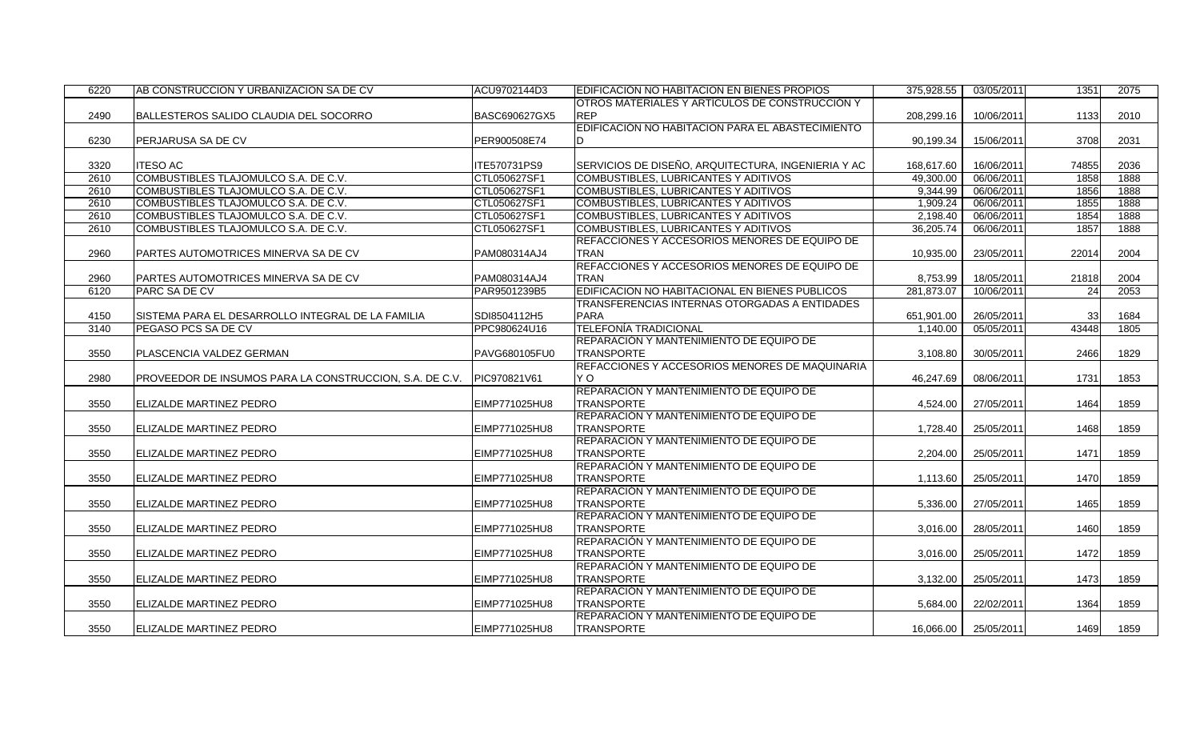| 6220 | AB CONSTRUCCION Y URBANIZACION SA DE CV                 | ACU9702144D3  | EDIFICACIÓN NO HABITACION EN BIENES PROPIOS        | 375,928.55 | 03/05/2011 | 1351            | 2075 |
|------|---------------------------------------------------------|---------------|----------------------------------------------------|------------|------------|-----------------|------|
|      |                                                         |               | OTROS MATERIALES Y ARTÍCULOS DE CONSTRUCCIÓN Y     |            |            |                 |      |
| 2490 | BALLESTEROS SALIDO CLAUDIA DEL SOCORRO                  | BASC690627GX5 | <b>REP</b>                                         | 208,299.16 | 10/06/2011 | 1133            | 2010 |
|      |                                                         |               | EDIFICACIÓN NO HABITACION PARA EL ABASTECIMIENTO   |            |            |                 |      |
| 6230 | PERJARUSA SA DE CV                                      | PER900508E74  |                                                    | 90,199.34  | 15/06/2011 | 3708            | 2031 |
|      |                                                         |               |                                                    |            |            |                 |      |
| 3320 | <b>ITESO AC</b>                                         | ITE570731PS9  | SERVICIOS DE DISEÑO, ARQUITECTURA, INGENIERIA Y AC | 168,617.60 | 16/06/2011 | 74855           | 2036 |
| 2610 | COMBUSTIBLES TLAJOMULCO S.A. DE C.V.                    | CTL050627SF1  | <b>COMBUSTIBLES, LUBRICANTES Y ADITIVOS</b>        | 49,300.00  | 06/06/2011 | 1858            | 1888 |
| 2610 | COMBUSTIBLES TLAJOMULCO S.A. DE C.V.                    | CTL050627SF1  | COMBUSTIBLES, LUBRICANTES Y ADITIVOS               | 9.344.99   | 06/06/2011 | 1856            | 1888 |
| 2610 | COMBUSTIBLES TLAJOMULCO S.A. DE C.V.                    | CTL050627SF1  | COMBUSTIBLES, LUBRICANTES Y ADITIVOS               | 1,909.24   | 06/06/2011 | 1855            | 1888 |
| 2610 | COMBUSTIBLES TLAJOMULCO S.A. DE C.V.                    | CTL050627SF1  | COMBUSTIBLES, LUBRICANTES Y ADITIVOS               | 2,198.40   | 06/06/2011 | 1854            | 1888 |
| 2610 | COMBUSTIBLES TLAJOMULCO S.A. DE C.V.                    | CTL050627SF1  | <b>COMBUSTIBLES, LUBRICANTES Y ADITIVOS</b>        | 36,205.74  | 06/06/2011 | 1857            | 1888 |
|      |                                                         |               | REFACCIONES Y ACCESORIOS MENORES DE EQUIPO DE      |            |            |                 |      |
| 2960 | PARTES AUTOMOTRICES MINERVA SA DE CV                    | PAM080314AJ4  | <b>TRAN</b>                                        | 10,935.00  | 23/05/2011 | 22014           | 2004 |
|      |                                                         |               | REFACCIONES Y ACCESORIOS MENORES DE EQUIPO DE      |            |            |                 |      |
| 2960 | PARTES AUTOMOTRICES MINERVA SA DE CV                    | PAM080314AJ4  | <b>TRAN</b>                                        | 8,753.99   | 18/05/2011 | 21818           | 2004 |
| 6120 | PARC SA DE CV                                           | PAR9501239B5  | EDIFICACION NO HABITACIONAL EN BIENES PUBLICOS     | 281.873.07 | 10/06/2011 | 24              | 2053 |
|      |                                                         |               | TRANSFERENCIAS INTERNAS OTORGADAS A ENTIDADES      |            |            |                 |      |
| 4150 | SISTEMA PARA EL DESARROLLO INTEGRAL DE LA FAMILIA       | SDI8504112H5  | <b>PARA</b>                                        | 651,901.00 | 26/05/2011 | 33 <sup>1</sup> | 1684 |
| 3140 | PEGASO PCS SA DE CV                                     | PPC980624U16  | <b>TELEFONÍA TRADICIONAL</b>                       | 1,140.00   | 05/05/2011 | 43448           | 1805 |
|      |                                                         |               | REPARACIÓN Y MANTENIMIENTO DE EQUIPO DE            |            |            |                 |      |
| 3550 | PLASCENCIA VALDEZ GERMAN                                | PAVG680105FU0 | <b>TRANSPORTE</b>                                  | 3,108.80   | 30/05/2011 | 2466            | 1829 |
|      |                                                         |               | REFACCIONES Y ACCESORIOS MENORES DE MAQUINARIA     |            |            |                 |      |
| 2980 | PROVEEDOR DE INSUMOS PARA LA CONSTRUCCION, S.A. DE C.V. | PIC970821V61  | Y O                                                | 46,247.69  | 08/06/2011 | 1731            | 1853 |
|      |                                                         |               | REPARACIÓN Y MANTENIMIENTO DE EQUIPO DE            |            |            |                 |      |
| 3550 | ELIZALDE MARTINEZ PEDRO                                 | EIMP771025HU8 | <b>TRANSPORTE</b>                                  | 4,524.00   | 27/05/2011 | 1464            | 1859 |
|      |                                                         |               | REPARACIÓN Y MANTENIMIENTO DE EQUIPO DE            |            |            |                 |      |
| 3550 | ELIZALDE MARTINEZ PEDRO                                 | EIMP771025HU8 | <b>TRANSPORTE</b>                                  | 1,728.40   | 25/05/2011 | 1468            | 1859 |
|      |                                                         |               | REPARACIÓN Y MANTENIMIENTO DE EQUIPO DE            |            |            |                 |      |
| 3550 | ELIZALDE MARTINEZ PEDRO                                 | EIMP771025HU8 | <b>TRANSPORTE</b>                                  | 2,204.00   | 25/05/2011 | 1471            | 1859 |
|      |                                                         |               | REPARACIÓN Y MANTENIMIENTO DE EQUIPO DE            |            |            |                 |      |
| 3550 | ELIZALDE MARTINEZ PEDRO                                 | EIMP771025HU8 | <b>TRANSPORTE</b>                                  | 1,113.60   | 25/05/2011 | 1470            | 1859 |
|      |                                                         |               | REPARACIÓN Y MANTENIMIENTO DE EQUIPO DE            |            |            |                 |      |
| 3550 | ELIZALDE MARTINEZ PEDRO                                 | EIMP771025HU8 | <b>TRANSPORTE</b>                                  | 5,336.00   | 27/05/2011 | 1465            | 1859 |
|      |                                                         |               | REPARACIÓN Y MANTENIMIENTO DE EQUIPO DE            |            |            |                 |      |
| 3550 | ELIZALDE MARTINEZ PEDRO                                 | EIMP771025HU8 | <b>TRANSPORTE</b>                                  | 3.016.00   | 28/05/2011 | 1460            | 1859 |
|      |                                                         |               | REPARACIÓN Y MANTENIMIENTO DE EQUIPO DE            |            |            |                 |      |
| 3550 | ELIZALDE MARTINEZ PEDRO                                 | EIMP771025HU8 | <b>TRANSPORTE</b>                                  | 3,016.00   | 25/05/2011 | 1472            | 1859 |
|      |                                                         |               | REPARACIÓN Y MANTENIMIENTO DE EQUIPO DE            |            |            |                 |      |
| 3550 | ELIZALDE MARTINEZ PEDRO                                 | EIMP771025HU8 | <b>TRANSPORTE</b>                                  | 3,132.00   | 25/05/2011 | 1473            | 1859 |
|      |                                                         |               | REPARACIÓN Y MANTENIMIENTO DE EQUIPO DE            |            |            |                 |      |
| 3550 | ELIZALDE MARTINEZ PEDRO                                 | EIMP771025HU8 | <b>TRANSPORTE</b>                                  | 5.684.00   | 22/02/2011 | 1364            | 1859 |
|      |                                                         |               | REPARACIÓN Y MANTENIMIENTO DE EQUIPO DE            |            |            |                 |      |
| 3550 | ELIZALDE MARTINEZ PEDRO                                 | EIMP771025HU8 | <b>TRANSPORTE</b>                                  | 16,066.00  | 25/05/2011 | 1469            | 1859 |
|      |                                                         |               |                                                    |            |            |                 |      |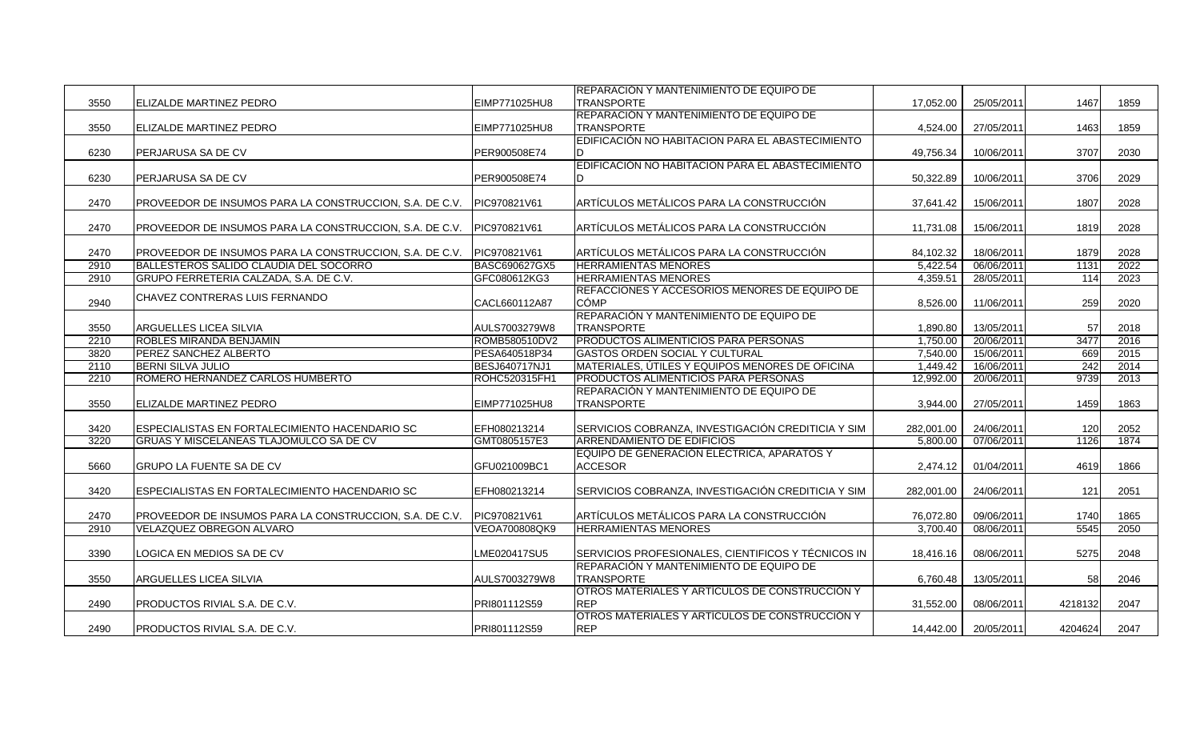|      |                                                         |                      | REPARACIÓN Y MANTENIMIENTO DE EQUIPO DE                                      |            |            |         |      |
|------|---------------------------------------------------------|----------------------|------------------------------------------------------------------------------|------------|------------|---------|------|
| 3550 | <b>ELIZALDE MARTINEZ PEDRO</b>                          | EIMP771025HU8        | <b>TRANSPORTE</b>                                                            | 17,052.00  | 25/05/2011 | 1467    | 1859 |
|      |                                                         |                      | REPARACIÓN Y MANTENIMIENTO DE EQUIPO DE                                      |            |            |         |      |
| 3550 | <b>ELIZALDE MARTINEZ PEDRO</b>                          | EIMP771025HU8        | TRANSPORTE                                                                   | 4,524.00   | 27/05/2011 | 1463    | 1859 |
|      |                                                         |                      | EDIFICACIÓN NO HABITACION PARA EL ABASTECIMIENTO                             |            |            |         |      |
| 6230 | <b>PERJARUSA SA DE CV</b>                               | PER900508E74         |                                                                              | 49,756.34  | 10/06/2011 | 3707    | 2030 |
|      |                                                         |                      | EDIFICACIÓN NO HABITACION PARA EL ABASTECIMIENTO                             |            |            |         |      |
| 6230 | PERJARUSA SA DE CV                                      | PER900508E74         |                                                                              | 50,322.89  | 10/06/2011 | 3706    | 2029 |
|      |                                                         |                      |                                                                              |            |            |         |      |
| 2470 | PROVEEDOR DE INSUMOS PARA LA CONSTRUCCION, S.A. DE C.V. | PIC970821V61         | ARTÍCULOS METÁLICOS PARA LA CONSTRUCCIÓN                                     | 37,641.42  | 15/06/2011 | 1807    | 2028 |
|      |                                                         |                      |                                                                              |            |            |         |      |
| 2470 | PROVEEDOR DE INSUMOS PARA LA CONSTRUCCION, S.A. DE C.V. | PIC970821V61         | ARTÍCULOS METÁLICOS PARA LA CONSTRUCCIÓN                                     | 11,731.08  | 15/06/2011 | 1819    | 2028 |
|      |                                                         |                      |                                                                              |            |            |         |      |
| 2470 | PROVEEDOR DE INSUMOS PARA LA CONSTRUCCION, S.A. DE C.V. | PIC970821V61         | ARTÍCULOS METÁLICOS PARA LA CONSTRUCCIÓN                                     | 84,102.32  | 18/06/2011 | 1879    | 2028 |
| 2910 | BALLESTEROS SALIDO CLAUDIA DEL SOCORRO                  | BASC690627GX5        | <b>HERRAMIENTAS MENORES</b>                                                  | 5,422.54   | 06/06/2011 | 1131    | 2022 |
|      |                                                         |                      |                                                                              |            |            |         |      |
| 2910 | GRUPO FERRETERIA CALZADA, S.A. DE C.V.                  | GFC080612KG3         | <b>HERRAMIENTAS MENORES</b><br>REFACCIONES Y ACCESORIOS MENORES DE EQUIPO DE | 4,359.51   | 28/05/2011 | 114     | 2023 |
|      | CHAVEZ CONTRERAS LUIS FERNANDO                          |                      |                                                                              |            |            |         |      |
| 2940 |                                                         | CACL660112A87        | <b>CÓMP</b>                                                                  | 8,526.00   | 11/06/2011 | 259     | 2020 |
|      |                                                         |                      | REPARACIÓN Y MANTENIMIENTO DE EQUIPO DE                                      |            |            |         |      |
| 3550 | ARGUELLES LICEA SILVIA                                  | AULS7003279W8        | <b>TRANSPORTE</b>                                                            | 1,890.80   | 13/05/2011 | 57      | 2018 |
| 2210 | <b>ROBLES MIRANDA BENJAMIN</b>                          | ROMB580510DV2        | PRODUCTOS ALIMENTICIOS PARA PERSONAS                                         | 1.750.00   | 20/06/2011 | 3477    | 2016 |
| 3820 | <b>IPEREZ SANCHEZ ALBERTO</b>                           | PESA640518P34        | GASTOS ORDEN SOCIAL Y CULTURAL                                               | 7,540.00   | 15/06/2011 | 669     | 2015 |
| 2110 | <b>BERNI SILVA JULIO</b>                                | BESJ640717NJ1        | MATERIALES, UTILES Y EQUIPOS MENORES DE OFICINA                              | 1,449.42   | 16/06/2011 | 242     | 2014 |
| 2210 | ROMERO HERNANDEZ CARLOS HUMBERTO                        | <b>ROHC520315FH1</b> | PRODUCTOS ALIMENTICIOS PARA PERSONAS                                         | 12,992.00  | 20/06/2011 | 9739    | 2013 |
|      |                                                         |                      | REPARACIÓN Y MANTENIMIENTO DE EQUIPO DE                                      |            |            |         |      |
| 3550 | <b>ELIZALDE MARTINEZ PEDRO</b>                          | EIMP771025HU8        | <b>TRANSPORTE</b>                                                            | 3,944.00   | 27/05/2011 | 1459    | 1863 |
|      |                                                         |                      |                                                                              |            |            |         |      |
| 3420 | ESPECIALISTAS EN FORTALECIMIENTO HACENDARIO SC          | EFH080213214         | SERVICIOS COBRANZA, INVESTIGACIÓN CREDITICIA Y SIM                           | 282,001.00 | 24/06/2011 | 120     | 2052 |
| 3220 | GRUAS Y MISCELANEAS TLAJOMULCO SA DE CV                 | GMT0805157E3         | <b>ARRENDAMIENTO DE EDIFICIOS</b>                                            | 5.800.00   | 07/06/2011 | 1126    | 1874 |
|      |                                                         |                      | EQUIPO DE GENERACIÓN ELÉCTRICA, APARATOS Y                                   |            |            |         |      |
| 5660 | <b>GRUPO LA FUENTE SA DE CV</b>                         | GFU021009BC1         | <b>ACCESOR</b>                                                               | 2,474.12   | 01/04/2011 | 4619    | 1866 |
|      |                                                         |                      |                                                                              |            |            |         |      |
| 3420 | ESPECIALISTAS EN FORTALECIMIENTO HACENDARIO SC          | EFH080213214         | SERVICIOS COBRANZA, INVESTIGACIÓN CREDITICIA Y SIM                           | 282,001.00 | 24/06/2011 | 121     | 2051 |
|      |                                                         |                      |                                                                              |            |            |         |      |
| 2470 | PROVEEDOR DE INSUMOS PARA LA CONSTRUCCION, S.A. DE C.V. | PIC970821V61         | ARTÍCULOS METÁLICOS PARA LA CONSTRUCCIÓN                                     | 76,072.80  | 09/06/2011 | 1740    | 1865 |
| 2910 | VELAZQUEZ OBREGON ALVARO                                | VEOA700808QK9        | <b>HERRAMIENTAS MENORES</b>                                                  | 3,700.40   | 08/06/2011 | 5545    | 2050 |
|      |                                                         |                      |                                                                              |            |            |         |      |
| 3390 | LOGICA EN MEDIOS SA DE CV                               | LME020417SU5         | SERVICIOS PROFESIONALES, CIENTIFICOS Y TÉCNICOS IN                           | 18,416.16  | 08/06/2011 | 5275    | 2048 |
|      |                                                         |                      | REPARACIÓN Y MANTENIMIENTO DE EQUIPO DE                                      |            |            |         |      |
| 3550 | <b>ARGUELLES LICEA SILVIA</b>                           | AULS7003279W8        | TRANSPORTE                                                                   | 6,760.48   | 13/05/2011 | 58      | 2046 |
|      |                                                         |                      | OTROS MATERIALES Y ARTÍCULOS DE CONSTRUCCIÓN Y                               |            |            |         |      |
| 2490 | PRODUCTOS RIVIAL S.A. DE C.V.                           | PRI801112S59         | <b>REP</b>                                                                   | 31,552.00  | 08/06/2011 | 4218132 | 2047 |
|      |                                                         |                      | OTROS MATERIALES Y ARTÍCULOS DE CONSTRUCCIÓN Y                               |            |            |         |      |
| 2490 | <b>PRODUCTOS RIVIAL S.A. DE C.V.</b>                    | PRI801112S59         | <b>REP</b>                                                                   | 14,442.00  | 20/05/2011 | 4204624 | 2047 |
|      |                                                         |                      |                                                                              |            |            |         |      |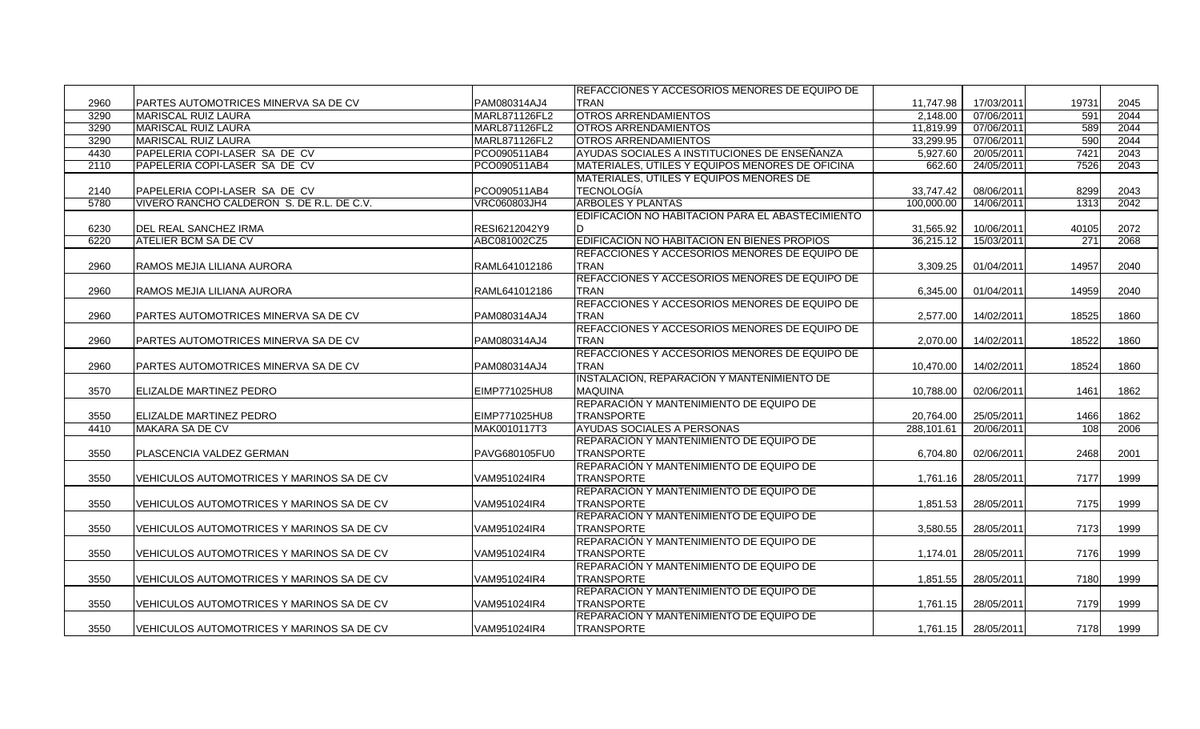|      |                                             |               | REFACCIONES Y ACCESORIOS MENORES DE EQUIPO DE    |            |            |       |      |
|------|---------------------------------------------|---------------|--------------------------------------------------|------------|------------|-------|------|
| 2960 | <b>PARTES AUTOMOTRICES MINERVA SA DE CV</b> | PAM080314AJ4  | <b>TRAN</b>                                      | 11.747.98  | 17/03/2011 | 19731 | 2045 |
| 3290 | <b>I</b> MARISCAL RUIZ LAURA                | MARL871126FL2 | <b>OTROS ARRENDAMIENTOS</b>                      | 2,148.00   | 07/06/2011 | 591   | 2044 |
| 3290 | <b>MARISCAL RUIZ LAURA</b>                  | MARL871126FL2 | <b>OTROS ARRENDAMIENTOS</b>                      | 11,819.99  | 07/06/2011 | 589   | 2044 |
| 3290 | <b>MARISCAL RUIZ LAURA</b>                  | MARL871126FL2 | <b>OTROS ARRENDAMIENTOS</b>                      | 33,299.95  | 07/06/2011 | 590   | 2044 |
| 4430 | PAPELERIA COPI-LASER SA DE CV               | PCO090511AB4  | AYUDAS SOCIALES A INSTITUCIONES DE ENSEÑANZA     | 5,927.60   | 20/05/2011 | 7421  | 2043 |
| 2110 | PAPELERIA COPI-LASER SA DE CV               | PCO090511AB4  | MATERIALES, ÚTILES Y EQUIPOS MENORES DE OFICINA  | 662.60     | 24/05/2011 | 7526  | 2043 |
|      |                                             |               | <b>IMATERIALES, UTILES Y EQUIPOS MENORES DE</b>  |            |            |       |      |
| 2140 | PAPELERIA COPI-LASER SA DE CV               | PCO090511AB4  | <b>TECNOLOGÍA</b>                                | 33.747.42  | 08/06/2011 | 8299  | 2043 |
| 5780 | VIVERO RANCHO CALDERON S. DE R.L. DE C.V.   | VRC060803JH4  | <b>ÁRBOLES Y PLANTAS</b>                         | 100,000.00 | 14/06/2011 | 1313  | 2042 |
|      |                                             |               | EDIFICACIÓN NO HABITACION PARA EL ABASTECIMIENTO |            |            |       |      |
| 6230 | DEL REAL SANCHEZ IRMA                       | RESI6212042Y9 |                                                  | 31,565.92  | 10/06/2011 | 40105 | 2072 |
| 6220 | <b>ATELIER BCM SA DE CV</b>                 | ABC081002CZ5  | EDIFICACIÓN NO HABITACION EN BIENES PROPIOS      | 36,215.12  | 15/03/2011 | 271   | 2068 |
|      |                                             |               | REFACCIONES Y ACCESORIOS MENORES DE EQUIPO DE    |            |            |       |      |
| 2960 | RAMOS MEJIA LILIANA AURORA                  | RAML641012186 | <b>TRAN</b>                                      | 3,309.25   | 01/04/2011 | 14957 | 2040 |
|      |                                             |               | REFACCIONES Y ACCESORIOS MENORES DE EQUIPO DE    |            |            |       |      |
| 2960 | RAMOS MEJIA LILIANA AURORA                  | RAML641012186 | <b>TRAN</b>                                      | 6.345.00   | 01/04/2011 | 14959 | 2040 |
|      |                                             |               | REFACCIONES Y ACCESORIOS MENORES DE EQUIPO DE    |            |            |       |      |
| 2960 | PARTES AUTOMOTRICES MINERVA SA DE CV        | PAM080314AJ4  | <b>TRAN</b>                                      | 2,577.00   | 14/02/2011 | 18525 | 1860 |
|      |                                             |               | REFACCIONES Y ACCESORIOS MENORES DE EQUIPO DE    |            |            |       |      |
| 2960 | PARTES AUTOMOTRICES MINERVA SA DE CV        | PAM080314AJ4  | <b>TRAN</b>                                      | 2,070.00   | 14/02/2011 | 18522 | 1860 |
|      |                                             |               | REFACCIONES Y ACCESORIOS MENORES DE EQUIPO DE    |            |            |       |      |
| 2960 | PARTES AUTOMOTRICES MINERVA SA DE CV        | PAM080314AJ4  | <b>TRAN</b>                                      | 10,470.00  | 14/02/2011 | 18524 | 1860 |
|      |                                             |               | INSTALACIÓN, REPARACIÓN Y MANTENIMIENTO DE       |            |            |       |      |
| 3570 | ELIZALDE MARTINEZ PEDRO                     | EIMP771025HU8 | <b>MAQUINA</b>                                   | 10.788.00  | 02/06/2011 | 1461  | 1862 |
|      |                                             |               | REPARACIÓN Y MANTENIMIENTO DE EQUIPO DE          |            |            |       |      |
| 3550 | <b>ELIZALDE MARTINEZ PEDRO</b>              | EIMP771025HU8 | <b>TRANSPORTE</b>                                | 20,764.00  | 25/05/2011 | 1466  | 1862 |
| 4410 | MAKARA SA DE CV                             | MAK0010117T3  | AYUDAS SOCIALES A PERSONAS                       | 288,101.61 | 20/06/2011 | 108   | 2006 |
|      |                                             |               | REPARACIÓN Y MANTENIMIENTO DE EQUIPO DE          |            |            |       |      |
| 3550 | PLASCENCIA VALDEZ GERMAN                    | PAVG680105FU0 | <b>TRANSPORTE</b>                                | 6,704.80   | 02/06/2011 | 2468  | 2001 |
|      |                                             |               | REPARACIÓN Y MANTENIMIENTO DE EQUIPO DE          |            |            |       |      |
| 3550 | VEHICULOS AUTOMOTRICES Y MARINOS SA DE CV   | VAM951024IR4  | <b>TRANSPORTE</b>                                | 1,761.16   | 28/05/2011 | 7177  | 1999 |
|      |                                             |               | REPARACIÓN Y MANTENIMIENTO DE EQUIPO DE          |            |            |       |      |
| 3550 | VEHICULOS AUTOMOTRICES Y MARINOS SA DE CV   | VAM951024IR4  | <b>TRANSPORTE</b>                                | 1,851.53   | 28/05/2011 | 7175  | 1999 |
|      |                                             |               | REPARACIÓN Y MANTENIMIENTO DE EQUIPO DE          |            |            |       |      |
| 3550 | VEHICULOS AUTOMOTRICES Y MARINOS SA DE CV   | VAM951024IR4  | TRANSPORTE                                       | 3.580.55   | 28/05/2011 | 7173  | 1999 |
|      |                                             |               | REPARACIÓN Y MANTENIMIENTO DE EQUIPO DE          |            |            |       |      |
| 3550 | VEHICULOS AUTOMOTRICES Y MARINOS SA DE CV   | VAM951024IR4  | <b>TRANSPORTE</b>                                | 1,174.01   | 28/05/2011 | 7176  | 1999 |
|      |                                             |               | REPARACIÓN Y MANTENIMIENTO DE EQUIPO DE          |            |            |       |      |
| 3550 | VEHICULOS AUTOMOTRICES Y MARINOS SA DE CV   | VAM951024IR4  | <b>TRANSPORTE</b>                                | 1,851.55   | 28/05/2011 | 7180  | 1999 |
|      |                                             |               | REPARACIÓN Y MANTENIMIENTO DE EQUIPO DE          |            |            |       |      |
| 3550 | VEHICULOS AUTOMOTRICES Y MARINOS SA DE CV   | VAM951024IR4  | <b>TRANSPORTE</b>                                | 1.761.15   | 28/05/2011 | 7179  | 1999 |
|      |                                             |               | REPARACIÓN Y MANTENIMIENTO DE EQUIPO DE          |            |            |       |      |
| 3550 | VEHICULOS AUTOMOTRICES Y MARINOS SA DE CV   | VAM951024IR4  | <b>TRANSPORTE</b>                                | 1,761.15   | 28/05/2011 | 7178  | 1999 |
|      |                                             |               |                                                  |            |            |       |      |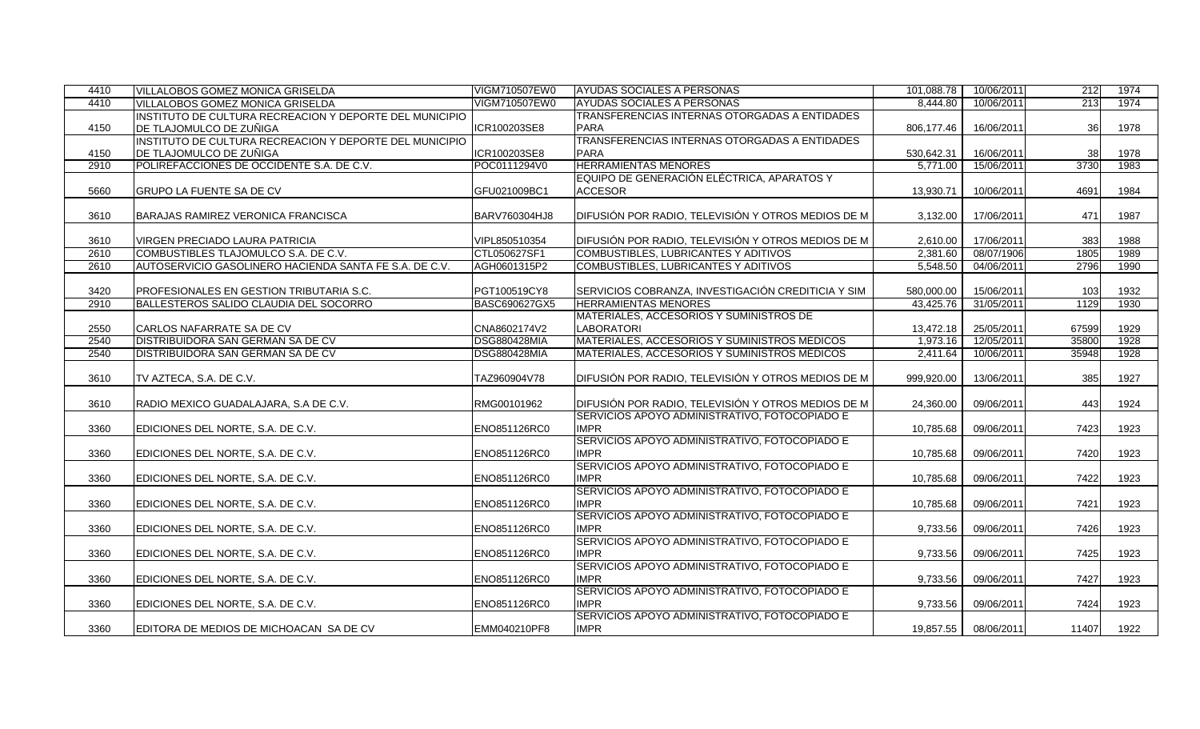| 4410 | VILLALOBOS GOMEZ MONICA GRISELDA                        | VIGM710507EW0       | AYUDAS SOCIALES A PERSONAS                           | 101.088.78 | 10/06/2011 | 212       | 1974 |
|------|---------------------------------------------------------|---------------------|------------------------------------------------------|------------|------------|-----------|------|
| 4410 | VILLALOBOS GOMEZ MONICA GRISELDA                        | VIGM710507EW0       | AYUDAS SOCIALES A PERSONAS                           | 8.444.80   | 10/06/2011 | 213       | 1974 |
|      | INSTITUTO DE CULTURA RECREACION Y DEPORTE DEL MUNICIPIO |                     | <b>TRANSFERENCIAS INTERNAS OTORGADAS A ENTIDADES</b> |            |            |           |      |
| 4150 | DE TLAJOMULCO DE ZUÑIGA                                 | ICR100203SE8        | <b>PARA</b>                                          | 806,177.46 | 16/06/2011 | 36        | 1978 |
|      | INSTITUTO DE CULTURA RECREACION Y DEPORTE DEL MUNICIPIO |                     | <b>TRANSFERENCIAS INTERNAS OTORGADAS A ENTIDADES</b> |            |            |           |      |
| 4150 | <b>IDE TLAJOMULCO DE ZUÑIGA</b>                         | ICR100203SE8        | <b>PARA</b>                                          | 530,642.31 | 16/06/2011 | <b>38</b> | 1978 |
| 2910 | POLIREFACCIONES DE OCCIDENTE S.A. DE C.V.               | POC0111294V0        | <b>HERRAMIENTAS MENORES</b>                          | 5,771.00   | 15/06/2011 | 3730      | 1983 |
|      |                                                         |                     | EQUIPO DE GENERACIÓN ELÉCTRICA, APARATOS Y           |            |            |           |      |
| 5660 | <b>GRUPO LA FUENTE SA DE CV</b>                         | GFU021009BC1        | <b>ACCESOR</b>                                       | 13.930.71  | 10/06/2011 | 4691      | 1984 |
|      |                                                         |                     |                                                      |            |            |           |      |
| 3610 | BARAJAS RAMIREZ VERONICA FRANCISCA                      | BARV760304HJ8       | DIFUSIÓN POR RADIO, TELEVISIÓN Y OTROS MEDIOS DE M   | 3,132.00   | 17/06/2011 | 471       | 1987 |
|      |                                                         |                     |                                                      |            |            |           |      |
| 3610 | <b>VIRGEN PRECIADO LAURA PATRICIA</b>                   | VIPL850510354       | DIFUSIÓN POR RADIO, TELEVISIÓN Y OTROS MEDIOS DE M   | 2,610.00   | 17/06/2011 | 383       | 1988 |
| 2610 | COMBUSTIBLES TLAJOMULCO S.A. DE C.V.                    | CTL050627SF1        | COMBUSTIBLES, LUBRICANTES Y ADITIVOS                 | 2,381.60   | 08/07/1906 | 1805      | 1989 |
| 2610 | AUTOSERVICIO GASOLINERO HACIENDA SANTA FE S.A. DE C.V.  | AGH0601315P2        | COMBUSTIBLES, LUBRICANTES Y ADITIVOS                 | 5,548.50   | 04/06/2011 | 2796      | 1990 |
|      |                                                         |                     |                                                      |            |            |           |      |
| 3420 | PROFESIONALES EN GESTION TRIBUTARIA S.C.                | PGT100519CY8        | SERVICIOS COBRANZA, INVESTIGACIÓN CREDITICIA Y SIM   | 580,000.00 | 15/06/2011 | 103       | 1932 |
| 2910 | BALLESTEROS SALIDO CLAUDIA DEL SOCORRO                  | BASC690627GX5       | <b>HERRAMIENTAS MENORES</b>                          | 43,425.76  | 31/05/2011 | 1129      | 1930 |
|      |                                                         |                     | MATERIALES, ACCESORIOS Y SUMINISTROS DE              |            |            |           |      |
| 2550 | CARLOS NAFARRATE SA DE CV                               | CNA8602174V2        | <b>LABORATORI</b>                                    | 13,472.18  | 25/05/2011 | 67599     | 1929 |
| 2540 | <b>DISTRIBUIDORA SAN GERMAN SA DE CV</b>                | <b>DSG880428MIA</b> | MATERIALES, ACCESORIOS Y SUMINISTROS MÉDICOS         | 1,973.16   | 12/05/2011 | 35800     | 1928 |
| 2540 | <b>DISTRIBUIDORA SAN GERMAN SA DE CV</b>                | <b>DSG880428MIA</b> | MATERIALES, ACCESORIOS Y SUMINISTROS MÉDICOS         | 2,411.64   | 10/06/2011 | 35948     | 1928 |
|      |                                                         |                     |                                                      |            |            |           |      |
| 3610 | TV AZTECA, S.A. DE C.V.                                 | TAZ960904V78        | DIFUSIÓN POR RADIO, TELEVISIÓN Y OTROS MEDIOS DE M   | 999,920.00 | 13/06/2011 | 385       | 1927 |
|      |                                                         |                     |                                                      |            |            |           |      |
| 3610 | RADIO MEXICO GUADALAJARA, S.A DE C.V.                   | RMG00101962         | DIFUSIÓN POR RADIO, TELEVISIÓN Y OTROS MEDIOS DE M   | 24,360.00  | 09/06/2011 | 443       | 1924 |
|      |                                                         |                     | SERVICIOS APOYO ADMINISTRATIVO, FOTOCOPIADO E        |            |            |           |      |
| 3360 | EDICIONES DEL NORTE, S.A. DE C.V.                       | ENO851126RC0        | <b>IMPR</b>                                          | 10,785.68  | 09/06/2011 | 7423      | 1923 |
|      |                                                         |                     | SERVICIOS APOYO ADMINISTRATIVO, FOTOCOPIADO E        |            |            |           |      |
| 3360 | EDICIONES DEL NORTE, S.A. DE C.V.                       | ENO851126RC0        | <b>IMPR</b>                                          | 10,785.68  | 09/06/2011 | 7420      | 1923 |
|      |                                                         |                     | SERVICIOS APOYO ADMINISTRATIVO, FOTOCOPIADO E        |            |            |           |      |
| 3360 | EDICIONES DEL NORTE, S.A. DE C.V.                       | ENO851126RC0        | <b>IMPR</b>                                          | 10,785.68  | 09/06/2011 | 7422      | 1923 |
|      |                                                         |                     | SERVICIOS APOYO ADMINISTRATIVO, FOTOCOPIADO E        |            |            |           |      |
| 3360 | EDICIONES DEL NORTE, S.A. DE C.V.                       | ENO851126RC0        | <b>IMPR</b>                                          | 10,785.68  | 09/06/2011 | 7421      | 1923 |
|      |                                                         |                     | SERVICIOS APOYO ADMINISTRATIVO, FOTOCOPIADO E        |            |            |           |      |
| 3360 | EDICIONES DEL NORTE, S.A. DE C.V.                       | ENO851126RC0        | <b>IMPR</b>                                          | 9,733.56   | 09/06/2011 | 7426      | 1923 |
|      |                                                         |                     | SERVICIOS APOYO ADMINISTRATIVO, FOTOCOPIADO E        |            |            |           |      |
| 3360 | EDICIONES DEL NORTE, S.A. DE C.V.                       | ENO851126RC0        | <b>IMPR</b>                                          | 9,733.56   | 09/06/2011 | 7425      | 1923 |
|      |                                                         |                     | SERVICIOS APOYO ADMINISTRATIVO, FOTOCOPIADO E        |            |            |           |      |
| 3360 | EDICIONES DEL NORTE, S.A. DE C.V.                       | ENO851126RC0        | <b>IMPR</b>                                          | 9,733.56   | 09/06/2011 | 7427      | 1923 |
|      |                                                         |                     | SERVICIOS APOYO ADMINISTRATIVO, FOTOCOPIADO E        |            |            |           |      |
| 3360 | EDICIONES DEL NORTE, S.A. DE C.V.                       | ENO851126RC0        | <b>IMPR</b>                                          | 9,733.56   | 09/06/2011 | 7424      | 1923 |
|      |                                                         |                     | SERVICIOS APOYO ADMINISTRATIVO, FOTOCOPIADO E        |            |            |           |      |
| 3360 | EDITORA DE MEDIOS DE MICHOACAN SA DE CV                 | EMM040210PF8        | <b>IMPR</b>                                          | 19,857.55  | 08/06/2011 | 11407     | 1922 |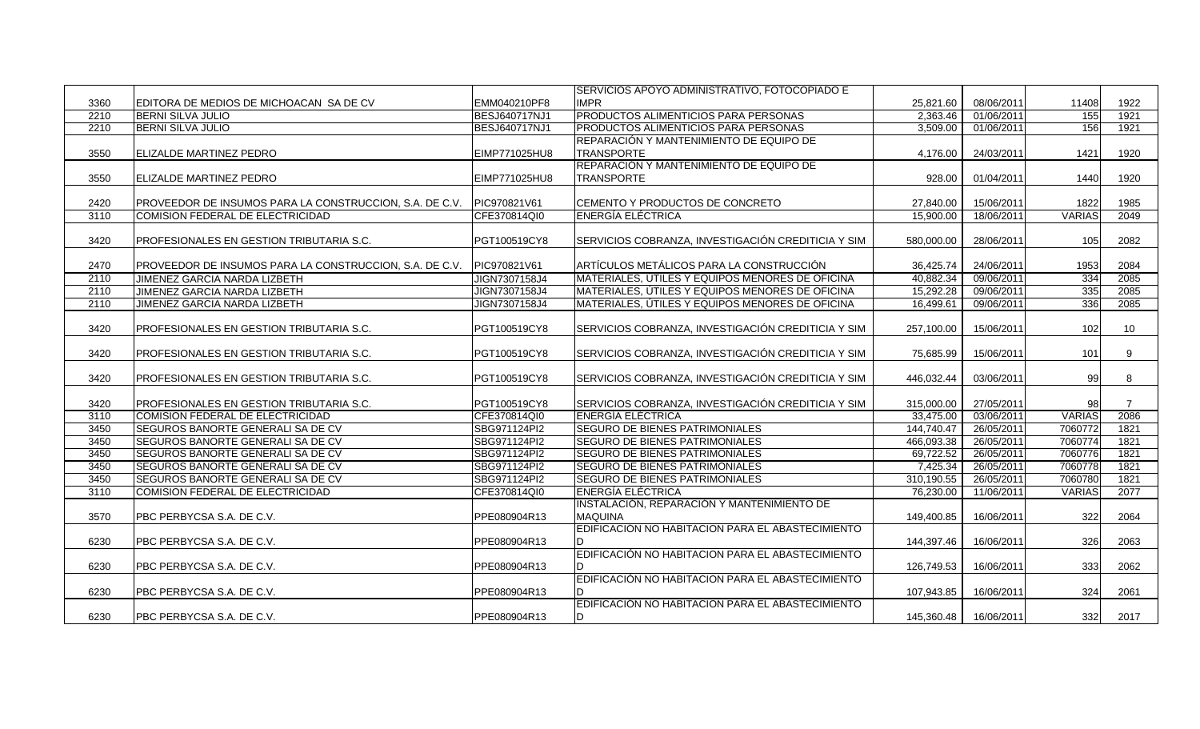|      |                                                         |               | SERVICIOS APOYO ADMINISTRATIVO, FOTOCOPIADO E      |            |            |               |                |
|------|---------------------------------------------------------|---------------|----------------------------------------------------|------------|------------|---------------|----------------|
| 3360 | EDITORA DE MEDIOS DE MICHOACAN SA DE CV                 | EMM040210PF8  | <b>IMPR</b>                                        | 25,821.60  | 08/06/2011 | 11408         | 1922           |
| 2210 | <b>BERNI SILVA JULIO</b>                                | BESJ640717NJ1 | PRODUCTOS ALIMENTICIOS PARA PERSONAS               | 2,363.46   | 01/06/2011 | 155           | 1921           |
| 2210 | <b>BERNI SILVA JULIO</b>                                | BESJ640717NJ1 | PRODUCTOS ALIMENTICIOS PARA PERSONAS               | 3,509.00   | 01/06/2011 | 156           | 1921           |
|      |                                                         |               | REPARACIÓN Y MANTENIMIENTO DE EQUIPO DE            |            |            |               |                |
| 3550 | <b>ELIZALDE MARTINEZ PEDRO</b>                          | EIMP771025HU8 | <b>TRANSPORTE</b>                                  | 4,176.00   | 24/03/2011 | 1421          | 1920           |
|      |                                                         |               | REPARACIÓN Y MANTENIMIENTO DE EQUIPO DE            |            |            |               |                |
| 3550 | <b>ELIZALDE MARTINEZ PEDRO</b>                          | EIMP771025HU8 | <b>TRANSPORTE</b>                                  | 928.00     | 01/04/2011 | 1440          | 1920           |
|      |                                                         |               |                                                    |            |            |               |                |
| 2420 | PROVEEDOR DE INSUMOS PARA LA CONSTRUCCION, S.A. DE C.V. | PIC970821V61  | CEMENTO Y PRODUCTOS DE CONCRETO                    | 27,840.00  | 15/06/2011 | 1822          | 1985           |
| 3110 | COMISION FEDERAL DE ELECTRICIDAD                        | CFE370814QI0  | <b>ENERGÍA ELÉCTRICA</b>                           | 15,900.00  | 18/06/2011 | <b>VARIAS</b> | 2049           |
|      |                                                         |               |                                                    |            |            |               |                |
| 3420 | PROFESIONALES EN GESTION TRIBUTARIA S.C.                | PGT100519CY8  | SERVICIOS COBRANZA, INVESTIGACIÓN CREDITICIA Y SIM | 580,000.00 | 28/06/2011 | 105           | 2082           |
|      |                                                         |               |                                                    |            |            |               |                |
| 2470 | PROVEEDOR DE INSUMOS PARA LA CONSTRUCCION, S.A. DE C.V. | PIC970821V61  | ARTÍCULOS METÁLICOS PARA LA CONSTRUCCIÓN           | 36,425.74  | 24/06/2011 | 1953          | 2084           |
| 2110 | JIMENEZ GARCIA NARDA LIZBETH                            | JIGN7307158J4 | MATERIALES, ÚTILES Y EQUIPOS MENORES DE OFICINA    | 40,882.34  | 09/06/2011 | 334           | 2085           |
| 2110 | <b>JIMENEZ GARCIA NARDA LIZBETH</b>                     | JIGN7307158J4 | MATERIALES, UTILES Y EQUIPOS MENORES DE OFICINA    | 15,292.28  | 09/06/2011 | 335           | 2085           |
| 2110 | JIMENEZ GARCIA NARDA LIZBETH                            | JIGN7307158J4 | MATERIALES, UTILES Y EQUIPOS MENORES DE OFICINA    | 16,499.61  | 09/06/2011 | 336           | 2085           |
|      |                                                         |               |                                                    |            |            |               |                |
| 3420 | PROFESIONALES EN GESTION TRIBUTARIA S.C.                | PGT100519CY8  | SERVICIOS COBRANZA, INVESTIGACIÓN CREDITICIA Y SIM | 257,100.00 | 15/06/2011 | 102           | 10             |
|      |                                                         |               |                                                    |            |            |               |                |
| 3420 | PROFESIONALES EN GESTION TRIBUTARIA S.C.                | PGT100519CY8  | SERVICIOS COBRANZA, INVESTIGACIÓN CREDITICIA Y SIM | 75,685.99  | 15/06/2011 | 101           | 9              |
|      |                                                         |               |                                                    |            |            |               |                |
| 3420 | PROFESIONALES EN GESTION TRIBUTARIA S.C.                | PGT100519CY8  | SERVICIOS COBRANZA, INVESTIGACIÓN CREDITICIA Y SIM | 446,032.44 | 03/06/2011 | 99            | 8              |
|      |                                                         |               |                                                    |            |            |               |                |
| 3420 | <b>PROFESIONALES EN GESTION TRIBUTARIA S.C.</b>         | PGT100519CY8  | SERVICIOS COBRANZA, INVESTIGACIÓN CREDITICIA Y SIM | 315,000.00 | 27/05/2011 | 98            | $\overline{7}$ |
| 3110 | COMISION FEDERAL DE ELECTRICIDAD                        | CFE370814QI0  | <b>ENERGÍA ELÉCTRICA</b>                           | 33,475.00  | 03/06/2011 | <b>VARIAS</b> | 2086           |
| 3450 | <b>SEGUROS BANORTE GENERALI SA DE CV</b>                | SBG971124PI2  | <b>SEGURO DE BIENES PATRIMONIALES</b>              | 144,740.47 | 26/05/2011 | 7060772       | 1821           |
| 3450 | SEGUROS BANORTE GENERALI SA DE CV                       | SBG971124PI2  | SEGURO DE BIENES PATRIMONIALES                     | 466,093.38 | 26/05/2011 | 7060774       | 1821           |
| 3450 | SEGUROS BANORTE GENERALI SA DE CV                       | SBG971124PI2  | SEGURO DE BIENES PATRIMONIALES                     | 69,722.52  | 26/05/2011 | 7060776       | 1821           |
| 3450 | <b>SEGUROS BANORTE GENERALI SA DE CV</b>                | SBG971124Pl2  | SEGURO DE BIENES PATRIMONIALES                     | 7,425.34   | 26/05/2011 | 7060778       | 1821           |
| 3450 | <b>SEGUROS BANORTE GENERALI SA DE CV</b>                | SBG971124PI2  | <b>SEGURO DE BIENES PATRIMONIALES</b>              | 310,190.55 | 26/05/2011 | 7060780       | 1821           |
| 3110 | COMISION FEDERAL DE ELECTRICIDAD                        | CFE370814QI0  | <b>ENERGÍA ELÉCTRICA</b>                           | 76,230.00  | 11/06/2011 | <b>VARIAS</b> | 2077           |
|      |                                                         |               | INSTALACIÓN, REPARACIÓN Y MANTENIMIENTO DE         |            |            |               |                |
| 3570 | PBC PERBYCSA S.A. DE C.V.                               | PPE080904R13  | <b>MAQUINA</b>                                     | 149,400.85 | 16/06/2011 | 322           | 2064           |
|      |                                                         |               | EDIFICACIÓN NO HABITACION PARA EL ABASTECIMIENTO   |            |            |               |                |
| 6230 | PBC PERBYCSA S.A. DE C.V.                               | PPE080904R13  |                                                    | 144,397.46 | 16/06/2011 | 326           | 2063           |
|      |                                                         |               | EDIFICACIÓN NO HABITACION PARA EL ABASTECIMIENTO   |            |            |               |                |
|      |                                                         |               |                                                    |            |            |               |                |
| 6230 | PBC PERBYCSA S.A. DE C.V.                               | PPE080904R13  | EDIFICACIÓN NO HABITACION PARA EL ABASTECIMIENTO   | 126,749.53 | 16/06/2011 | 333           | 2062           |
|      |                                                         |               |                                                    |            |            |               |                |
| 6230 | PBC PERBYCSA S.A. DE C.V.                               | PPE080904R13  | D.                                                 | 107,943.85 | 16/06/2011 | 324           | 2061           |
|      |                                                         |               | EDIFICACIÓN NO HABITACION PARA EL ABASTECIMIENTO   |            |            |               |                |
| 6230 | PBC PERBYCSA S.A. DE C.V.                               | PPE080904R13  | D                                                  | 145,360.48 | 16/06/2011 | 332           | 2017           |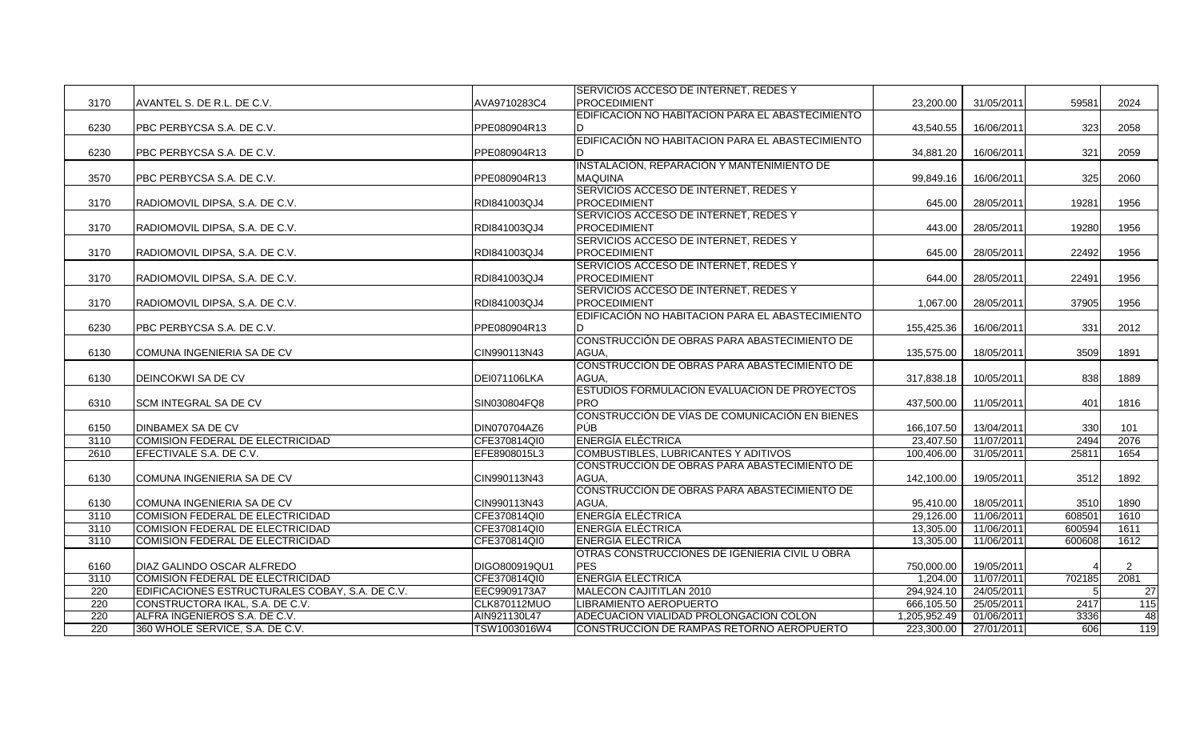| SERVICIOS ACCESO DE INTERNET, REDES Y                                                                              |            |        |      |
|--------------------------------------------------------------------------------------------------------------------|------------|--------|------|
| AVANTEL S. DE R.L. DE C.V.<br>AVA9710283C4<br><b>PROCEDIMIENT</b><br>3170<br>23,200,00                             | 31/05/2011 | 59581  | 2024 |
| EDIFICACIÓN NO HABITACION PARA EL ABASTECIMIENTO                                                                   |            |        |      |
| 6230<br>PBC PERBYCSA S.A. DE C.V.<br>PPE080904R13<br>43.540.55                                                     | 16/06/2011 | 323    | 2058 |
| EDIFICACIÓN NO HABITACION PARA EL ABASTECIMIENTO                                                                   |            |        |      |
| 6230<br>PBC PERBYCSA S.A. DE C.V.<br>PPE080904R13<br>34,881.20                                                     | 16/06/2011 | 321    | 2059 |
| INSTALACIÓN, REPARACIÓN Y MANTENIMIENTO DE                                                                         |            |        |      |
| <b>MAQUINA</b><br>PBC PERBYCSA S.A. DE C.V.<br>PPE080904R13<br>3570<br>99.849.16                                   | 16/06/2011 | 325    | 2060 |
| SERVICIOS ACCESO DE INTERNET, REDES Y                                                                              |            |        |      |
| 3170<br>RDI841003QJ4<br><b>PROCEDIMIENT</b><br>645.00<br>RADIOMOVIL DIPSA, S.A. DE C.V.                            | 28/05/2011 | 19281  | 1956 |
| SERVICIOS ACCESO DE INTERNET, REDES Y                                                                              |            |        |      |
| RDI841003QJ4<br><b>PROCEDIMIENT</b><br>3170<br>RADIOMOVIL DIPSA, S.A. DE C.V.<br>443.00                            | 28/05/2011 | 19280  | 1956 |
| SERVICIOS ACCESO DE INTERNET, REDES Y                                                                              |            |        |      |
| PROCEDIMIENT<br>3170<br>RADIOMOVIL DIPSA, S.A. DE C.V.<br>RDI841003QJ4<br>645.00                                   | 28/05/2011 | 22492  | 1956 |
| SERVICIOS ACCESO DE INTERNET, REDES Y                                                                              |            |        |      |
| PROCEDIMIENT<br>3170<br>RADIOMOVIL DIPSA, S.A. DE C.V.<br>RDI841003QJ4<br>644.00                                   | 28/05/2011 | 22491  | 1956 |
| SERVICIOS ACCESO DE INTERNET, REDES Y                                                                              |            |        |      |
| 3170<br>RDI841003QJ4<br><b>PROCEDIMIENT</b><br>1,067.00<br>RADIOMOVIL DIPSA, S.A. DE C.V.                          | 28/05/2011 | 37905  | 1956 |
| EDIFICACIÓN NO HABITACION PARA EL ABASTECIMIENTO                                                                   |            |        |      |
| PPE080904R13<br>6230<br>PBC PERBYCSA S.A. DE C.V.<br>155,425.36<br>ID.                                             | 16/06/2011 | 331    | 2012 |
| CONSTRUCCIÓN DE OBRAS PARA ABASTECIMIENTO DE                                                                       |            |        |      |
| 6130<br>COMUNA INGENIERIA SA DE CV<br>CIN990113N43<br>AGUA.<br>135,575.00                                          | 18/05/2011 | 3509   | 1891 |
| CONSTRUCCIÓN DE OBRAS PARA ABASTECIMIENTO DE                                                                       |            |        |      |
| 6130<br>DEI071106LKA<br>AGUA,<br>317,838.18<br>DEINCOKWI SA DE CV                                                  | 10/05/2011 | 838    | 1889 |
| ESTUDIOS FORMULACION EVALUACION DE PROYECTOS                                                                       |            |        |      |
| <b>PRO</b><br>6310<br><b>SCM INTEGRAL SA DE CV</b><br>SIN030804FQ8<br>437,500.00                                   | 11/05/2011 | 401    | 1816 |
| <b>ICONSTRUCCIÓN DE VÍAS DE COMUNICACIÓN EN BIENES</b>                                                             |            |        |      |
| PÚB<br>DIN070704AZ6<br>DINBAMEX SA DE CV<br>166,107.50<br>6150                                                     | 13/04/2011 | 330    | 101  |
| <b>ENERGÍA ELÉCTRICA</b><br>3110<br><b>COMISION FEDERAL DE ELECTRICIDAD</b><br>CFE370814QI0<br>23,407.50           | 11/07/2011 | 2494   | 2076 |
| COMBUSTIBLES, LUBRICANTES Y ADITIVOS<br>2610<br>EFECTIVALE S.A. DE C.V.<br>EFE8908015L3<br>100,406.00              | 31/05/2011 | 25811  | 1654 |
| CONSTRUCCIÓN DE OBRAS PARA ABASTECIMIENTO DE                                                                       |            |        |      |
| 6130<br>COMUNA INGENIERIA SA DE CV<br>CIN990113N43<br>AGUA.<br>142,100.00                                          | 19/05/2011 | 3512   | 1892 |
| CONSTRUCCIÓN DE OBRAS PARA ABASTECIMIENTO DE                                                                       |            |        |      |
| AGUA,<br>6130<br>COMUNA INGENIERIA SA DE CV<br>CIN990113N43<br>95.410.00                                           | 18/05/2011 | 3510   | 1890 |
| <b>ENERGÍA ELÉCTRICA</b><br>COMISION FEDERAL DE ELECTRICIDAD<br>CFE370814QI0<br>29,126.00<br>3110                  | 11/06/2011 | 608501 | 1610 |
| CFE370814QI0<br>3110<br>COMISION FEDERAL DE ELECTRICIDAD<br><b>ENERGÍA ELÉCTRICA</b><br>13,305.00                  | 11/06/2011 | 600594 | 1611 |
| 3110<br>COMISION FEDERAL DE ELECTRICIDAD<br>CFE370814QI0<br><b>ENERGÍA ELÉCTRICA</b><br>13,305.00                  | 11/06/2011 | 600608 | 1612 |
| OTRAS CONSTRUCCIONES DE IGENIERIA CIVIL U OBRA                                                                     |            |        |      |
| <b>PES</b><br>DIAZ GALINDO OSCAR ALFREDO<br>DIGO800919QU1<br>6160<br>750,000.00                                    | 19/05/2011 |        | 2    |
| COMISION FEDERAL DE ELECTRICIDAD<br>CFE370814QI0<br><b>ENERGIA ELECTRICA</b><br>3110<br>1,204.00                   | 11/07/2011 | 702185 | 2081 |
| EDIFICACIONES ESTRUCTURALES COBAY, S.A. DE C.V.<br>EEC9909173A7<br>294,924.10<br>220<br>MALECON CAJITITLAN 2010    | 24/05/2011 |        | 27   |
| 220<br>CONSTRUCTORA IKAL, S.A. DE C.V.<br><b>CLK870112MUO</b><br>LIBRAMIENTO AEROPUERTO<br>666,105.50              | 25/05/2011 | 2417   | 115  |
| ADECUACION VIALIDAD PROLONGACION COLON<br>220<br>ALFRA INGENIEROS S.A. DE C.V.<br>AIN921130L47<br>1.205.952.49     | 01/06/2011 | 3336   | 48   |
| 220<br>360 WHOLE SERVICE, S.A. DE C.V.<br>TSW1003016W4<br>ICONSTRUCCION DE RAMPAS RETORNO AEROPUERTO<br>223,300.00 | 27/01/2011 | 606    | 119  |